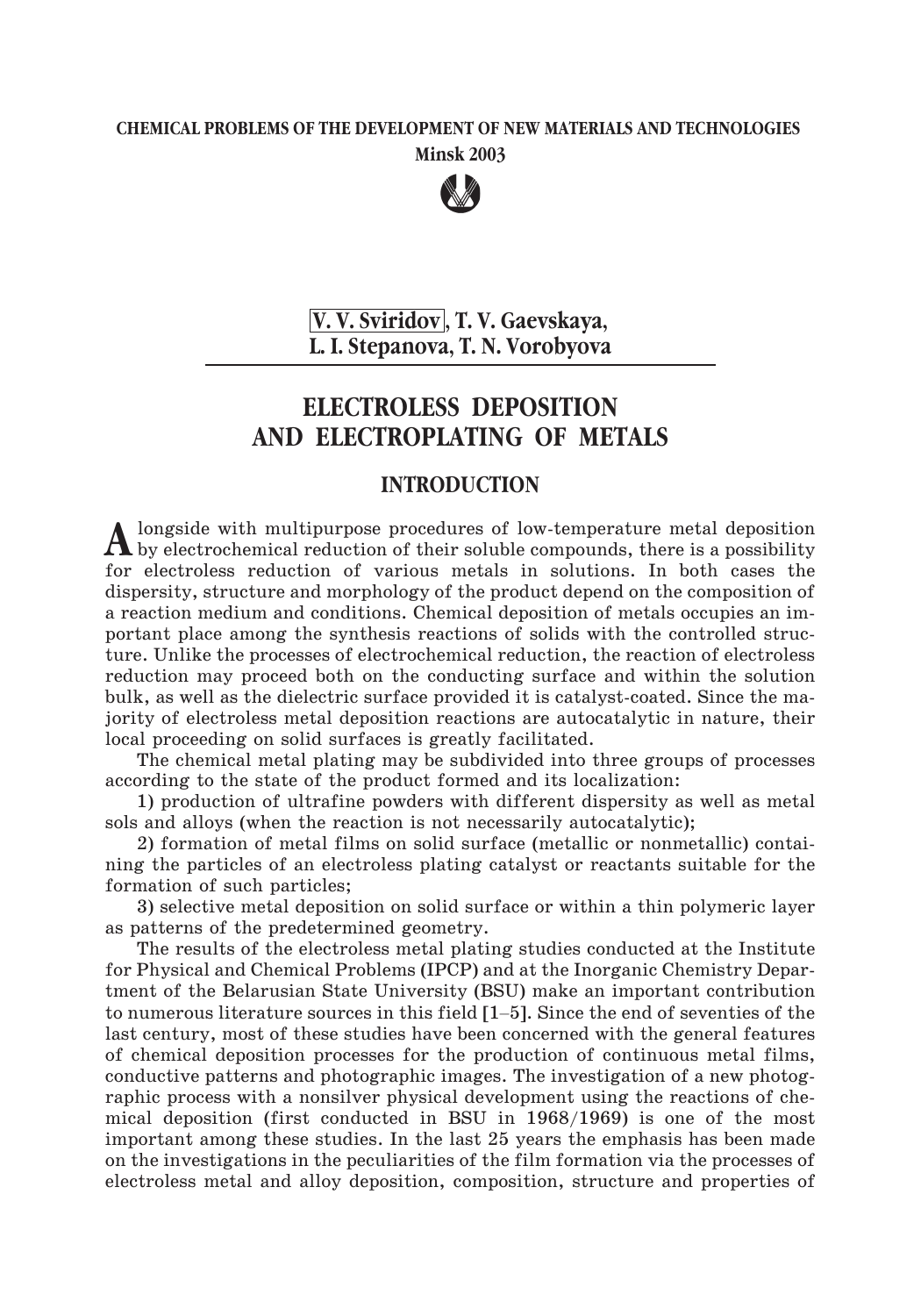## **CHEMICAL PROBLEMS OF THE DEVELOPMENT OF NEW MATERIALS AND TECHNOLOGIES Minsk 2003**



**V. V. Sviridov , T. V. Gaevskayà, L. I. Stepanova, T. N. Vorobyova**

# **ELECTROLESS DEPOSITION AND ELECTROPLATING OF METALS**

#### **INTRODUCTION**

A longside with multipurpose procedures of low-temperature metal deposition<br>by electrochemical reduction of their soluble compounds, there is a possibility for electroless reduction of various metals in solutions. In both cases the dispersity, structure and morphology of the product depend on the composition of a reaction medium and conditions. Chemical deposition of metals occupies an important place among the synthesis reactions of solids with the controlled structure. Unlike the processes of electrochemical reduction, the reaction of electroless reduction may proceed both on the conducting surface and within the solution bulk, as well as the dielectric surface provided it is catalyst-coated. Since the majority of electroless metal deposition reactions are autocatalytic in nature, their local proceeding on solid surfaces is greatly facilitated.

The chemical metal plating may be subdivided into three groups of processes according to the state of the product formed and its localization:

1) production of ultrafine powders with different dispersity as well as metal sols and alloys (when the reaction is not necessarily autocatalytic);

2) formation of metal films on solid surface (metallic or nonmetallic) containing the particles of an electroless plating catalyst or reactants suitable for the formation of such particles;

3) selective metal deposition on solid surface or within a thin polymeric layer as patterns of the predetermined geometry.

The results of the electroless metal plating studies conducted at the Institute for Physical and Chemical Problems (IPCP) and at the Inorganic Chemistry Department of the Belarusian State University (BSU) make an important contribution 3) selective metal deposition on solid surface or within a thin polymeric layer<br>as patterns of the predetermined geometry.<br>The results of the electroless metal plating studies conducted at the Institute<br>for Physical and C last century, most of these studies have been concerned with the general features of chemical deposition processes for the production of continuous metal films, conductive patterns and photographic images. The investigation of a new photographic process with a nonsilver physical development using the reactions of chemical deposition (first conducted in BSU in 1968/1969) is one of the most important among these studies. In the last 25 years the emphasis has been made on the investigations in the peculiarities of the film formation via the processes of electroless metal and alloy deposition, composition, structure and properties of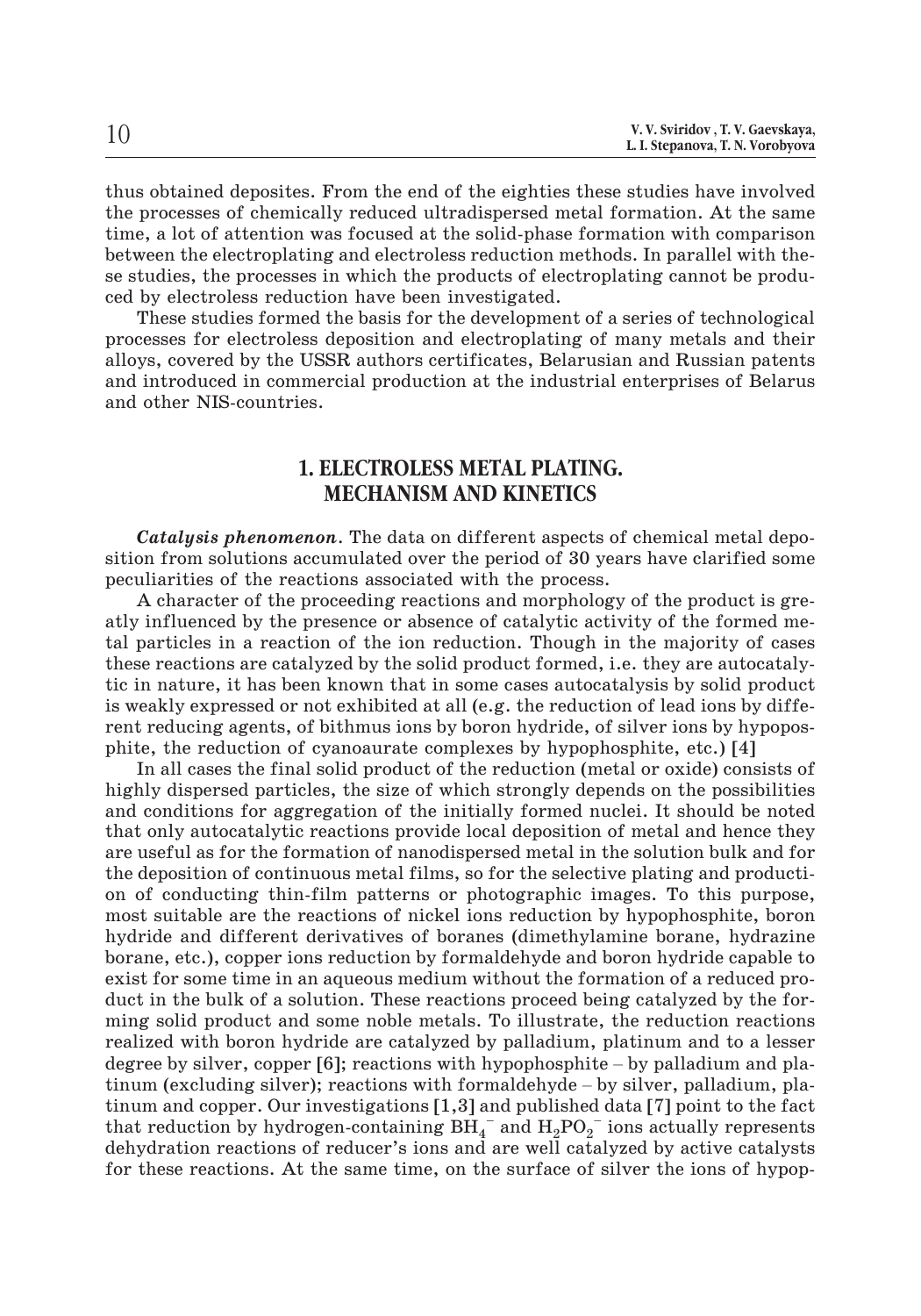thus obtained deposites. From the end of the eighties these studies have involved the processes of chemically reduced ultradispersed metal formation. At the same time, a lot of attention was focused at the solid-phase formation with comparison between the electroplating and electroless reduction methods. In parallel with these studies, the processes in which the products of electroplating cannot be produced by electroless reduction have been investigated.

These studies formed the basis for the development of a series of technological processes for electroless deposition and electroplating of many metals and their alloys, covered by the USSR authors certificates, Belarusian and Russian patents and introduced in commercial production at the industrial enterprises of Belarus and other NIS-countries.

## **1. ELECTROLESS METAL PLATING. MECHANISM AND KINETICS**

*Catalysis phenomenon*. The data on different aspects of chemical metal deposition from solutions accumulated over the period of 30 years have clarified some peculiarities of the reactions associated with the process.

A character of the proceeding reactions and morphology of the product is greatly influenced by the presence or absence of catalytic activity of the formed metal particles in a reaction of the ion reduction. Though in the majority of cases these reactions are catalyzed by the solid product formed, i.e. they are autocatalytic in nature, it has been known that in some cases autocatalysis by solid product is weakly expressed or not exhibited at all (e.g. the reduction of lead ions by different reducing agents, of bithmus ions by boron hydride, of silver ions by hypoposphite, the reduction of cyanoaurate complexes by hypophosphite, etc.) [4]

In all cases the final solid product of the reduction (metal or oxide) consists of highly dispersed particles, the size of which strongly depends on the possibilities and conditions for aggregation of the initially formed nuclei. It should be noted that only autocatalytic reactions provide local deposition of metal and hence they are useful as for the formation of nanodispersed metal in the solution bulk and for the deposition of continuous metal films, so for the selective plating and production of conducting thin-film patterns or photographic images. To this purpose, most suitable are the reactions of nickel ions reduction by hypophosphite, boron hydride and different derivatives of boranes (dimethylamine borane, hydrazine borane, etc.), copper ions reduction by formaldehyde and boron hydride capable to exist for some time in an aqueous medium without the formation of a reduced product in the bulk of a solution. These reactions proceed being catalyzed by the forming solid product and some noble metals. To illustrate, the reduction reactions realized with boron hydride are catalyzed by palladium, platinum and to a lesser degree by silver, copper [6]; reactions with hypophosphite – by palladium and pla-<br>degree by silver, copper ions reduction by formal<br>dehyde and boron hydride capable to<br>exist for some time in an aqueous medium without the the set of social system is a reduced by the mattering of and set of hydric expansive exist for some time in an aqueous medium without the formation of a reduced product in the bulk of a solution. These reactions proceed tinum and copper. Our investigations [1,3] and published data [7] point to the fact that reduction by hydrogen-containing  $\overline{BH}_4^-$  and  $\overline{H}_2\overline{PO}_2^-$  ions actually represents dehydration reactions of reducer's ions and are well catalyzed by active catalysts for these reactions. At the same time, on the surface of silver the ions of hypop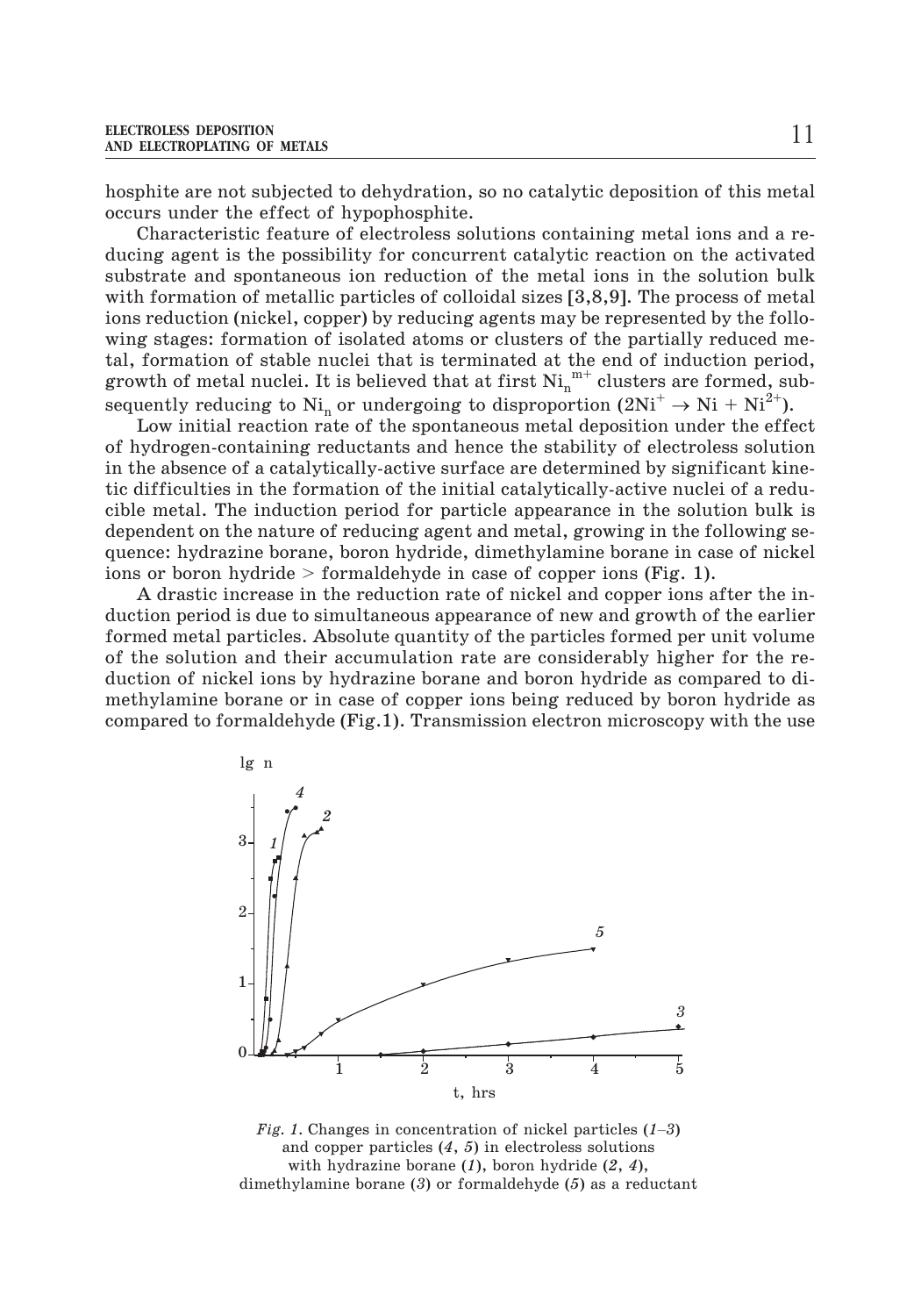hosphite are not subjected to dehydration, so no catalytic deposition of this metal occurs under the effect of hypophosphite.

Characteristic feature of electroless solutions containing metal ions and a reducing agent is the possibility for concurrent catalytic reaction on the activated substrate and spontaneous ion reduction of the metal ions in the solution bulk with formation of metallic particles of colloidal sizes [3,8,9]. The process of metal ions reduction (nickel, copper) by reducing agents may be represented by the following stages: formation of isolated atoms or clusters of the partially reduced metal, formation of stable nuclei that is terminated at the end of induction period, growth of metal nuclei. It is believed that at first  $\mathrm{Ni}_{\mathrm{n}}^{\mathrm{~m+}}$  clusters are formed, subsequently reducing to  $\mathrm{Ni}_{\mathrm{n}}$  or undergoing to disproportion  $(2\mathrm{Ni}^+ \rightarrow \mathrm{Ni} + \mathrm{Ni}^{2+})$ .

Low initial reaction rate of the spontaneous metal deposition under the effect of hydrogen-containing reductants and hence the stability of electroless solution in the absence of a catalytically-active surface are determined by significant kinetic difficulties in the formation of the initial catalytically-active nuclei of a reducible metal. The induction period for particle appearance in the solution bulk is dependent on the nature of reducing agent and metal, growing in the following sequence: hydrazine borane, boron hydride, dimethylamine borane in case of nickel ions or boron hydride  $>$  formaldehyde in case of copper ions (Fig. 1).

A drastic increase in the reduction rate of nickel and copper ions after the induction period is due to simultaneous appearance of new and growth of the earlier formed metal particles. Absolute quantity of the particles formed per unit volume of the solution and their accumulation rate are considerably higher for the reduction of nickel ions by hydrazine borane and boron hydride as compared to dimethylamine borane or in case of copper ions being reduced by boron hydride as compared to formaldehyde (Fig.1). Transmission electron microscopy with the use



and copper particles (*4*, *5*) in electroless solutions with hydrazine borane (*1*), boron hydride (*2*, *4*), dimethylamine borane (*3*) or formaldehyde (*5*) as a reductant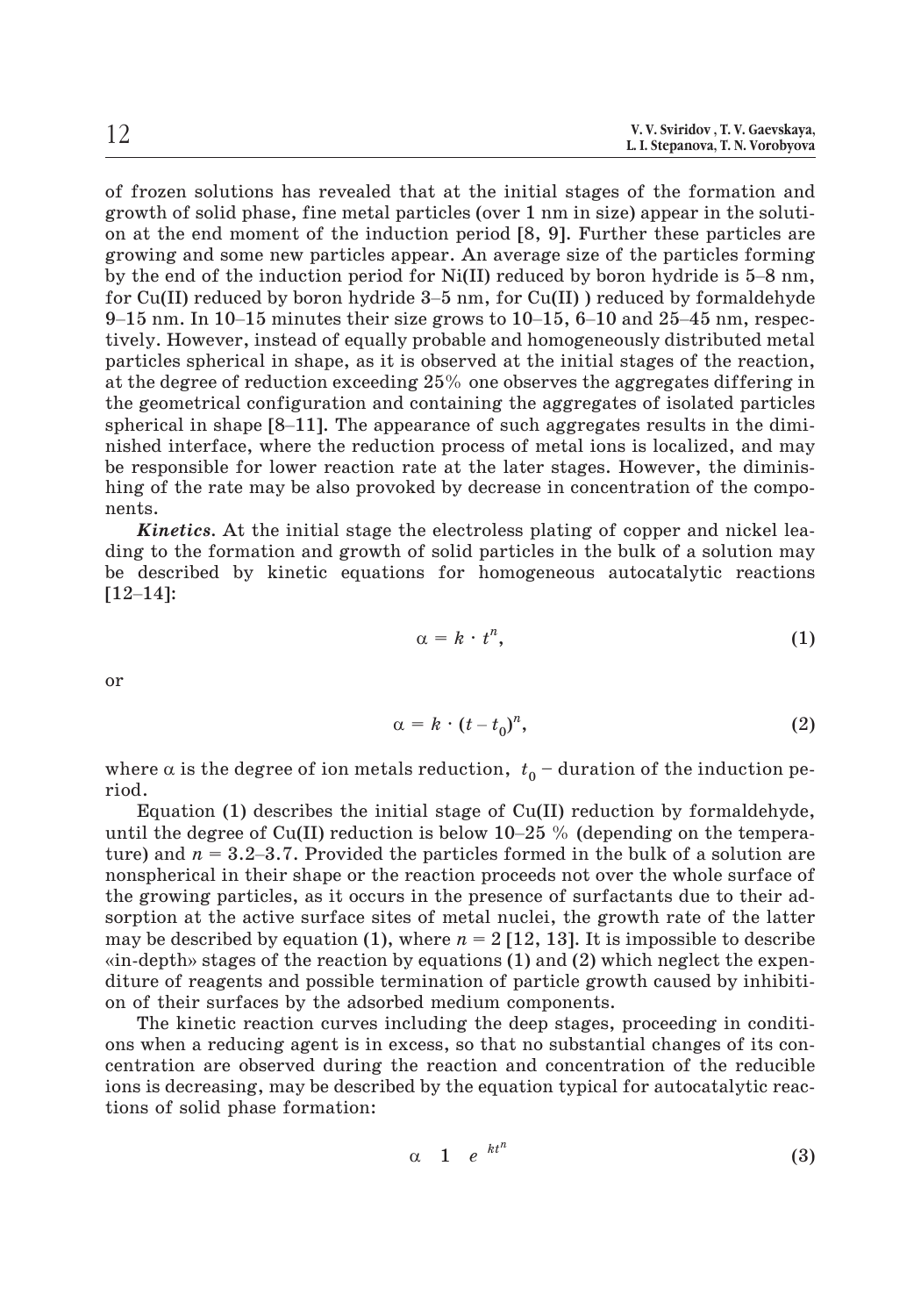of frozen solutions has revealed that at the initial stages of the formation and growth of solid phase, fine metal particles (over 1 nm in size) appear in the solution at the end moment of the induction period [8, 9]. Further these particles are growing and some new particles appear. An average size of the particles forming of frozen solutions has revealed that at the initial stages of the formation and<br>growth of solid phase, fine metal particles (over 1 nm in size) appear in the soluti-<br>on at the end moment of the induction period [8, 9]. F of frozen solutions has revealed that at the initial stages of the formation and<br>growth of solid phase, fine metal particles (over 1 nm in size) appear in the soluti-<br>on at the end moment of the induction period [8, 9]. F growth of solid phase, fine metal particles (over 1 nm in size) appear in the solution at the end moment of the induction period [8, 9]. Further these particles are growing and some new particles appear. An average size o tively. However, instead of equally probable and homogeneously distributed metal particles spherical in shape, as it is observed at the initial stages of the reaction, at the degree of reduction exceeding 25% one observes the aggregates differing in the geometrical configuration and containing the aggregates of isolated particles 9–15 nm. In 10–15 minutes their size grows to 10–15, 6–10 and 25–45 nm, respectively. However, instead of equally probable and homogeneously distributed metal particles spherical in shape, as it is observed at the initial nished interface, where the reduction process of metal ions is localized, and may be responsible for lower reaction rate at the later stages. However, the diminisnents.

hing of the rate may be also provoked by decrease in concentration of the components.<br> **Kinetics**. At the initial stage the electroless plating of copper and nickel leading to the formation and growth of solid particles in *Kinetics.* At the initial stage the electroless plating of copper and nickel leading to the formation and growth of solid particles in the bulk of a solution may be described by kinetic equations for homogeneous autocatalytic reactions

or

$$
\alpha = k \cdot t^n, \tag{1}
$$

$$
\alpha = k \cdot t^n,
$$
\n
$$
\alpha = k \cdot (t - t_0)^n,
$$
\n(2)

where  $\alpha$  is the degree of ion metals reduction,  $\,t_0^{\phantom{\dag}}\,$  – duration of the induction period.  $\alpha = k \cdot (t - t_0)^n$ , (2)<br>where  $\alpha$  is the degree of ion metals reduction,  $t_0$  – duration of the induction pe-<br>riod.<br>Equation (1) describes the initial stage of Cu(II) reduction by formaldehyde,<br>until the degree of Cu(II)

Equation (1) describes the initial stage of  $Cu(II)$  reduction by formaldehyde, where  $\alpha$  is the degree of ion metals reduction,  $t_0$  – duration of the induction period.<br>
Equation (1) describes the initial stage of Cu(II) reduction by formaldehyde,<br>
until the degree of Cu(II) reduction is below 10– nonspherical in their shape or the reaction proceeds not over the whole surface of the growing particles, as it occurs in the presence of surfactants due to their adsorption at the active surface sites of metal nuclei, the growth rate of the latter may be described by equation (1), where  $n = 2$  [12, 13]. It is impossible to describe until the degree of Cu(II) reduction is below 10–25 % (depending on the temperature) and  $n = 3.2$ –3.7. Provided the particles formed in the bulk of a solution are intered and  $n = 3.2-3.7$ . Provided the particles formed in the bulk of a solution are onspherical in their shape or the reaction proceeds not over the whole surface of the growing particles, as it occurs in the presence o diture of reagents and possible termination of particle growth caused by inhibition of their surfaces by the adsorbed medium components.

The kinetic reaction curves including the deep stages, proceeding in conditions when a reducing agent is in excess, so that no substantial changes of its concentration are observed during the reaction and concentration of the reducible ions is decreasing, may be described by the equation typical for autocatalytic reactions of solid phase formation:

$$
\alpha \quad 1 \quad e^{-kt^n} \tag{3}
$$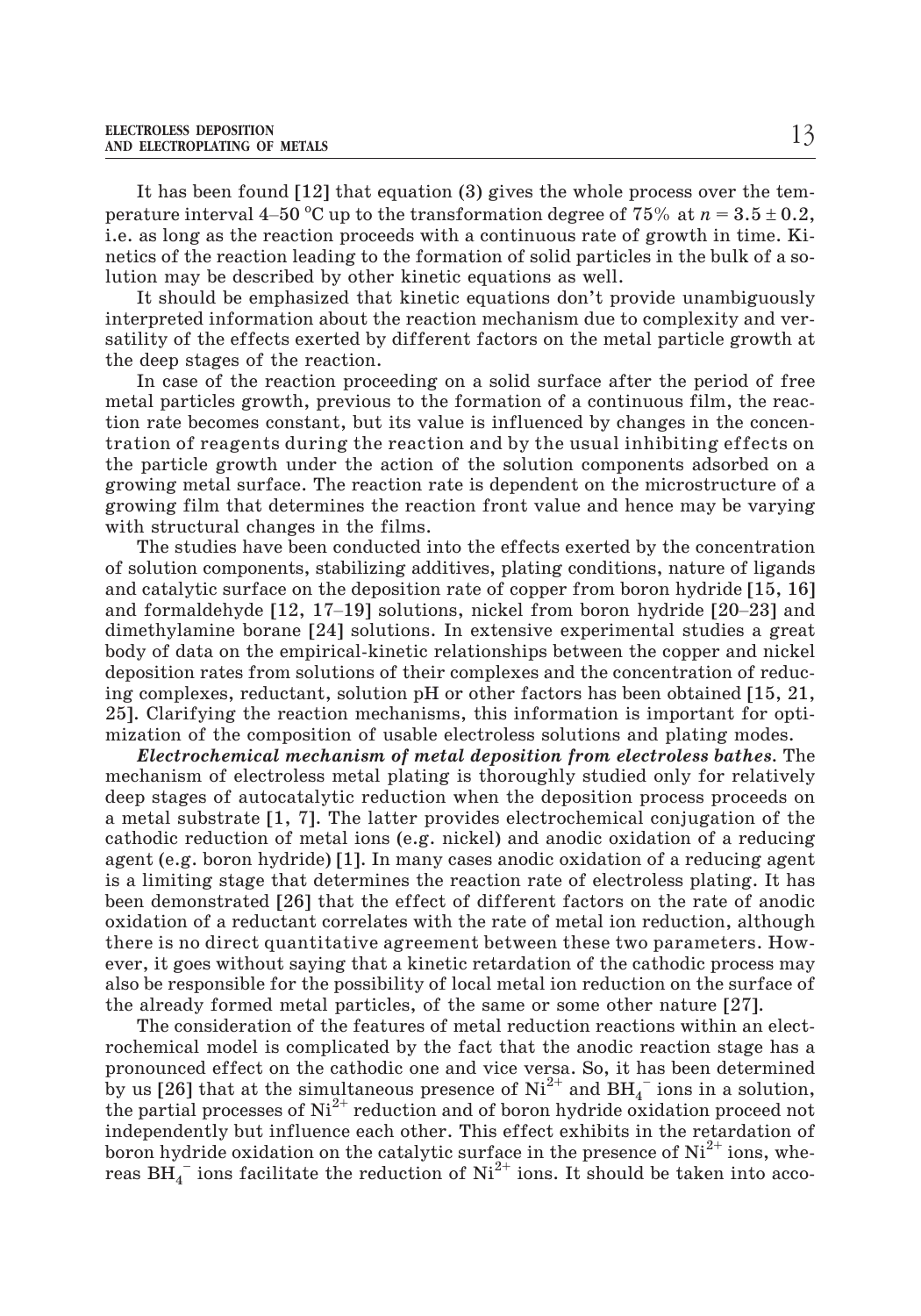It has been found [12] that equation (3) gives the whole process over the tem-ELECTROLESS DEPOSITION<br>AND ELECTROPLATING OF METALS<br>It has been found [12] that equation (3) gives the whole process over the tem-<br>perature interval 4–50 °C up to the transformation degree of 75% at  $n = 3.5 \pm 0.2$ , i.e. as long as the reaction proceeds with a continuous rate of growth in time. Kinetics of the reaction leading to the formation of solid particles in the bulk of a solution may be described by other kinetic equations as well.

It should be emphasized that kinetic equations don't provide unambiguously interpreted information about the reaction mechanism due to complexity and versatility of the effects exerted by different factors on the metal particle growth at the deep stages of the reaction.

In case of the reaction proceeding on a solid surface after the period of free metal particles growth, previous to the formation of a continuous film, the reaction rate becomes constant, but its value is influenced by changes in the concentration of reagents during the reaction and by the usual inhibiting effects on the particle growth under the action of the solution components adsorbed on a growing metal surface. The reaction rate is dependent on the microstructure of a growing film that determines the reaction front value and hence may be varying with structural changes in the films.

The studies have been conducted into the effects exerted by the concentration of solution components, stabilizing additives, plating conditions, nature of ligands and catalytic surface on the deposition rate of copper from boron hydride [15, 16] and formaldehyde [12, 17–19] solutions, nickel from boron hydride [20–23] and dimethylamine borane [24] solutions. In extensive experimental studies a great body of data on the empirical-kinetic relationships between the copper and nickel deposition rates from solutions of their complexes and the concentration of reducing complexes, reductant, solution pH or other factors has been obtained [15, 21, 25]. Clarifying the reaction mechanisms, this information is important for optimization of the composition of usable electroless solutions and plating modes.

*Electrochemical mechanism of metal deposition from electroless bathes.* The mechanism of electroless metal plating is thoroughly studied only for relatively deep stages of autocatalytic reduction when the deposition process proceeds on a metal substrate [1, 7]. The latter provides electrochemical conjugation of the cathodic reduction of metal ions (e.g. nickel) and anodic oxidation of a reducing agent (e.g. boron hydride) [1]. In many cases anodic oxidation of a reducing agent is a limiting stage that determines the reaction rate of electroless plating. It has been demonstrated [26] that the effect of different factors on the rate of anodic oxidation of a reductant correlates with the rate of metal ion reduction, although there is no direct quantitative agreement between these two parameters. However, it goes without saying that a kinetic retardation of the cathodic process may also be responsible for the possibility of local metal ion reduction on the surface of the already formed metal particles, of the same or some other nature [27].

The consideration of the features of metal reduction reactions within an electrochemical model is complicated by the fact that the anodic reaction stage has a pronounced effect on the cathodic one and vice versa. So, it has been determined by us [26] that at the simultaneous presence of  $\mathrm{Ni^{2+}}$  and  $\mathrm{BH_{4}^{-}}$  ions in a solution, the partial processes of  $Ni^{2+}$  reduction and of boron hydride oxidation proceed not independently but influence each other. This effect exhibits in the retardation of boron hydride oxidation on the catalytic surface in the presence of  $Ni<sup>2+</sup>$  ions, whereas  $\overline{\mathrm{BH}}_{4}^{-}$  ions facilitate the reduction of  $\mathrm{Ni}^{2+}$  ions. It should be taken into acco-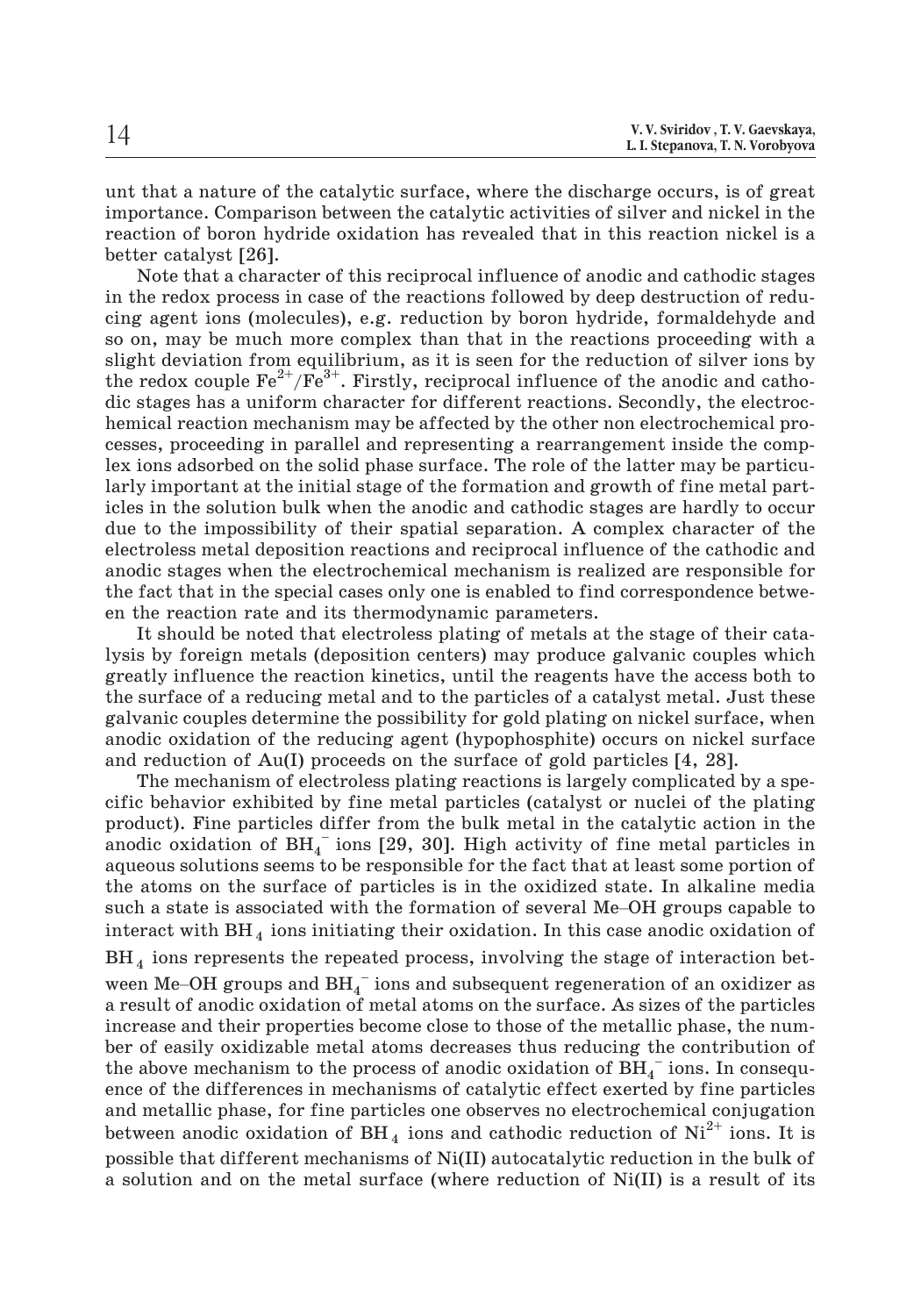unt that a nature of the catalytic surface, where the discharge occurs, is of great importance. Comparison between the catalytic activities of silver and nickel in the reaction of boron hydride oxidation has revealed that in this reaction nickel is a better catalyst [26].

Note that a character of this reciprocal influence of anodic and cathodic stages in the redox process in case of the reactions followed by deep destruction of reducing agent ions (molecules), e.g. reduction by boron hydride, formaldehyde and so on, may be much more complex than that in the reactions proceeding with a slight deviation from equilibrium, as it is seen for the reduction of silver ions by the redox couple  $\text{Fe}^{2+}/\text{Fe}^{3+}$ . Firstly, reciprocal influence of the anodic and cathodic stages has a uniform character for different reactions. Secondly, the electrochemical reaction mechanism may be affected by the other non electrochemical processes, proceeding in parallel and representing a rearrangement inside the complex ions adsorbed on the solid phase surface. The role of the latter may be particularly important at the initial stage of the formation and growth of fine metal particles in the solution bulk when the anodic and cathodic stages are hardly to occur due to the impossibility of their spatial separation. A complex character of the electroless metal deposition reactions and reciprocal influence of the cathodic and anodic stages when the electrochemical mechanism is realized are responsible for the fact that in the special cases only one is enabled to find correspondence between the reaction rate and its thermodynamic parameters.

It should be noted that electroless plating of metals at the stage of their catalysis by foreign metals (deposition centers) may produce galvanic couples which greatly influence the reaction kinetics, until the reagents have the access both to the surface of a reducing metal and to the particles of a catalyst metal. Just these galvanic couples determine the possibility for gold plating on nickel surface, when anodic oxidation of the reducing agent (hypophosphite) occurs on nickel surface and reduction of Au(I) proceeds on the surface of gold particles [4, 28].

The mechanism of electroless plating reactions is largely complicated by a specific behavior exhibited by fine metal particles (catalyst or nuclei of the plating product). Fine particles differ from the bulk metal in the catalytic action in the anodic oxidation of  $\text{BH}_4^-$  ions [29, 30]. High activity of fine metal particles in aqueous solutions seems to be responsible for the fact that at least some portion of the atoms on the surface of particles is in the oxidized state. In alkaline media if the mechanism of electroness plating reactions is angery compredict by a specific behavior exhibited by fine metal particles (catalyst or nuclei of the plating product). Fine particles differ from the bulk metal in the interact with  $BH<sub>4</sub>$  ions initiating their oxidation. In this case anodic oxidation of  $BH_4$  ions represents the repeated process, involving the stage of interaction betaqueous solutions seems to be responsible for the fact that at least some portion of<br>the atoms on the surface of particles is in the oxidized state. In alkaline media<br>such a state is associated with the formation of sever

a result of anodic oxidation of metal atoms on the surface. As sizes of the particles increase and their properties become close to those of the metallic phase, the number of easily oxidizable metal atoms decreases thus reducing the contribution of the above mechanism to the process of anodic oxidation of  $\overline{\mathrm{BH}_4}^{-}$  ions. In consequence of the differences in mechanisms of catalytic effect exerted by fine particles and metallic phase, for fine particles one observes no electrochemical conjugation between anodic oxidation of BH<sub>4</sub> ions and cathodic reduction of  $Ni^{2+}$  ions. It is possible that different mechanisms of Ni(II) autocatalytic reduction in the bulk of a solution and on the metal surface (where reduction of Ni(II) is a result of its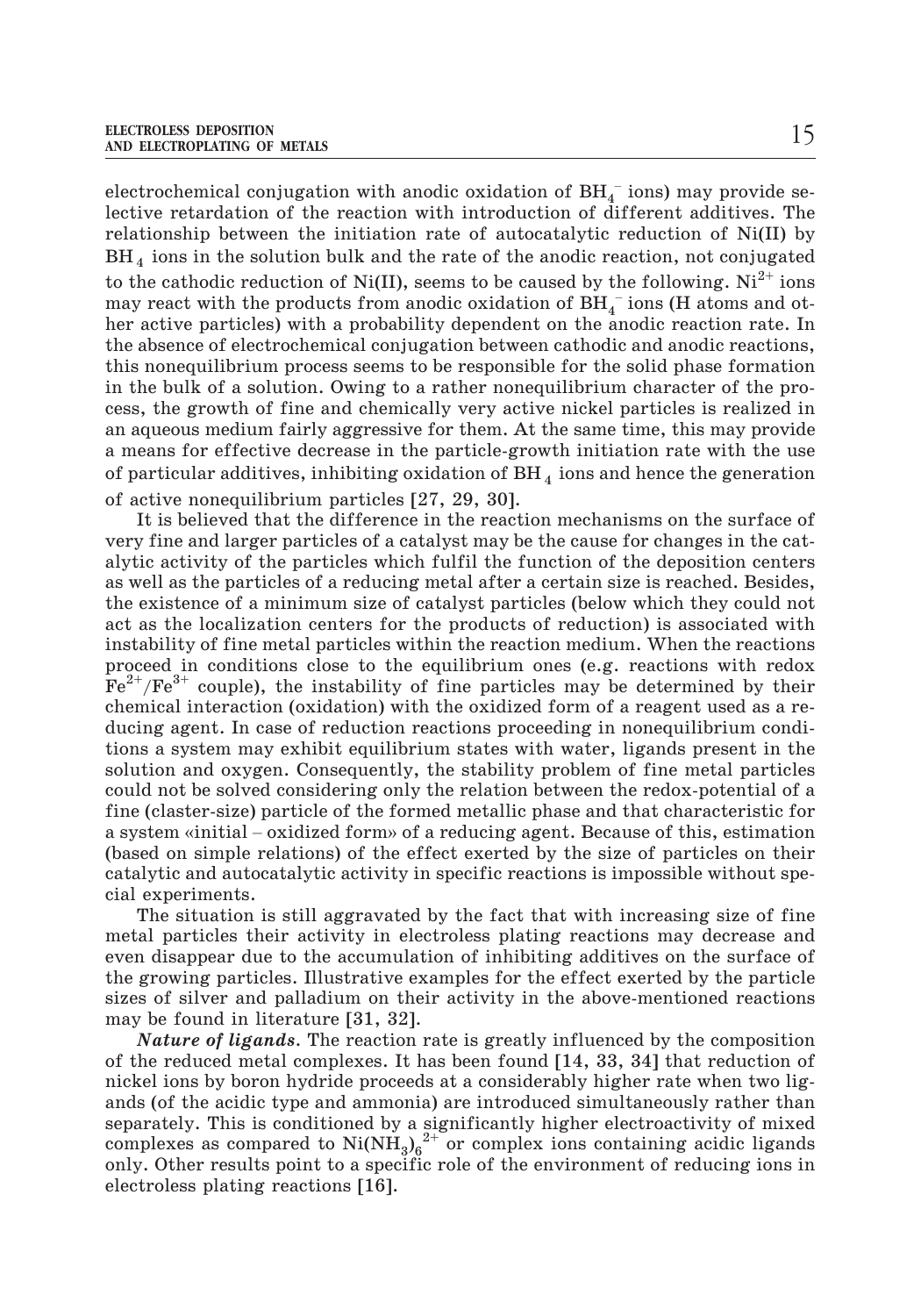electrochemical conjugation with anodic oxidation of  $\operatorname{BH}_4^-$  ions) may provide selective retardation of the reaction with introduction of different additives. The –relationship between the initiation rate of autocatalytic reduction of Ni(II) by BH<sub>4</sub> ions in the solution bulk and the rate of the anodic reaction, not conjugated to the cathodic reduction of Ni(II), seems to be caused by the following.  $Ni^{2+}$  ions may react with the products from anodic oxidation of  $\operatorname{BH}_4^-$  ions (H atoms and other active particles) with a probability dependent on the anodic reaction rate. In the absence of electrochemical conjugation between cathodic and anodic reactions, this nonequilibrium process seems to be responsible for the solid phase formation in the bulk of a solution. Owing to a rather nonequilibrium character of the process, the growth of fine and chemically very active nickel particles is realized in an aqueous medium fairly aggressive for them. At the same time, this may provide a means for effective decrease in the particle-growth initiation rate with the use of particular additives, inhibiting oxidation of  $BH<sub>4</sub>$  ions and hence the generation of active nonequilibrium particles [27, 29, 30].

It is believed that the difference in the reaction mechanisms on the surface of very fine and larger particles of a catalyst may be the cause for changes in the catalytic activity of the particles which fulfil the function of the deposition centers as well as the particles of a reducing metal after a certain size is reached. Besides, the existence of a minimum size of catalyst particles (below which they could not act as the localization centers for the products of reduction) is associated with instability of fine metal particles within the reaction medium. When the reactions proceed in conditions close to the equilibrium ones (e.g. reactions with redox  $Fe^{2+}/Fe^{3+}$  couple), the instability of fine particles may be determined by their chemical interaction (oxidation) with the oxidized form of a reagent used as a reducing agent. In case of reduction reactions proceeding in nonequilibrium conditions a system may exhibit equilibrium states with water, ligands present in the solution and oxygen. Consequently, the stability problem of fine metal particles could not be solved considering only the relation between the redox-potential of a fine (claster-size) particle of the formed metallic phase and that characteristic for dentificant interaction (oxidation) with the oxidized form of a reagent used as a re-<br>ducing agent. In case of reduction reactions proceeding in nonequilibrium condi-<br>tions a system may exhibit equilibrium states with wate (based on simple relations) of the effect exerted by the size of particles on their catalytic and autocatalytic activity in specific reactions is impossible without special experiments.

The situation is still aggravated by the fact that with increasing size of fine metal particles their activity in electroless plating reactions may decrease and even disappear due to the accumulation of inhibiting additives on the surface of the growing particles. Illustrative examples for the effect exerted by the particle sizes of silver and palladium on their activity in the above-mentioned reactions may be found in literature [31, 32].

*Nature of ligands*. The reaction rate is greatly influenced by the composition of the reduced metal complexes. It has been found [14, 33, 34] that reduction of nickel ions by boron hydride proceeds at a considerably higher rate when two ligands (of the acidic type and ammonia) are introduced simultaneously rather than separately. This is conditioned by a significantly higher electroactivity of mixed complexes as compared to  $\text{Ni(NH}_3)_6^{2+}$  or complex ions containing acidic ligands only. Other results point to a specific role of the environment of reducing ions in electroless plating reactions [16].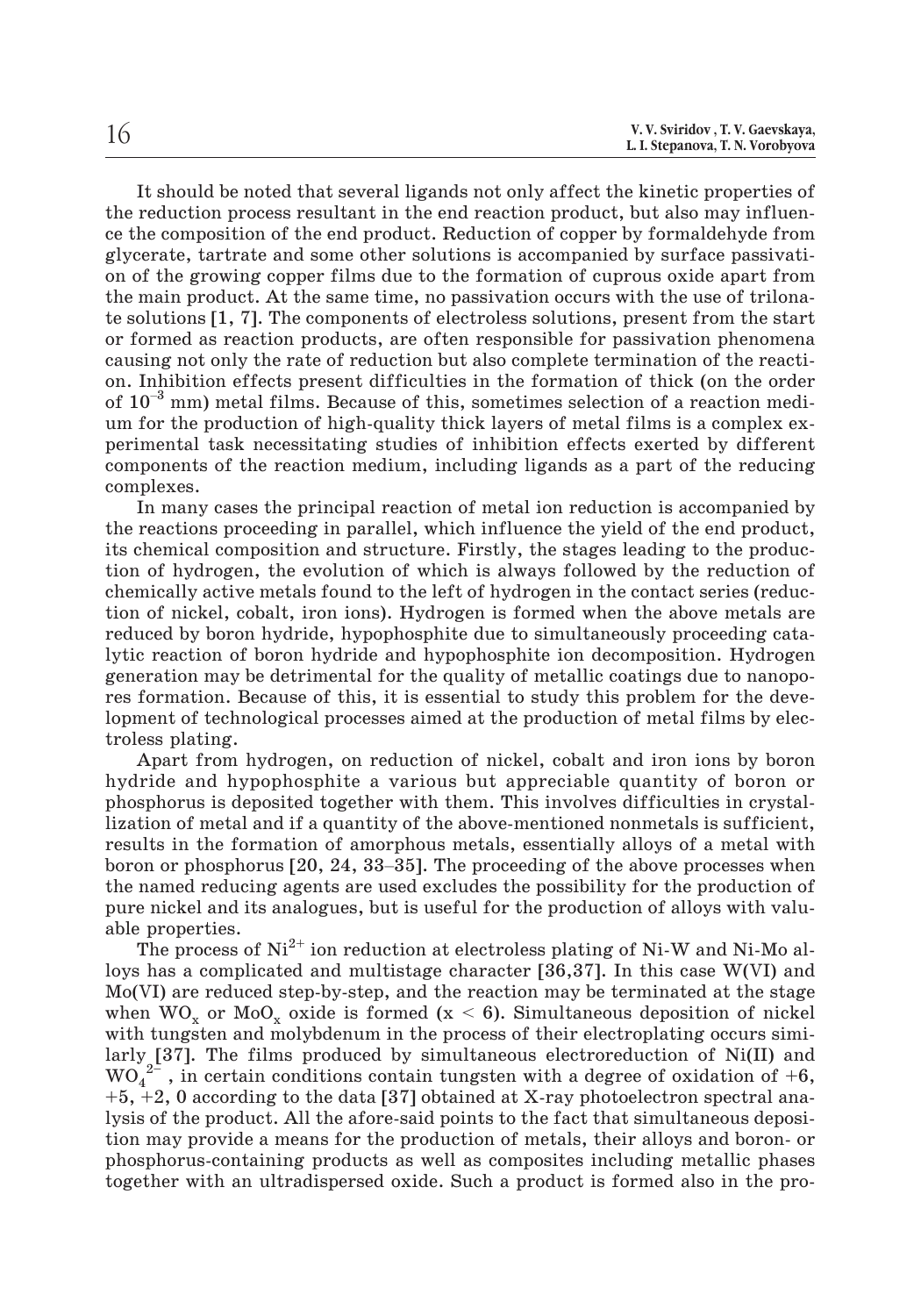It should be noted that several ligands not only affect the kinetic properties of the reduction process resultant in the end reaction product, but also may influence the composition of the end product. Reduction of copper by formaldehyde from glycerate, tartrate and some other solutions is accompanied by surface passivation of the growing copper films due to the formation of cuprous oxide apart from the main product. At the same time, no passivation occurs with the use of trilonate solutions [1, 7]. The components of electroless solutions, present from the start or formed as reaction products, are often responsible for passivation phenomena causing not only the rate of reduction but also complete termination of the reaction. Inhibition effects present difficulties in the formation of thick (on the order of  $10^{-3}$  mm) metal films. Because of this, sometimes selection of a reaction medium for the production of high-quality thick layers of metal films is a complex experimental task necessitating studies of inhibition effects exerted by different components of the reaction medium, including ligands as a part of the reducing complexes.

In many cases the principal reaction of metal ion reduction is accompanied by the reactions proceeding in parallel, which influence the yield of the end product, its chemical composition and structure. Firstly, the stages leading to the production of hydrogen, the evolution of which is always followed by the reduction of chemically active metals found to the left of hydrogen in the contact series (reduction of nickel, cobalt, iron ions). Hydrogen is formed when the above metals are reduced by boron hydride, hypophosphite due to simultaneously proceeding catalytic reaction of boron hydride and hypophosphite ion decomposition. Hydrogen generation may be detrimental for the quality of metallic coatings due to nanopores formation. Because of this, it is essential to study this problem for the development of technological processes aimed at the production of metal films by electroless plating.

Apart from hydrogen, on reduction of nickel, cobalt and iron ions by boron hydride and hypophosphite a various but appreciable quantity of boron or phosphorus is deposited together with them. This involves difficulties in crystallization of metal and if a quantity of the above-mentioned nonmetals is sufficient, results in the formation of amorphous metals, essentially alloys of a metal with boron or phosphorus [20, 24, 33–35]. The proceeding of the above processes when the named reducing agents are used excludes the possibility for the production of pure nickel and its analogues, but is useful for the production of alloys with valuable properties.

The process of  $Ni<sup>2+</sup>$  ion reduction at electroless plating of Ni-W and Ni-Mo alloys has a complicated and multistage character [36,37]. In this case W(VI) and Mo(VI) are reduced step-by-step, and the reaction may be terminated at the stage when  $WO_x$  or  $Mod_x$  oxide is formed ( $x < 6$ ). Simultaneous deposition of nickel with tungsten and molybdenum in the process of their electroplating occurs similarly [37]. The films produced by simultaneous electroreduction of Ni(II) and  $WO_4^2$ , in certain conditions contain tungsten with a degree of oxidation of +6,  $+5$ ,  $+2$ , 0 according to the data [37] obtained at X-ray photoelectron spectral analysis of the product. All the afore-said points to the fact that simultaneous deposition may provide a means for the production of metals, their alloys and boron- or phosphorus-containing products as well as composites including metallic phases together with an ultradispersed oxide. Such a product is formed also in the pro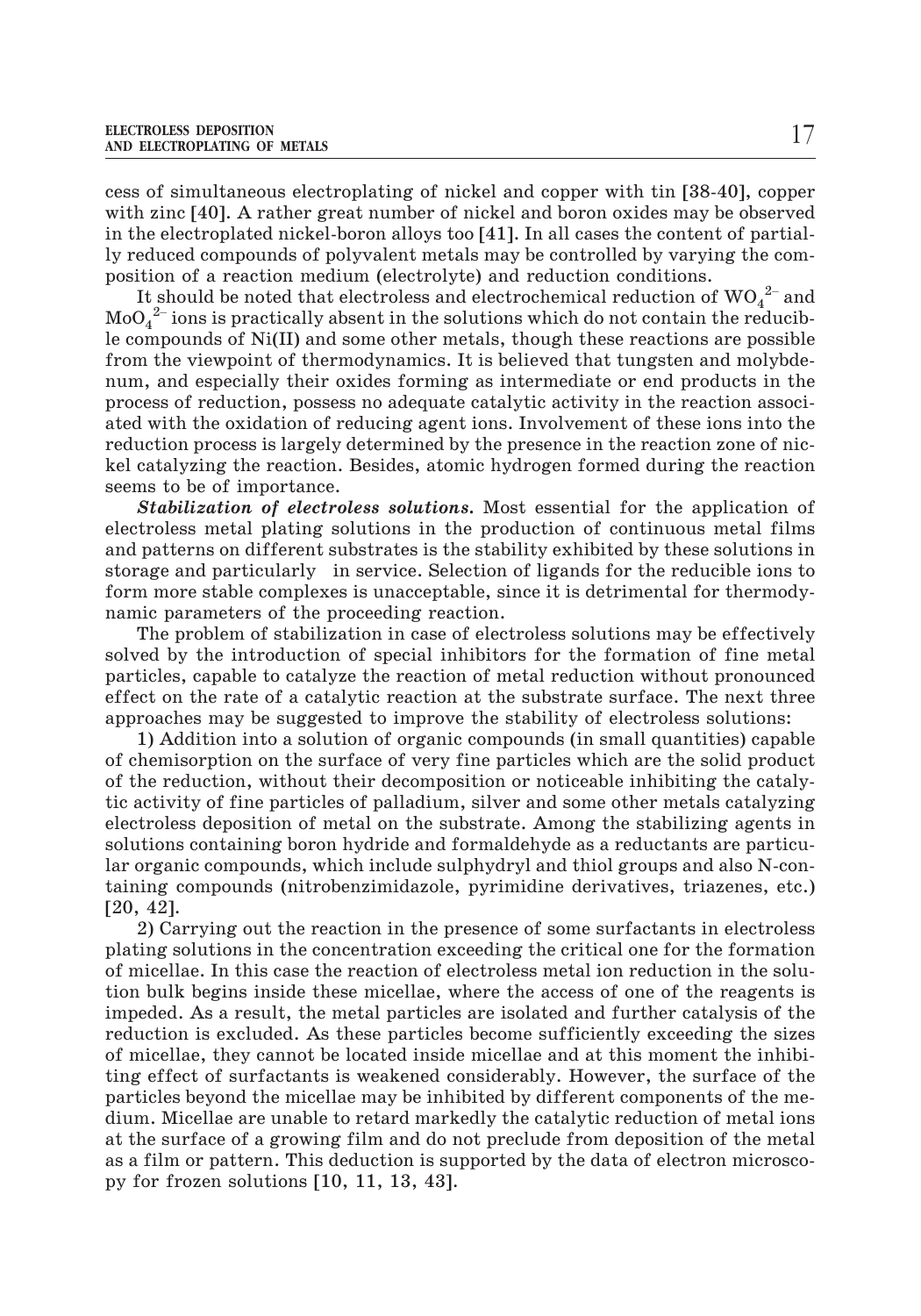cess of simultaneous electroplating of nickel and copper with tin [38-40], copper with zinc [40]. A rather great number of nickel and boron oxides may be observed in the electroplated nickel-boron alloys too [41]. In all cases the content of partially reduced compounds of polyvalent metals may be controlled by varying the composition of a reaction medium (electrolyte) and reduction conditions. h zinc [40]. A rather great number of nickel and boron oxides may be observed<br>he electroplated nickel-boron alloys too [41]. In all cases the content of partial-<br>educed compounds of polyvalent metals may be controlled by e electroplated nickel-boron alloys too [41]. In all cases the content of partial-<br>luced compounds of polyvalent metals may be controlled by varying the com-<br>on of a reaction medium (electrolyte) and reduction conditions.

 $\text{MoO}_4^{2-}$  ions is practically absent in the solutions which do not contain the reducible compounds of Ni(II) and some other metals, though these reactions are possible from the viewpoint of thermodynamics. It is believed that tungsten and molybdenum, and especially their oxides forming as intermediate or end products in the process of reduction, possess no adequate catalytic activity in the reaction associated with the oxidation of reducing agent ions. Involvement of these ions into the reduction process is largely determined by the presence in the reaction zone of nickel catalyzing the reaction. Besides, atomic hydrogen formed during the reaction seems to be of importance.

*Stabilization of electroless solutions***.** Most essential for the application of electroless metal plating solutions in the production of continuous metal films and patterns on different substrates is the stability exhibited by these solutions in storage and particularly in service. Selection of ligands for the reducible ions to form more stable complexes is unacceptable, since it is detrimental for thermodynamic parameters of the proceeding reaction.

The problem of stabilization in case of electroless solutions may be effectively solved by the introduction of special inhibitors for the formation of fine metal particles, capable to catalyze the reaction of metal reduction without pronounced effect on the rate of a catalytic reaction at the substrate surface. The next three approaches may be suggested to improve the stability of electroless solutions:

1) Addition into a solution of organic compounds (in small quantities) capable of chemisorption on the surface of very fine particles which are the solid product of the reduction, without their decomposition or noticeable inhibiting the catalytic activity of fine particles of palladium, silver and some other metals catalyzing electroless deposition of metal on the substrate. Among the stabilizing agents in solutions containing boron hydride and formaldehyde as a reductants are particular organic compounds, which include sulphydryl and thiol groups and also N-containing compounds (nitrobenzimidazole, pyrimidine derivatives, triazenes, etc.) [20, 42].

2) Carrying out the reaction in the presence of some surfactants in electroless plating solutions in the concentration exceeding the critical one for the formation of micellae. In this case the reaction of electroless metal ion reduction in the solution bulk begins inside these micellae, where the access of one of the reagents is impeded. As a result, the metal particles are isolated and further catalysis of the reduction is excluded. As these particles become sufficiently exceeding the sizes of micellae, they cannot be located inside micellae and at this moment the inhibiting effect of surfactants is weakened considerably. However, the surface of the particles beyond the micellae may be inhibited by different components of the medium. Micellae are unable to retard markedly the catalytic reduction of metal ions at the surface of a growing film and do not preclude from deposition of the metal as a film or pattern. This deduction is supported by the data of electron microscopy for frozen solutions [10, 11, 13, 43].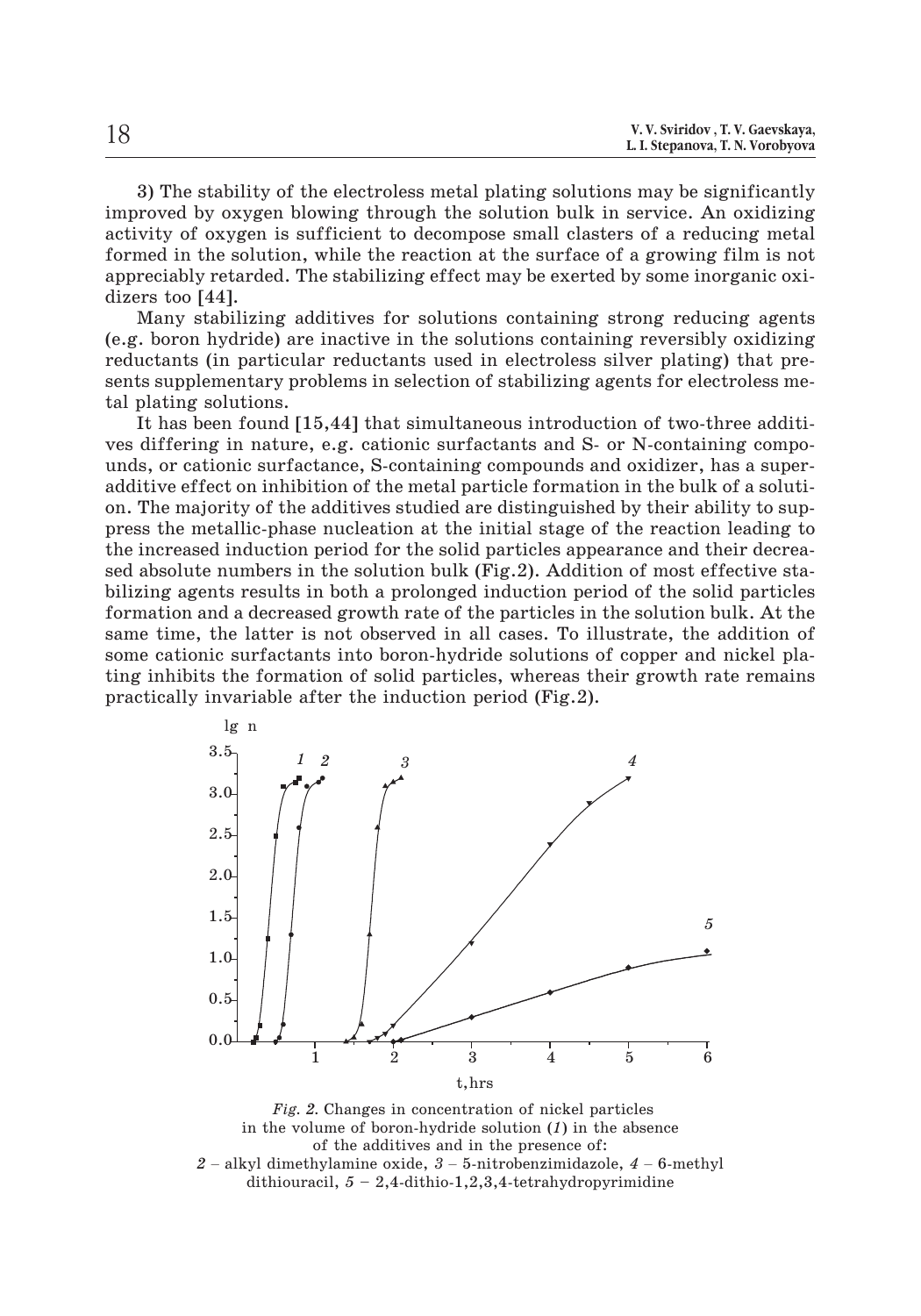| V. V. Sviridov, T. V. Gaevskaya,<br>L. I. Stepanova, T. N. Vorobyova |
|----------------------------------------------------------------------|
|                                                                      |

3) The stability of the electroless metal plating solutions may be significantly improved by oxygen blowing through the solution bulk in service. An oxidizing activity of oxygen is sufficient to decompose small clasters of a reducing metal formed in the solution, while the reaction at the surface of a growing film is not appreciably retarded. The stabilizing effect may be exerted by some inorganic oxidizers too [44].

Many stabilizing additives for solutions containing strong reducing agents (e.g. boron hydride) are inactive in the solutions containing reversibly oxidizing reductants (in particular reductants used in electroless silver plating) that presents supplementary problems in selection of stabilizing agents for electroless metal plating solutions.

It has been found [15,44] that simultaneous introduction of two-three additives differing in nature, e.g. cationic surfactants and S- or N-containing compounds, or cationic surfactance, S-containing compounds and oxidizer, has a superadditive effect on inhibition of the metal particle formation in the bulk of a solution. The majority of the additives studied are distinguished by their ability to suppress the metallic-phase nucleation at the initial stage of the reaction leading to the increased induction period for the solid particles appearance and their decreased absolute numbers in the solution bulk (Fig.2). Addition of most effective stabilizing agents results in both a prolonged induction period of the solid particles formation and a decreased growth rate of the particles in the solution bulk. At the same time, the latter is not observed in all cases. To illustrate, the addition of some cationic surfactants into boron-hydride solutions of copper and nickel plating inhibits the formation of solid particles, whereas their growth rate remains practically invariable after the induction period (Fig.2).



*Fig. 2.* Changes in concentration of nickel particles in the volume of boron-hydride solution (*1*) in the absence of the additives and in the presence of: 1 2 3 4 5 6<br>t,hrs<br>*Fig. 2*. Changes in concentration of nickel particles<br>in the volume of boron-hydride solution (1) in the absence<br>of the additives and in the presence of:<br> $2$  – alkyl dimethylamine oxide,  $3$  – 5-nitroben dithiouracil, *5 –* 2,4-dithio-1,2,3,4-tetrahydropyrimidine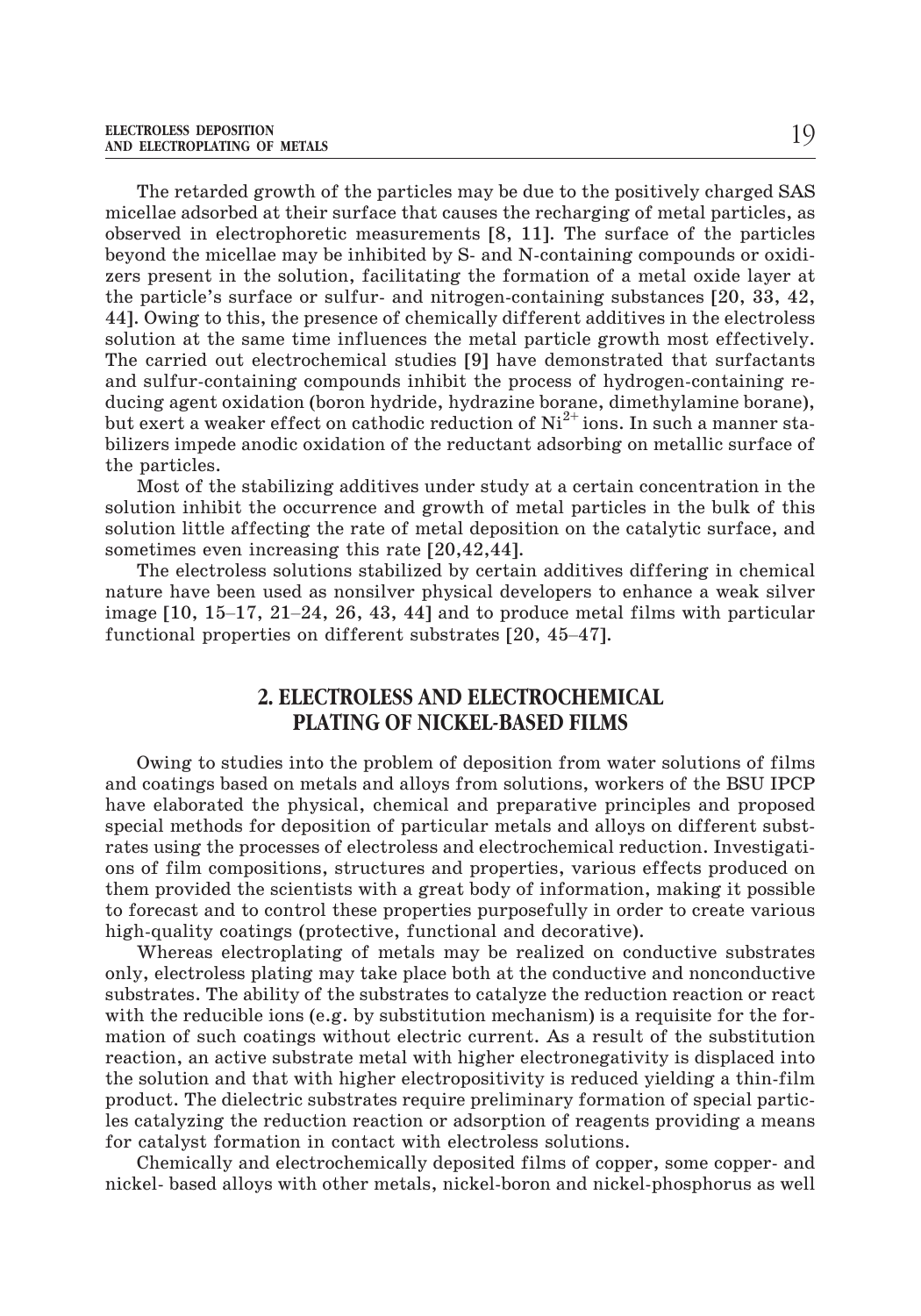The retarded growth of the particles may be due to the positively charged SAS micellae adsorbed at their surface that causes the recharging of metal particles, as observed in electrophoretic measurements [8, 11]. The surface of the particles beyond the micellae may be inhibited by S- and N-containing compounds or oxidizers present in the solution, facilitating the formation of a metal oxide layer at the particle's surface or sulfur- and nitrogen-containing substances [20, 33, 42, 44]. Owing to this, the presence of chemically different additives in the electroless solution at the same time influences the metal particle growth most effectively. The carried out electrochemical studies [9] have demonstrated that surfactants and sulfur-containing compounds inhibit the process of hydrogen-containing reducing agent oxidation (boron hydride, hydrazine borane, dimethylamine borane), but exert a weaker effect on cathodic reduction of  $Ni<sup>2+</sup>$  ions. In such a manner stabilizers impede anodic oxidation of the reductant adsorbing on metallic surface of the particles.

Most of the stabilizing additives under study at a certain concentration in the solution inhibit the occurrence and growth of metal particles in the bulk of this solution little affecting the rate of metal deposition on the catalytic surface, and sometimes even increasing this rate [20,42,44]. solution inhibit the occurrence and growth of metal particles in the bulk of this solution little affecting the rate of metal deposition on the catalytic surface, and sometimes even increasing this rate  $[20,42,44]$ .<br>The

The electroless solutions stabilized by certain additives differing in chemical nature have been used as nonsilver physical developers to enhance a weak silver solution little affecting the rate of metal deposition on the<br>solution little affecting the rate of metal deposition on the<br>sometimes even increasing this rate  $[20, 42, 44]$ .<br>The electroless solutions stabilized by certa

## **2. ELECTROLESS AND ELECTROCHEMICAL PLATING OF NICKEL-BASED FILMS**

Owing to studies into the problem of deposition from water solutions of films and coatings based on metals and alloys from solutions, workers of the BSU IPCP have elaborated the physical, chemical and preparative principles and proposed special methods for deposition of particular metals and alloys on different substrates using the processes of electroless and electrochemical reduction. Investigations of film compositions, structures and properties, various effects produced on them provided the scientists with a great body of information, making it possible to forecast and to control these properties purposefully in order to create various high-quality coatings (protective, functional and decorative).

Whereas electroplating of metals may be realized on conductive substrates only, electroless plating may take place both at the conductive and nonconductive substrates. The ability of the substrates to catalyze the reduction reaction or react with the reducible ions (e.g. by substitution mechanism) is a requisite for the formation of such coatings without electric current. As a result of the substitution reaction, an active substrate metal with higher electronegativity is displaced into the solution and that with higher electropositivity is reduced yielding a thin-film product. The dielectric substrates require preliminary formation of special particles catalyzing the reduction reaction or adsorption of reagents providing a means for catalyst formation in contact with electroless solutions.

Chemically and electrochemically deposited films of copper, some copper- and nickel- based alloys with other metals, nickel-boron and nickel-phosphorus as well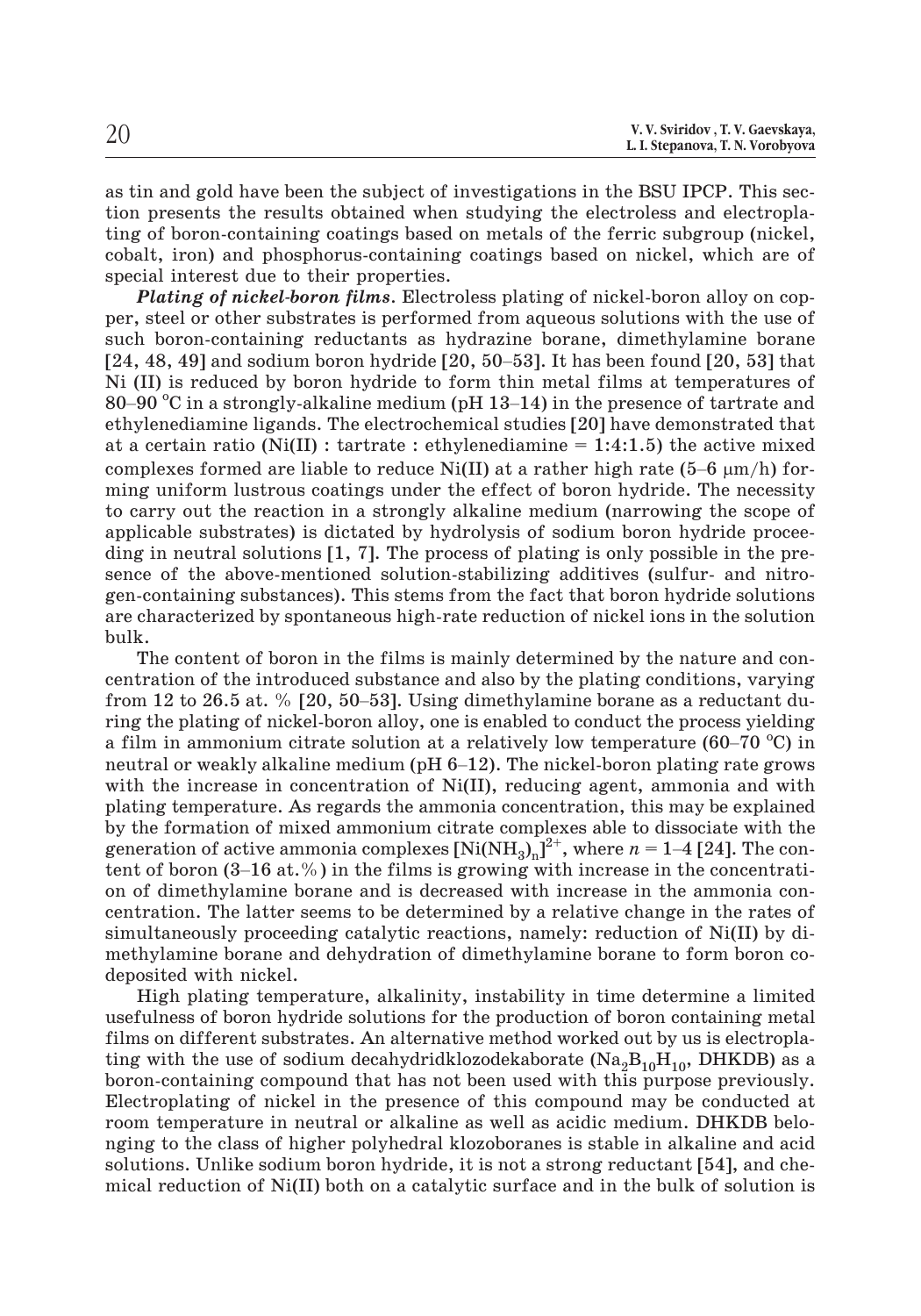| 20 | V. V. Sviridov, T. V. Gaevskaya, |
|----|----------------------------------|
|    | L. I. Stepanova, T. N. Vorobyova |

as tin and gold have been the subject of investigations in the BSU IPCP. This section presents the results obtained when studying the electroless and electroplating of boron-containing coatings based on metals of the ferric subgroup (nickel, special interest due to their properties.

cobalt, iron) and phosphorus-containing coatings based on nickel, which are of special interest due to their properties.<br> **Plating of nickel-boron films**. Electroless plating of nickel-boron alloy on copper, steel or other *Plating of nickel-boron films*. Electroless plating of nickel-boron alloy on copper, steel or other substrates is performed from aqueous solutions with the use of such boron-containing reductants as hydrazine borane, dimethylamine borane Ni (II) is reduced by boron hydride to form thin metal films at temperatures of **Plating of nickel-boron films.** Electroless plating of nickel-boron alloy on copper, steel or other substrates is performed from aqueous solutions with the use of such boron-containing reductants as hydrazine borane, dim ethylenediamine ligands. The electrochemical studies [20] have demonstrated that at a certain ratio (Ni(II) : tartrate : ethylenediamine  $= 1:4:1.5$ ) the active mixed [24, 48, 49] and sodium boron hydride [20, 50–53]. It has been found [20, 53] that Ni (II) is reduced by boron hydride to form thin metal films at temperatures of 80–90 °C in a strongly-alkaline medium (pH 13–14) in the p ming uniform lustrous coatings under the effect of boron hydride. The necessity to carry out the reaction in a strongly alkaline medium (narrowing the scope of applicable substrates) is dictated by hydrolysis of sodium boron hydride proceeding in neutral solutions [1, 7]. The process of plating is only possible in the presence of the above-mentioned solution-stabilizing additives (sulfur- and nitrogen-containing substances). This stems from the fact that boron hydride solutions are characterized by spontaneous high-rate reduction of nickel ions in the solution bulk. from 12 to 26.5 at. % [20, 50–53]. Using dimethylamine borane as a reductions are characterized by spontaneous high-rate reduction of nickel ions in the solution bulk.<br>The content of boron in the films is mainly determined

The content of boron in the films is mainly determined by the nature and concentration of the introduced substance and also by the plating conditions, varying ring the plating of nickel-boron alloy, one is enabled to conduct the process yielding bulk.<br>The content of boron in the films is mainly determined by the nature and<br>centration of the introduced substance and also by the plating conditions, var<br>from 12 to 26.5 at. % [20, 50–53]. Using dimethylamine borane a a film in ammonium citrate solution at a relatively low temperature (60–70 °C) in The content of boron in the films is mainly determined by the nature and concentration of the introduced substance and also by the plating conditions, varying from 12 to 26.5 at. % [20, 50–53]. Using dimethylamine borane with the increase in concentration of Ni(II), reducing agent, ammonia and with plating temperature. As regards the ammonia concentration, this may be explained by the formation of mixed ammonium citrate complexes able to dissociate with the a film in ammonium citrate solution at a relatively low temperature (60–70 °C) in neutral or weakly alkaline medium (pH 6–12). The nickel-boron plating rate grows with the increase in concentration of Ni(II), reducing age the tentral or weakly alkaline medium (pH 6–12). The nickel-boron plating rate grows<br>with the increase in concentration of Ni(II), reducing agent, ammonia and with<br>plating temperature. As regards the ammonia concentration on of dimethylamine borane and is decreased with increase in the ammonia concentration. The latter seems to be determined by a relative change in the rates of simultaneously proceeding catalytic reactions, namely: reduction of Ni(II) by dimethylamine borane and dehydration of dimethylamine borane to form boron codeposited with nickel.

High plating temperature, alkalinity, instability in time determine a limited usefulness of boron hydride solutions for the production of boron containing metal films on different substrates. An alternative method worked out by us is electroplating with the use of sodium decahydridklozodekaborate ( $Na<sub>2</sub>B<sub>10</sub>H<sub>10</sub>$ , DHKDB) as a boron-containing compound that has not been used with this purpose previously. Electroplating of nickel in the presence of this compound may be conducted at room temperature in neutral or alkaline as well as acidic medium. DHKDB belonging to the class of higher polyhedral klozoboranes is stable in alkaline and acid solutions. Unlike sodium boron hydride, it is not a strong reductant [54], and chemical reduction of Ni(II) both on a catalytic surface and in the bulk of solution is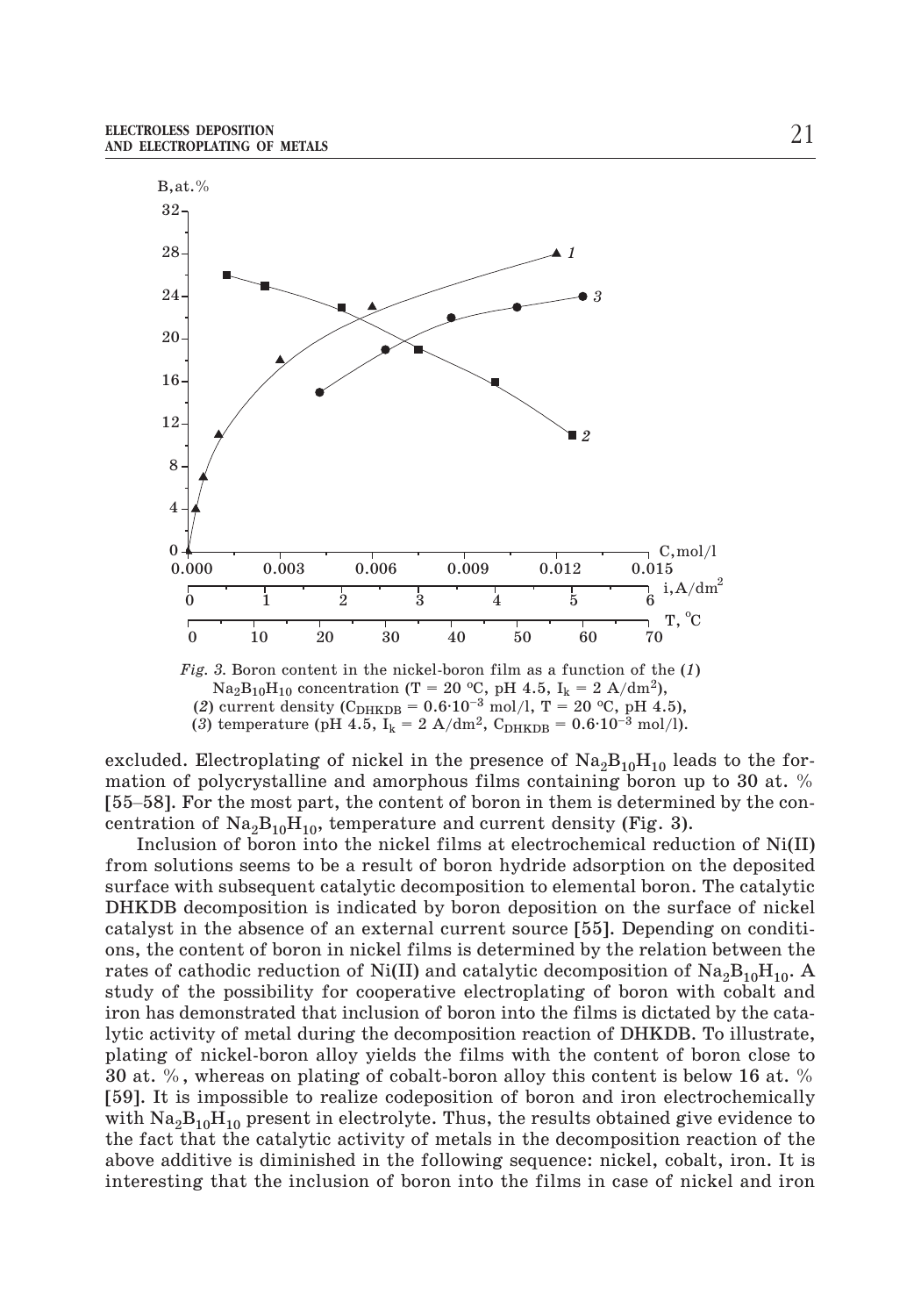

*Fig. 3.* Boron content in the nickel-boron film as a function of the (*1*) (2) current density ( $C_{\text{DHKDB}} = 0.6 \cdot 10^{-3} \text{ mol/l}, T = 20 \text{ }^{\circ}\text{C}, \text{ pH } 4.5$ ), (3) temperature (pH 4.5,  $I_k = 2$  A/dm<sup>2</sup>, C<sub>DHKDB</sub> =  $0.6 \cdot 10^{-3}$  mol/l).

excluded. Electroplating of nickel in the presence of  $\text{Na}_2\text{B}_{10}\text{H}_{10}$  leads to the formation of polycrystalline and amorphous films containing boron up to 30 at. % (2) current density (C<sub>DHKDB</sub> = 0.6·10<sup>-3</sup> mol/l, T = 20 °C, pH 4.5),<br>
(2) current density (C<sub>DHKDB</sub> = 0.6·10<sup>-3</sup> mol/l, T = 20 °C, pH 4.5),<br>
(3) temperature (pH 4.5, I<sub>k</sub> = 2 A/dm<sup>2</sup>, C<sub>DHKDB</sub> = 0.6·10<sup>-3</sup> mol/l).<br>
exclu centration of  $\text{Na}_2\text{B}_{10}\text{H}_{10}$ , temperature and current density (Fig. 3).

Inclusion of boron into the nickel films at electrochemical reduction of Ni(II) from solutions seems to be a result of boron hydride adsorption on the deposited surface with subsequent catalytic decomposition to elemental boron. The catalytic DHKDB decomposition is indicated by boron deposition on the surface of nickel catalyst in the absence of an external current source [55]. Depending on conditions, the content of boron in nickel films is determined by the relation between the rates of cathodic reduction of Ni(II) and catalytic decomposition of  $Na_2B_{10}H_{10}$ . A study of the possibility for cooperative electroplating of boron with cobalt and iron has demonstrated that inclusion of boron into the films is dictated by the catalytic activity of metal during the decomposition reaction of DHKDB. To illustrate, plating of nickel-boron alloy yields the films with the content of boron close to 30 at. %, whereas on plating of cobalt-boron alloy this content is below 16 at. % [59]. It is impossible to realize codeposition of boron and iron electrochemically with  $\text{Na}_2\text{B}_{10}\text{H}_{10}$  present in electrolyte. Thus, the results obtained give evidence to the fact that the catalytic activity of metals in the decomposition reaction of the above additive is diminished in the following sequence: nickel, cobalt, iron. It is interesting that the inclusion of boron into the films in case of nickel and iron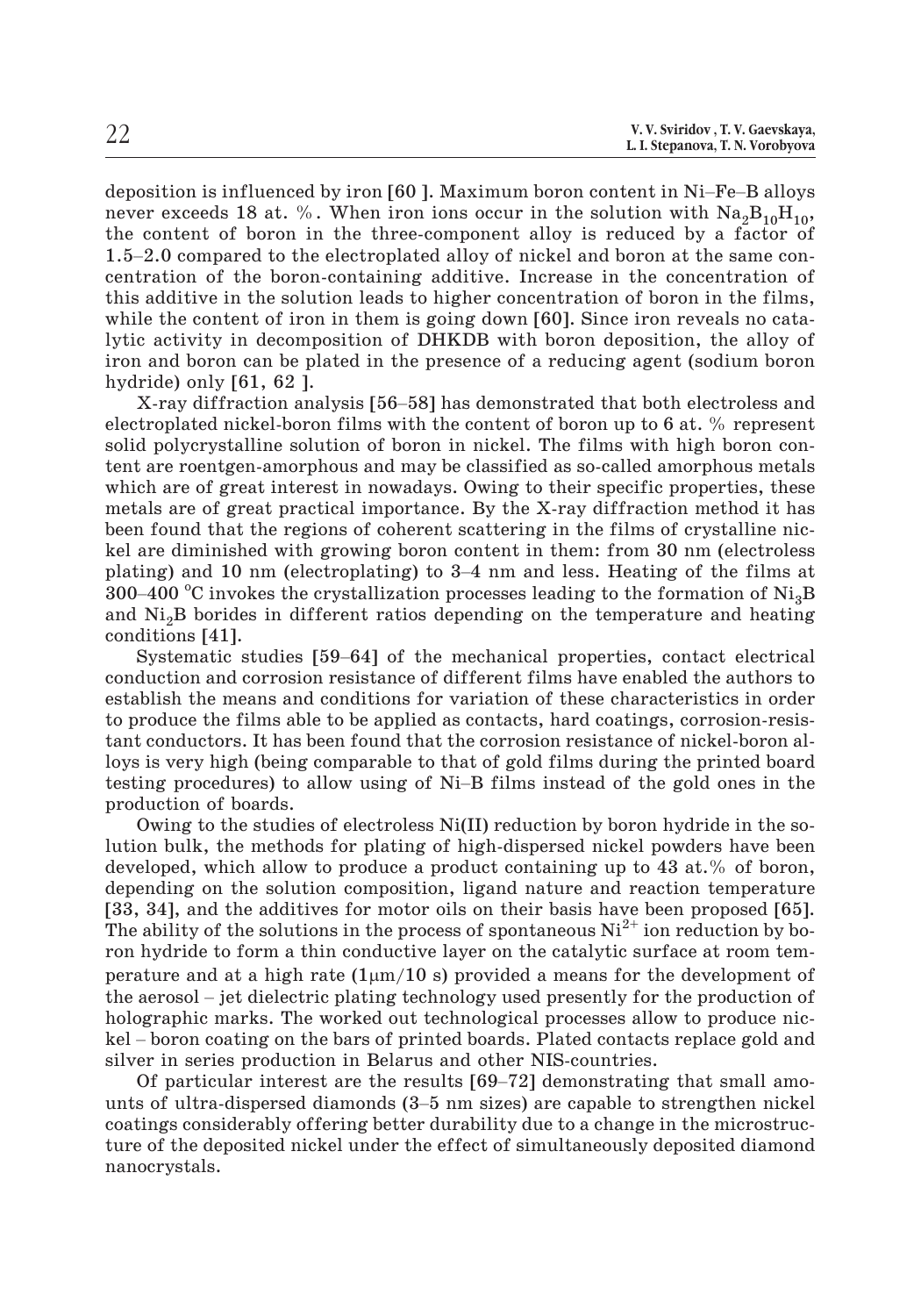X.V. Sviridov , T. V. Gaevskaya,<br>
L. I. Stepanova, T. N. Vorobyova<br>
deposition is influenced by iron [60 ]. Maximum boron content in Ni–Fe–B alloys never exceeds 18 at. %. When iron ions occur in the solution with  $\rm Na_2B_{10}H_{10},$ the content of boron in the three-component alloy is reduced by a factor of 1.1.5tepanova, T.N. Vorobyova<br>
1.1.5tepanova, T.N. Vorobyova<br>
1.1.5–2.0 compared to the electroplated alloy of nickel and boron at the same con-<br>
1.5–2.0 compared to the electroplated alloy of nickel and boron at the same centration of the boron-containing additive. Increase in the concentration of this additive in the solution leads to higher concentration of boron in the films, while the content of iron in them is going down [60]. Since iron reveals no catalytic activity in decomposition of DHKDB with boron deposition, the alloy of iron and boron can be plated in the presence of a reducing agent (sodium boron hydride) only [61, 62 ]. xalid of the solution leads to higher concentration of boron in the films,<br>is additive in the solution leads to higher concentration of boron in the films,<br>le the content of iron in them is going down [60]. Since iron rev

electroplated nickel-boron films with the content of boron up to 6 at. % represent solid polycrystalline solution of boron in nickel. The films with high boron confeat are roentgen-amorphous and may be classified as so-called amorphous metals<br>which are of great interest in nowadays. Owing to their specific properties, these<br>metals are of great practical importance. By the X-ray diff which are of great interest in nowadays. Owing to their specific properties, these metals are of great practical importance. By the X-ray diffraction method it has been found that the regions of coherent scattering in the films of crystalline nickel are diminished with growing boron content in them: from 30 nm (electroless which are of great interest in nowadays. Owing to their specific properties, these metals are of great practical importance. By the X-ray diffraction method it has been found that the regions of coherent scattering in the and Ni2B borides in different ratios depending on the temperature and heating conditions [41]. are diminished with growing boron content in them: from 30 nm (electroless<br>ing) and 10 nm (electroplating) to 3–4 nm and less. Heating of the films at<br>-400 °C invokes the crystallization processes leading to the formation

conduction and corrosion resistance of different films have enabled the authors to establish the means and conditions for variation of these characteristics in order to produce the films able to be applied as contacts, hard coatings, corrosion-resistant conductors. It has been found that the corrosion resistance of nickel-boron alloys is very high (being comparable to that of gold films during the printed board the conduction and corrosion resistance of different films have enabled the authors to establish the means and conditions for variation of these characteristics in order to produce the films able to be applied as contacts, production of boards.

Owing to the studies of electroless Ni(II) reduction by boron hydride in the solution bulk, the methods for plating of high-dispersed nickel powders have been developed, which allow to produce a product containing up to 43 at.% of boron, depending on the solution composition, ligand nature and reaction temperature [33, 34], and the additives for motor oils on their basis have been proposed [65]. The ability of the solutions in the process of spontaneous  $Ni^{2+}$  ion reduction by boron hydride to form a thin conductive layer on the catalytic surface at room temperature and at a high rate (1µm/10 s) provided a means for the development of depending on the solution composition, ligand nature and reaction temperature [33, 34], and the additives for motor oils on their basis have been proposed [65]. The ability of the solutions in the process of spontaneous holographic marks. The worked out technological processes allow to produce nic-The ability of the solutions in the process of spontaneous  $Ni^{2+}$  ion reduction by boron hydride to form a thin conductive layer on the catalytic surface at room temperature and at a high rate  $(1 \mu m/10 \text{ s})$  provided a silver in series production in Belarus and other NIS-countries. ature and at a high rate  $(1\mu m/10 \text{ s})$  provided a means for the development of aerosol – jet dielectric plating technology used presently for the production of ographic marks. The worked out technological processes allo persons of the aerosol – jet dielectric plating technology used presently for the production of holographic marks. The worked out technological processes allow to produce nickel – boron coating on the bars of printed board

coatings considerably offering better durability due to a change in the microstructure of the deposited nickel under the effect of simultaneously deposited diamond nanocrystals.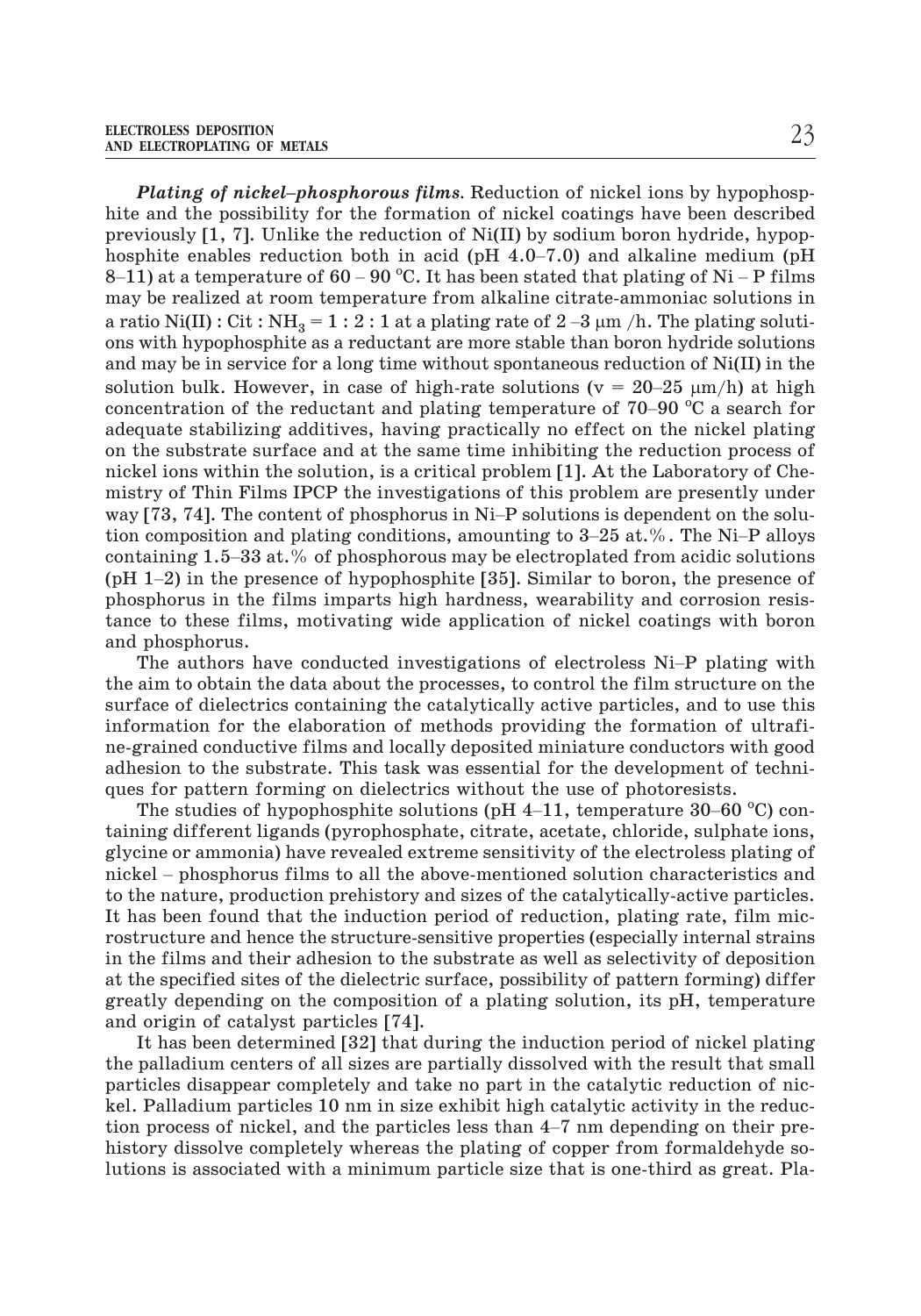*Plating of nickel–phosphorous films.* Reduction of nickel ions by hypophosphite and the possibility for the formation of nickel coatings have been described previously [1, 7]. Unlike the reduction of Ni(II) by sodium boron hydride, hypop- $\footnotesize$   $\footnotesize$   $\footnotesize$   $\footnotesize$   $\footnotesize$   $\footnotesize$   $\footnotesize$   $\footnotesize$   $\footnotesize$   $\footnotesize$   $\footnotesize$   $\footnotesize$   $\footnotesize$   $\footnotesize$   $\footnotesize$   $\footnotesize$   $\footnotesize$   $\footnotesize$   $\footnotesize$   $\footnotesize$   $\footnotesize$   $\footnotesize$   $\footnotesize$   $\footnotesize$   $\footnotesize$   $\footnotesize$   $\footnotesize$   $\footnotesize$   $\footnotesize$   $\footnotesize$   $\footnotesize$   $\footnotes$ **Plating of nickel–phosphorou**<br>hite and the possibility for the fo<br>previously [1, 7]. Unlike the reduc<br>hosphite enables reduction both i<br>8–11) at a temperature of  $60-90^{\circ}$ *s films*. Reduction of nickel ions by hypophosp-<br>rmation of nickel coatings have been described<br>tion of Ni(II) by sodium boron hydride, hypop-<br>n acid (pH 4.0–7.0) and alkaline medium (pH<br>C. It has been stated that plating may be realized at room temperature from alkaline citrate-ammoniac solutions in hite and the possibility for the formation of nickel coatings have been described<br>previously [1, 7]. Unlike the reduction of Ni(II) by sodium boron hydride, hypop-<br>hosphite enables reduction both in acid (pH 4.0–7.0) and ons with hypophosphite as a reductant are more stable than boron hydride solutions and may be in service for a long time without spontaneous reduction of Ni(II) in the 8–11) at a temperature of 60 – 90 °C. It has been stated that plating o<br>may be realized at room temperature from alkaline citrate-ammonia<br>a ratio Ni(II) : Cit : NH<sub>3</sub> = 1 : 2 : 1 at a plating rate of 2 –3  $\mu$ m /h. The p<br> solution bulk. However, in case of high-rate solutions ( $v = 20-25 \mu m/h$ ) at high may be realized at room temperature from alkaline citrate-ammonia<br>a ratio Ni(II): Cit: NH<sub>3</sub> = 1 : 2 : 1 at a plating rate of 2 –3  $\mu$ m /h. The<br>ons with hypophosphite as a reductant are more stable than boron hy<br>and may concentration of the reductant and plating temperature of 70–90  $^{\circ}$ C a search for adequate stabilizing additives, having practically no effect on the nickel plating on the substrate surface and at the same time inhibit adequate stabilizing additives, having practically no effect on the nickel plating on the substrate surface and at the same time inhibiting the reduction process of nickel ions within the solution, is a critical problem [1]. At the Laboratory of Chemistry of Thin Films IPCP the investigations of this problem are presently under tion composition and plating conditions, amounting to 3–25 at.%. The Ni–P alloys containing and the same time inhibiting the reduction process of nickel ions within the solution, is a critical problem [1]. At the Laboratory of Chemistry of Thin Films IPCP the investigations of this problem are present inckel ions within the solution, is a critical problem [1]. At the Laboratory of Chemistry of Thin Films IPCP the investigations of this problem are presently under way [73, 74]. The content of phosphorus in Ni-P solution phosphorus in the films imparts high hardness, wearability and corrosion resistance to these films, motivating wide application of nickel coatings with boron and phosphorus. taining 1.5–33 at.% of phosphorous may be electroplated from acidic solutions 1–2) in the presence of hypophosphite [35]. Similar to boron, the presence of sphorus in the films imparts high hardness, wearability and corro

the aim to obtain the data about the processes, to control the film structure on the surface of dielectrics containing the catalytically active particles, and to use this information for the elaboration of methods providing the formation of ultrafine-grained conductive films and locally deposited miniature conductors with good adhesion to the substrate. This task was essential for the development of techniques for pattern forming on dielectrics without the use of photoresists. The studies of dielectrics containing the catalytically active particles, and to use this ormation for the elaboration of methods providing the formation of ultrafigrained conductive films and locally deposited miniature

taining different ligands (pyrophosphate, citrate, acetate, chloride, sulphate ions, glycine or ammonia) have revealed extreme sensitivity of the electroless plating of not grained contatently trims that complement of the development of techniques for pattern forming on dielectrics without the use of photoresists.<br>The studies of hypophosphite solutions (pH 4–11, temperature 30–60 °C) cont to the nature, production prehistory and sizes of the catalytically-active particles. It has been found that the induction period of reduction, plating rate, film microstructure and hence the structure-sensitive properties (especially internal strains in the films and their adhesion to the substrate as well as selectivity of deposition at the specified sites of the dielectric surface, possibility of pattern forming) differ greatly depending on the composition of a plating solution, its pH, temperature and origin of catalyst particles [74].

It has been determined [32] that during the induction period of nickel plating the palladium centers of all sizes are partially dissolved with the result that small particles disappear completely and take no part in the catalytic reduction of nickel. Palladium particles 10 nm in size exhibit high catalytic activity in the reducand origin of catalyst particles [74].<br>
It has been determined [32] that during the induction period of nickel plating<br>
the palladium centers of all sizes are partially dissolved with the result that small<br>
particles disap history dissolve completely whereas the plating of copper from formaldehyde solutions is associated with a minimum particle size that is one-third as great. Pla-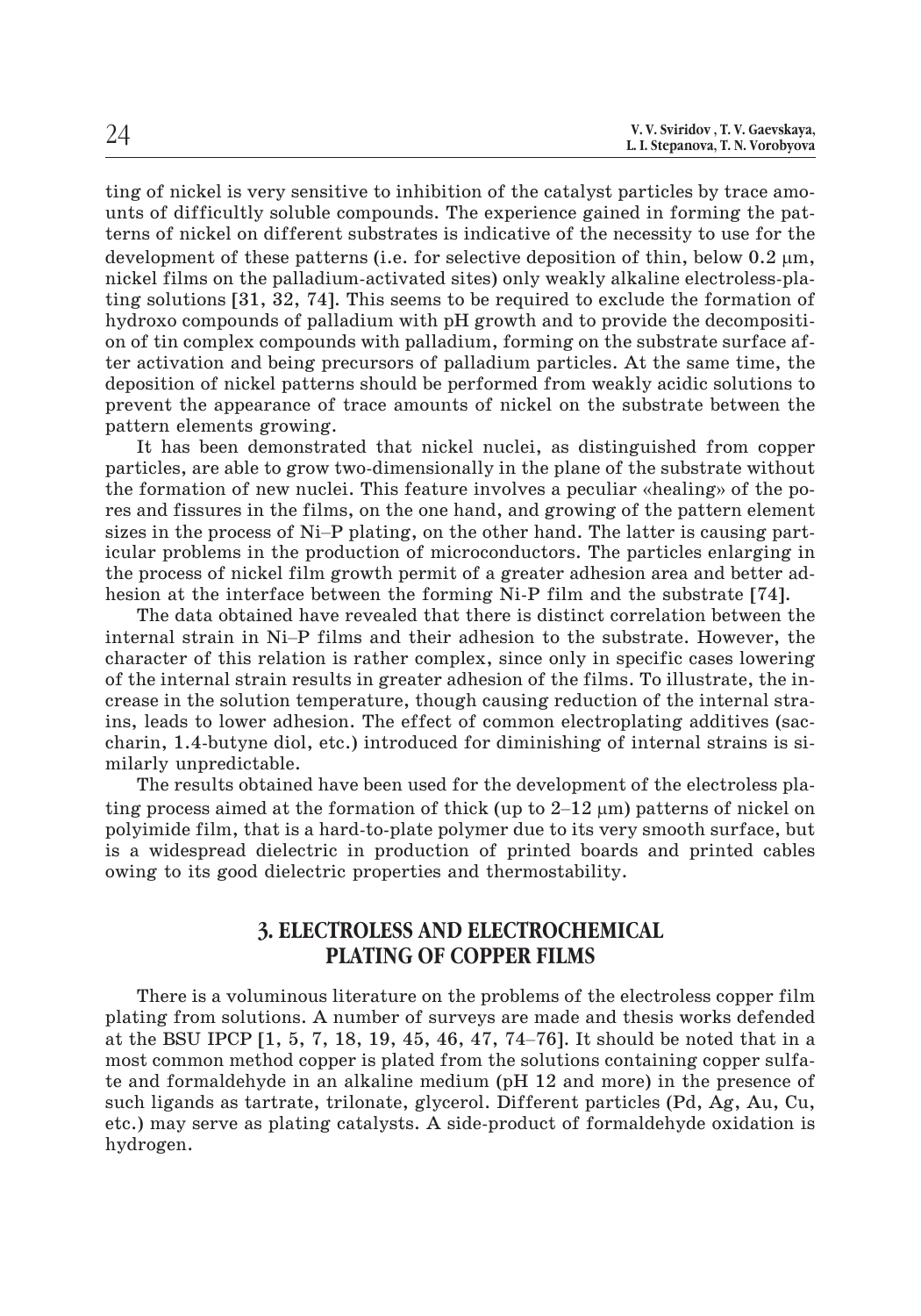ting of nickel is very sensitive to inhibition of the catalyst particles by trace amounts of difficultly soluble compounds. The experience gained in forming the patterns of nickel on different substrates is indicative of the necessity to use for the development of these patterns (i.e. for selective deposition of thin, below  $0.2 \mu m$ , nickel films on the palladium-activated sites) only weakly alkaline electroless-plating solutions [31, 32, 74]. This seems to be required to exclude the formation of hydroxo compounds of palladium with pH growth and to provide the decomposition of tin complex compounds with palladium, forming on the substrate surface after activation and being precursors of palladium particles. At the same time, the deposition of nickel patterns should be performed from weakly acidic solutions to prevent the appearance of trace amounts of nickel on the substrate between the pattern elements growing.<br>It has been demonstrated that nicke prevent the appearance of trace amounts of nickel on the substrate between the pattern elements growing.

It has been demonstrated that nickel nuclei, as distinguished from copper particles, are able to grow two-dimensionally in the plane of the substrate without res and fissures in the films, on the one hand, and growing of the pattern element the formation of new nuclei. This feature involves a peculiar «healing» of the poicular problems in the production of microconductors. The particles enlarging in the process of nickel film growth permit of a greater adhesion area and better adhesion at the interface between the forming Ni-P film and the substrate [74]. sizes in the process of Ni–P plating, on the other hand. The latter is causing particular problems in the production of microconductors. The particles enlarging in the process of nickel film growth permit of a greater adh

The data obtained have revealed that there is distinct correlation between the character of this relation is rather complex, since only in specific cases lowering of the internal strain results in greater adhesion of the films. To illustrate, the increase in the solution temperature, though causing reduction of the internal strains, leads to lower adhesion. The effect of common electroplating additives (saccharin, 1.4-butyne diol, etc.) introduced for diminishing of internal strains is similarly unpredictable. crease in the solution temperature, though causing reduct<br>ins, leads to lower adhesion. The effect of common electr<br>charin, 1.4-butyne diol, etc.) introduced for diminishing<br>milarly unpredictable.<br>The results obtained hav

The results obtained have been used for the development of the electroless plating process aimed at the formation of thick (up to  $2-12 \mu m$ ) patterns of nickel on polyimide film, that is a hard-to-plate polymer due to its very smooth surface, but is a widespread dielectric in production of printed boards and printed cables owing to its good dielectric properties and thermostability.

## **3. ELECTROLESS AND ELECTROCHEMICAL PLATING OF COPPER FILMS**

There is a voluminous literature on the problems of the electroless copper film plating from solutions. A number of surveys are made and thesis works defended 3. ELECTROLESS AND ELECTROCHEMICAL<br>PLATING OF COPPER FILMS<br>There is a voluminous literature on the problems of the electroless copper film<br>plating from solutions. A number of surveys are made and thesis works defended<br>at t most common method copper is plated from the solutions containing copper sulfate and formaldehyde in an alkaline medium (pH 12 and more) in the presence of such ligands as tartrate, trilonate, glycerol. Different particles (Pd, Ag, Au, Cu, etc.) may serve as plating catalysts. A side-product of formaldehyde oxidation is hydrogen.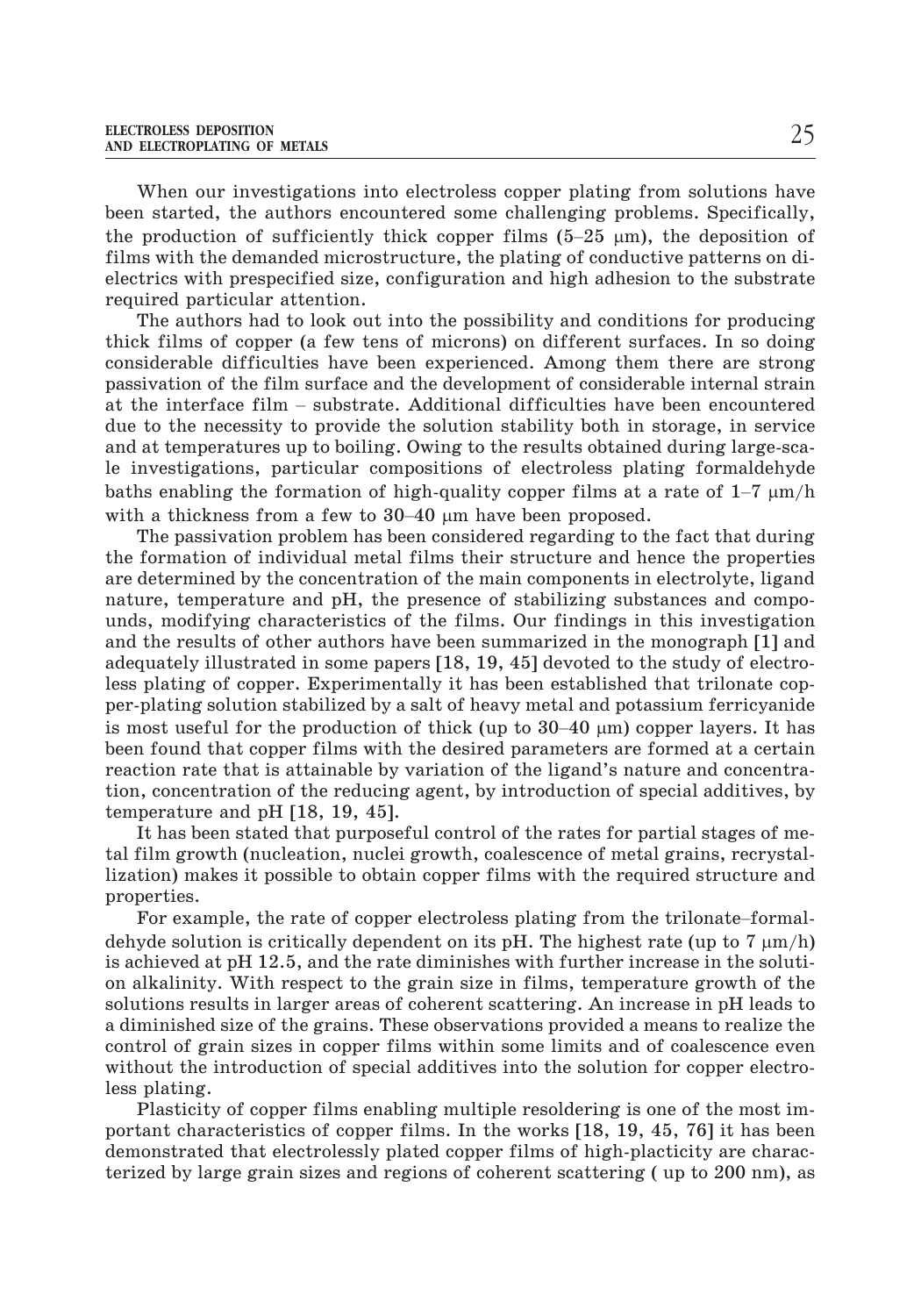When our investigations into electroless copper plating from solutions have been started, the authors encountered some challenging problems. Specifically, ELECTROLESS DEPOSITION<br>AND ELECTROPLATING OF METALS<br>When our investigations into electroless copper plating<br>been started, the authors encountered some challenging p<br>the production of sufficiently thick copper films (5–25 the production of sufficiently thick copper films  $(5-25 \text{ }\mu\text{m})$ , the deposition of films with the demanded microstructure, the plating of conductive patterns on dielectrics with prespecified size, configuration and high adhesion to the substrate required particular attention.

The authors had to look out into the possibility and conditions for producing thick films of copper (a few tens of microns) on different surfaces. In so doing considerable difficulties have been experienced. Among them there are strong passivation of the film surface and the development of considerable internal strain required particular attention.<br>The authors had to look out into the possibility and conditions for producing<br>thick films of copper (a few tens of microns) on different surfaces. In so doing<br>considerable difficulties have b due to the necessity to provide the solution stability both in storage, in service and at temperatures up to boiling. Owing to the results obtained during large-scale investigations, particular compositions of electroless plating formaldehyde passivation of the film surface and the development of considerable internal st<br>at the interface film – substrate. Additional difficulties have been encount<br>due to the necessity to provide the solution stability both in s baths enabling the formation of high-quality copper films at a rate of  $1-7 \mu m/h$ at the interface film – substrate. Addidue to the necessity to provide the solutional at temperatures up to boiling. Owin<br>le investigations, particular compositions baths enabling the formation of high-quith a thickness f with a thickness from a few to  $30-40$  µm have been proposed.

The passivation problem has been considered regarding to the fact that during the formation of individual metal films their structure and hence the properties are determined by the concentration of the main components in electrolyte, ligand nature, temperature and pH, the presence of stabilizing substances and compounds, modifying characteristics of the films. Our findings in this investigation<br>and the results of other authors have been summarized in the monograph [1] and<br>adequately illustrated in some papers [18, 19, 45] devoted to and the results of other authors have been summarized in the monograph [1] and adequately illustrated in some papers [18, 19, 45] devoted to the study of electroless plating of copper. Experimentally it has been established that trilonate copper-plating solution stabilized by a salt of heavy metal and potassium ferricyanide is most useful for the production of thick (up to  $30-40 \mu m$ ) copper layers. It has been found that copper films with the desired parameters are formed at a certain reaction rate that is attainable by variation of the ligand's nature and concentration, concentration of the reducing agent, by introduction of special additives, by temperature and pH [18, 19, 45].

It has been stated that purposeful control of the rates for partial stages of metal film growth (nucleation, nuclei growth, coalescence of metal grains, recrystallization) makes it possible to obtain copper films with the required structure and properties. For example, the rate of copper electroless plating from the trilonate-formal-<br>For example, the rate of the rates for partial stages of me-<br>film growth (nucleation, nuclei growth, coalescence of metal grains, recrystal-<br>t

dehyde solution is critically dependent on its pH. The highest rate (up to 7  $\mu$ m/h) is achieved at pH 12.5, and the rate diminishes with further increase in the solution alkalinity. With respect to the grain size in films, temperature growth of the solutions results in larger areas of coherent scattering. An increase in pH leads to a diminished size of the grains. These observations provided a means to realize the control of grain sizes in copper films within some limits and of coalescence even without the introduction of special additives into the solution for copper electroless plating.

Plasticity of copper films enabling multiple resoldering is one of the most important characteristics of copper films. In the works [18, 19, 45, 76] it has been demonstrated that electrolessly plated copper films of high-placticity are characterized by large grain sizes and regions of coherent scattering ( up to 200 nm), as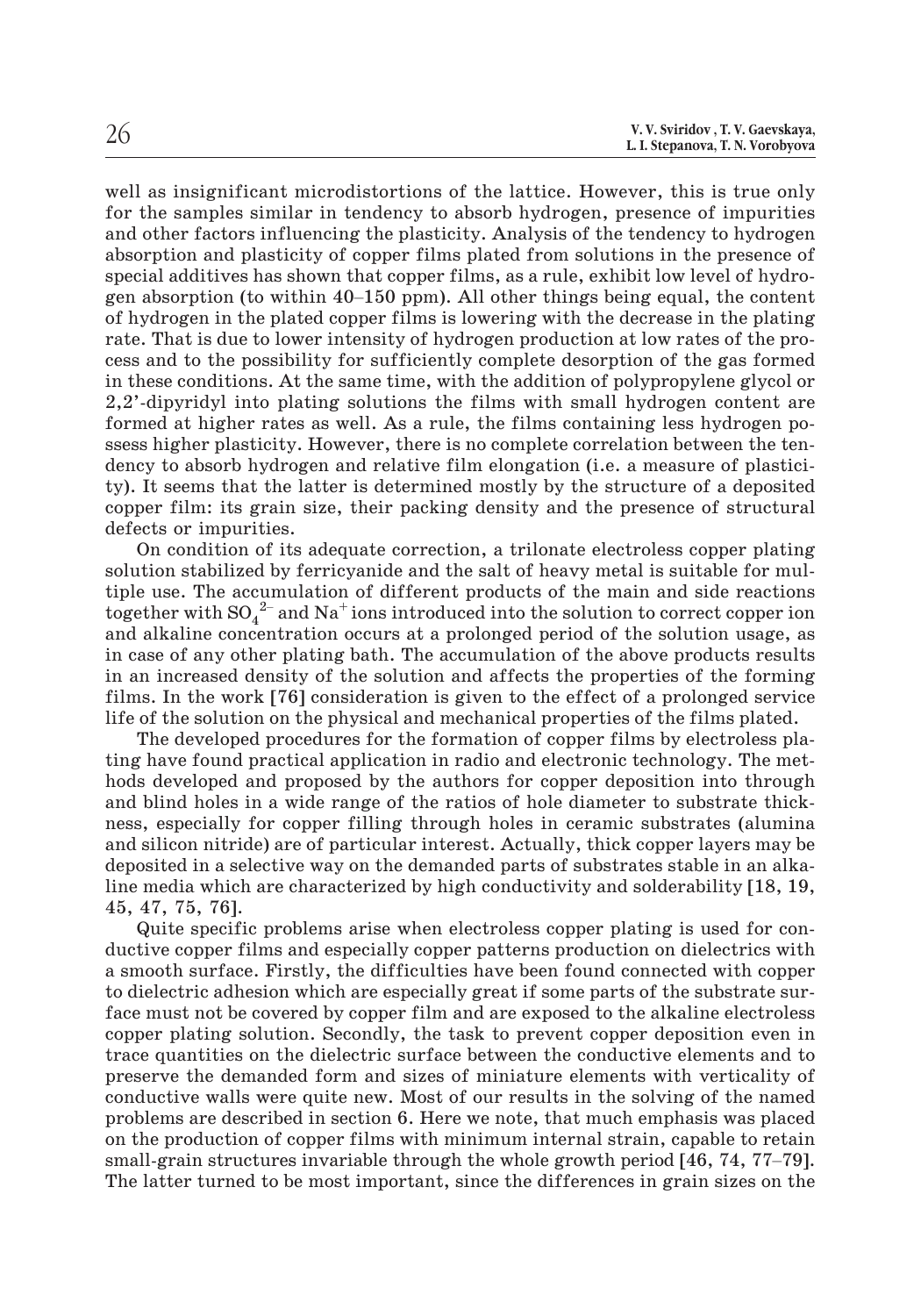well as insignificant microdistortions of the lattice. However, this is true only for the samples similar in tendency to absorb hydrogen, presence of impurities and other factors influencing the plasticity. Analysis of the tendency to hydrogen absorption and plasticity of copper films plated from solutions in the presence of special additives has shown that copper films, as a rule, exhibit low level of hydrowell as insignificant microdistortions of the lattice. However, this is true only<br>for the samples similar in tendency to absorb hydrogen, presence of impurities<br>and other factors influencing the plasticity. Analysis of the of hydrogen in the plated copper films is lowering with the decrease in the plating rate. That is due to lower intensity of hydrogen production at low rates of the process and to the possibility for sufficiently complete desorption of the gas formed in these conditions. At the same time, with the addition of polypropylene glycol or 2,2'-dipyridyl into plating solutions the films with small hydrogen content are formed at higher rates as well. As a rule, the films containing less hydrogen possess higher plasticity. However, there is no complete correlation between the tendency to absorb hydrogen and relative film elongation (i.e. a measure of plasticity). It seems that the latter is determined mostly by the structure of a deposited copper film: its grain size, their packing density and the presence of structural defects or impurities.

On condition of its adequate correction, a trilonate electroless copper plating solution stabilized by ferricyanide and the salt of heavy metal is suitable for multiple use. The accumulation of different products of the main and side reactions defects or impurities.<br>On condition of its adequate correction, a trilonate electroless copper plating<br>solution stabilized by ferricyanide and the salt of heavy metal is suitable for mul-<br>tiple use. The accumulation of di and alkaline concentration occurs at a prolonged period of the solution usage, as in case of any other plating bath. The accumulation of the above products results in an increased density of the solution and affects the properties of the forming films. In the work [76] consideration is given to the effect of a prolonged service life of the solution on the physical and mechanical properties of the films plated.

The developed procedures for the formation of copper films by electroless plating have found practical application in radio and electronic technology. The methods developed and proposed by the authors for copper deposition into through and blind holes in a wide range of the ratios of hole diameter to substrate thickness, especially for copper filling through holes in ceramic substrates (alumina and silicon nitride) are of particular interest. Actually, thick copper layers may be deposited in a selective way on the demanded parts of substrates stable in an alkaline media which are characterized by high conductivity and solderability [18, 19, 45, 47, 75, 76].

Quite specific problems arise when electroless copper plating is used for conductive copper films and especially copper patterns production on dielectrics with a smooth surface. Firstly, the difficulties have been found connected with copper to dielectric adhesion which are especially great if some parts of the substrate surface must not be covered by copper film and are exposed to the alkaline electroless copper plating solution. Secondly, the task to prevent copper deposition even in trace quantities on the dielectric surface between the conductive elements and to preserve the demanded form and sizes of miniature elements with verticality of conductive walls were quite new. Most of our results in the solving of the named problems are described in section 6. Here we note, that much emphasis was placed on the production of copper films with minimum internal strain, capable to retain structures in the dielectric surface between the conductive elements and to preserve the demanded form and sizes of miniature elements with verticality of conductive walls were quite new. Most of our results in the solving The latter turned to be most important, since the differences in grain sizes on the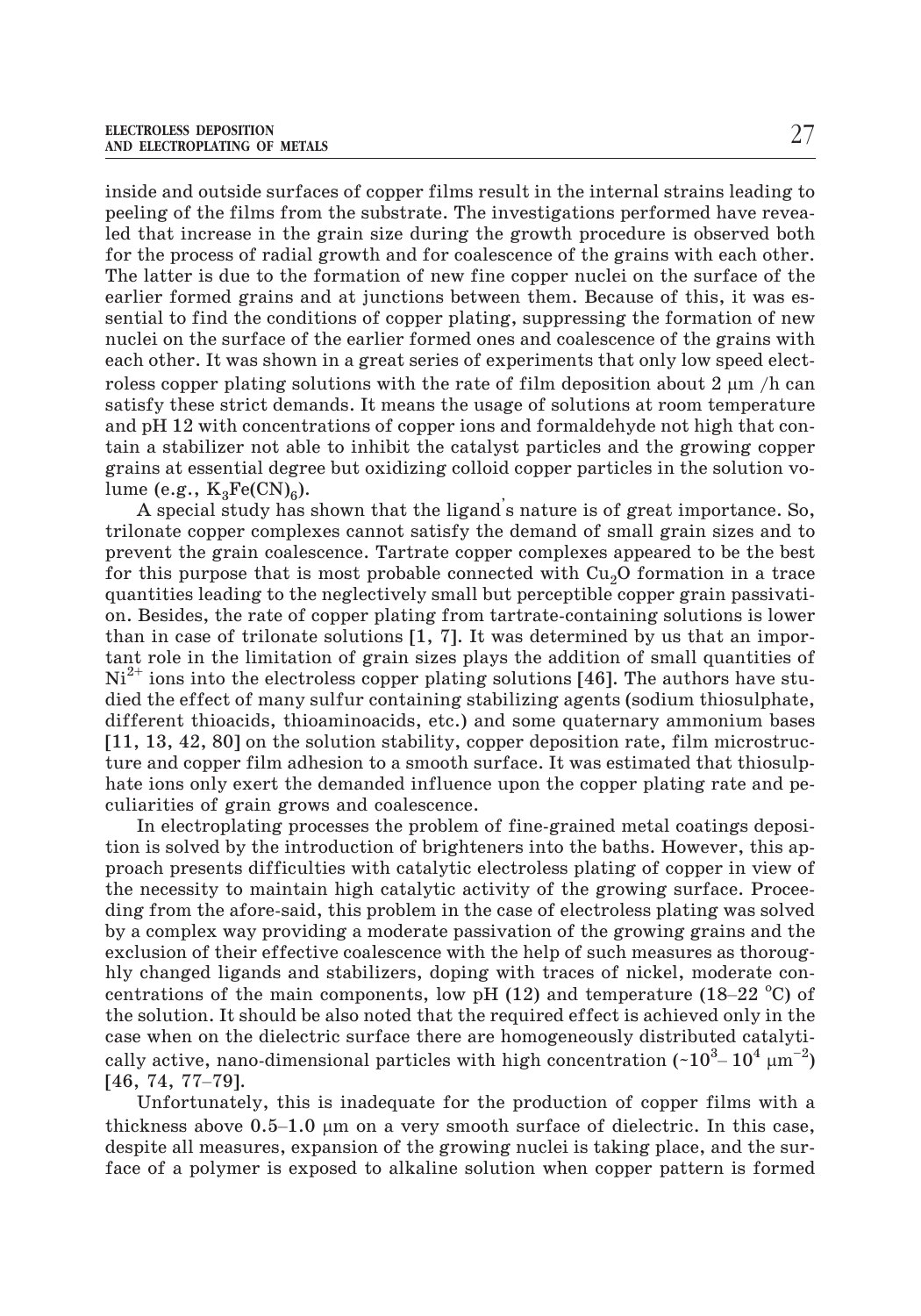inside and outside surfaces of copper films result in the internal strains leading to peeling of the films from the substrate. The investigations performed have revealed that increase in the grain size during the growth procedure is observed both for the process of radial growth and for coalescence of the grains with each other. The latter is due to the formation of new fine copper nuclei on the surface of the earlier formed grains and at junctions between them. Because of this, it was essential to find the conditions of copper plating, suppressing the formation of new nuclei on the surface of the earlier formed ones and coalescence of the grains with each other. It was shown in a great series of experiments that only low speed electroless copper plating solutions with the rate of film deposition about 2  $\mu$ m /h can satisfy these strict demands. It means the usage of solutions at room temperature and pH 12 with concentrations of copper ions and formaldehyde not high that contain a stabilizer not able to inhibit the catalyst particles and the growing copper grains at essential degree but oxidizing colloid copper particles in the solution volume (e.g.,  $K_3Fe(CN)_{6}$ ).

A special study has shown that the ligand' s nature is of great importance. So, trilonate copper complexes cannot satisfy the demand of small grain sizes and to prevent the grain coalescence. Tartrate copper complexes appeared to be the best for this purpose that is most probable connected with  $Cu<sub>2</sub>O$  formation in a trace quantities leading to the neglectively small but perceptible copper grain passivation. Besides, the rate of copper plating from tartrate-containing solutions is lower than in case of trilonate solutions [1, 7]. It was determined by us that an important role in the limitation of grain sizes plays the addition of small quantities of  $Ni<sup>2+</sup>$  ions into the electroless copper plating solutions [46]. The authors have studied the effect of many sulfur containing stabilizing agents (sodium thiosulphate, different thioacids, thioaminoacids, etc.) and some quaternary ammonium bases [11, 13, 42, 80] on the solution stability, copper deposition rate, film microstructure and copper film adhesion to a smooth surface. It was estimated that thiosulphate ions only exert the demanded influence upon the copper plating rate and peculiarities of grain grows and coalescence.

In electroplating processes the problem of fine-grained metal coatings deposition is solved by the introduction of brighteners into the baths. However, this approach presents difficulties with catalytic electroless plating of copper in view of the necessity to maintain high catalytic activity of the growing surface. Proceeding from the afore-said, this problem in the case of electroless plating was solved by a complex way providing a moderate passivation of the growing grains and the exclusion of their effective coalescence with the help of such measures as thoroug-–hly changed ligands and stabilizers, doping with traces of nickel, moderate conproach presents antivalities with early its electroless plating of explorer in the necessity to maintain high catalytic activity of the growing surface. Preding from the afore-said, this problem in the case of electroless centrations of the main components, low pH (12) and temperature (18–22  $^{\circ}$ C) of the solution. It should be also noted that the required effect is achieved only in the case when on the dielectric surface there are homogeneously distributed catalytically active, nano-dimensional particles with high concentration (~10 $^3\text{--}$  10 $^4$   $\mu\text{m}^{-2})$ hly changed liga<br>centrations of the<br>the solution. It s<br>case when on the<br>cally active, nan<br>[46, 74, 77–79]. the solution. It should be a<br>case when on the dielectrically active, nano-dimensi<br>[46, 74, 77–79]. Unfortunately, this is<br>thickness above 0.5–1.0  $\mu$ 

Unfortunately, this is inadequate for the production of copper films with a thickness above  $0.5-1.0 \mu m$  on a very smooth surface of dielectric. In this case, despite all measures, expansion of the growing nuclei is taking place, and the surface of a polymer is exposed to alkaline solution when copper pattern is formed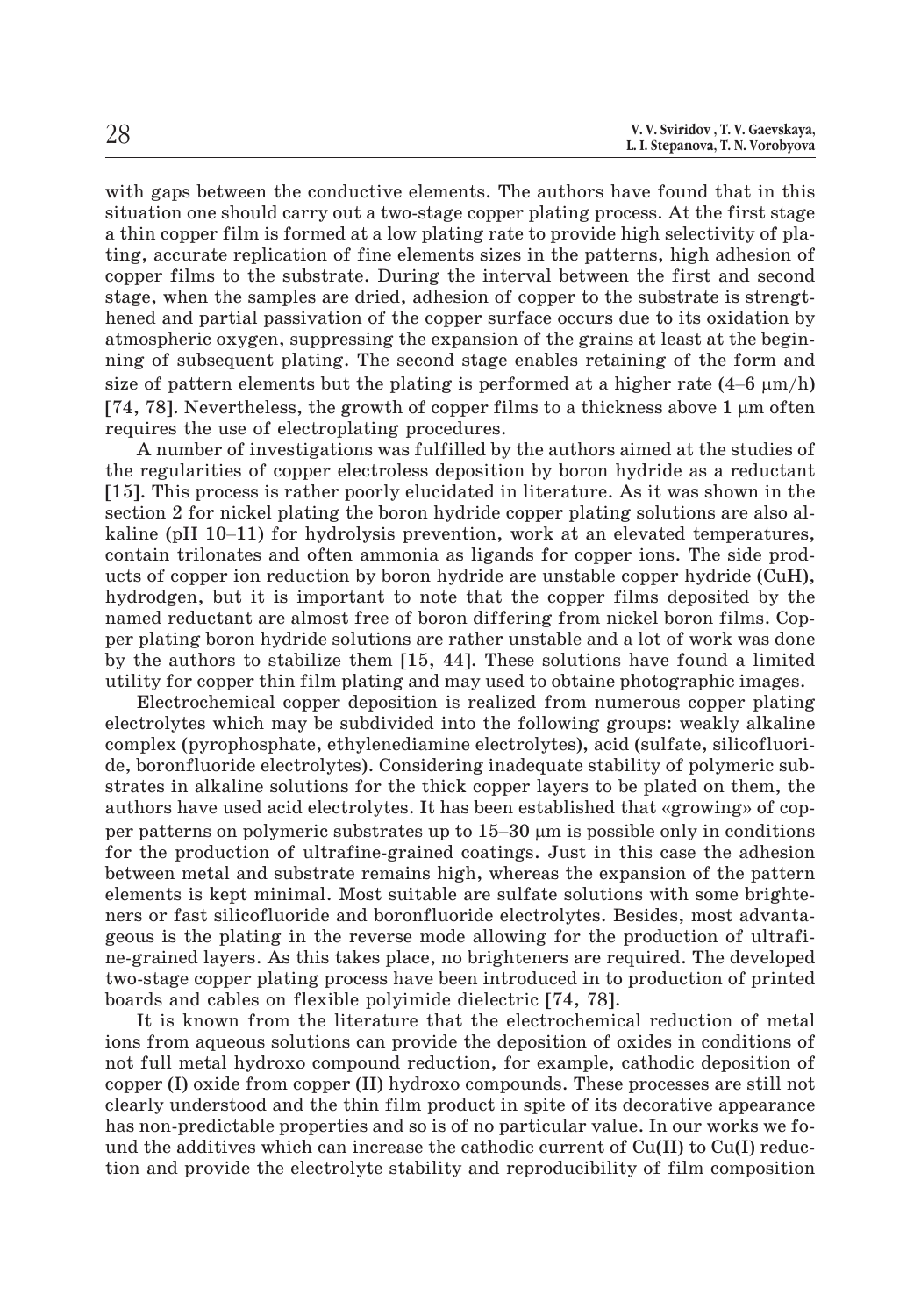with gaps between the conductive elements. The authors have found that in this situation one should carry out a two-stage copper plating process. At the first stage a thin copper film is formed at a low plating rate to provide high selectivity of plating, accurate replication of fine elements sizes in the patterns, high adhesion of copper films to the substrate. During the interval between the first and second stage, when the samples are dried, adhesion of copper to the substrate is strengthened and partial passivation of the copper surface occurs due to its oxidation by atmospheric oxygen, suppressing the expansion of the grains at least at the beginning of subsequent plating. The second stage enables retaining of the form and copper films to the substrate. During the interval between the first and second stage, when the samples are dried, adhesion of copper to the substrate is strengthened and partial passivation of the copper surface occurs d [74, 78]. Nevertheless, the growth of copper films to a thickness above 1  $\mu$ m often requires the use of electroplating procedures.

A number of investigations was fulfilled by the authors aimed at the studies of the regularities of copper electroless deposition by boron hydride as a reductant [15]. This process is rather poorly elucidated in literature. As it was shown in the section 2 for nickel plating the boron hydride copper plating solutions are also alrequires the use of electroplating procedures.<br>A number of investigations was fulfilled by the authors aimed at the studies of<br>the regularities of copper electroless deposition by boron hydride as a reductant<br>[15]. This p contain trilonates and often ammonia as ligands for copper ions. The side products of copper ion reduction by boron hydride are unstable copper hydride (CuH), hydrodgen, but it is important to note that the copper films deposited by the named reductant are almost free of boron differing from nickel boron films. Copper plating boron hydride solutions are rather unstable and a lot of work was done by the authors to stabilize them [15, 44]. These solutions have found a limited utility for copper thin film plating and may used to obtaine photographic images.

Electrochemical copper deposition is realized from numerous copper plating electrolytes which may be subdivided into the following groups: weakly alkaline complex (pyrophosphate, ethylenediamine electrolytes), acid (sulfate, silicofluoride, boronfluoride electrolytes). Considering inadequate stability of polymeric substrates in alkaline solutions for the thick copper layers to be plated on them, the atting for supper time time plasting and may asset to solaint photographic mages.<br>Electrochemical copper deposition is realized from numerous copper plating<br>electrolytes which may be subdivided into the following groups: w electrolytes which may be subdivided into the foll complex (pyrophosphate, ethylenediamine electrolytes). Considering inadeq strates in alkaline solutions for the thick copper lauthors have used acid electrolytes. It has per patterns on polymeric substrates up to  $15-30 \mu m$  is possible only in conditions for the production of ultrafine-grained coatings. Just in this case the adhesion between metal and substrate remains high, whereas the expansion of the pattern elements is kept minimal. Most suitable are sulfate solutions with some brighteners or fast silicofluoride and boronfluoride electrolytes. Besides, most advantageous is the plating in the reverse mode allowing for the production of ultrafine-grained layers. As this takes place, no brighteners are required. The developed two-stage copper plating process have been introduced in to production of printed boards and cables on flexible polyimide dielectric [74, 78].

It is known from the literature that the electrochemical reduction of metal ions from aqueous solutions can provide the deposition of oxides in conditions of not full metal hydroxo compound reduction, for example, cathodic deposition of copper (I) oxide from copper (II) hydroxo compounds. These processes are still not clearly understood and the thin film product in spite of its decorative appearance has non-predictable properties and so is of no particular value. In our works we found the additives which can increase the cathodic current of  $Cu(II)$  to  $Cu(I)$  reduction and provide the electrolyte stability and reproducibility of film composition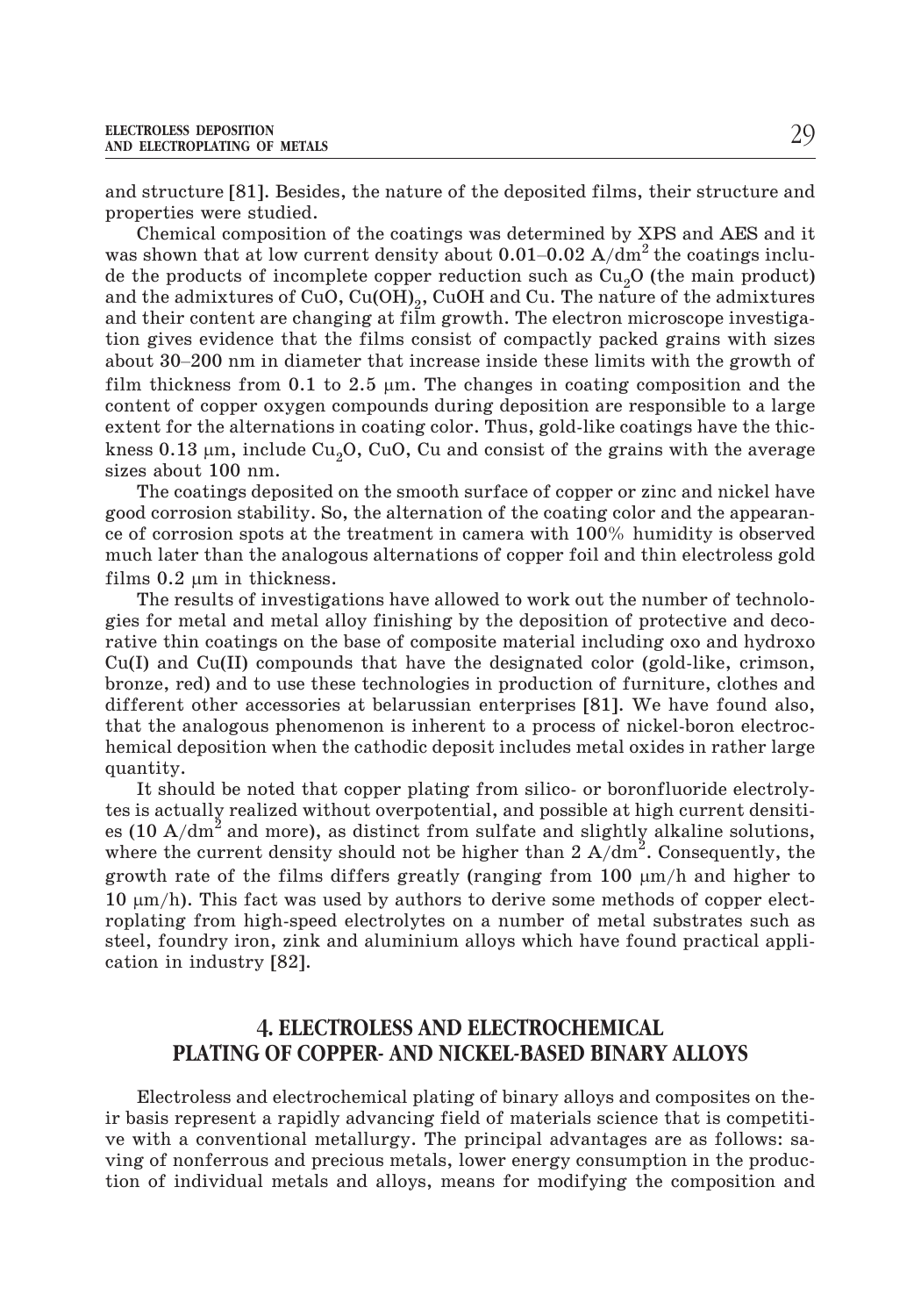and structure [81]. Besides, the nature of the deposited films, their structure and properties were studied. AND ELECTROPLATING OF METALS<br>and structure [81]. Besides, the nature of the deposited films, their structure and<br>properties were studied.<br>Chemical composition of the coatings was determined by XPS and AES and it<br>was shown

Chemical composition of the coatings was determined by XPS and AES and it de the products of incomplete copper reduction such as  $\rm Cu_2O$  (the main product) and the admixtures of CuO, Cu(OH)<sub>2</sub>, CuOH and Cu. The nature of the admixtures and their content are changing at film growth. The electron microscope investigation gives evidence that the films consist of compactly packed grains with sizes was shown that at low current density about  $0.01-0.02$  A/dm<sup>2</sup> the coatings inclu-<br>de the products of incomplete copper reduction such as  $Cu_2O$  (the main product)<br>and the admixtures of CuO, Cu(OH)<sub>2</sub>, CuOH and Cu. The n film thickness from 0.1 to 2.5  $\mu$ m. The changes in coating composition and the content of copper oxygen compounds during deposition are responsible to a large extent for the alternations in coating color. Thus, gold-like coatings have the thickness  $0.13$   $\mu$ m, include Cu $_{2}$ O, CuO, Cu and consist of the grains with the average sizes about 100 nm.

The coatings deposited on the smooth surface of copper or zinc and nickel have good corrosion stability. So, the alternation of the coating color and the appearance of corrosion spots at the treatment in camera with 100% humidity is observed much later than the analogous alternations of copper foil and thin electroless gold films  $0.2 \mu m$  in thickness.

The results of investigations have allowed to work out the number of technologies for metal and metal alloy finishing by the deposition of protective and decorative thin coatings on the base of composite material including oxo and hydroxo Cu(I) and Cu(II) compounds that have the designated color (gold-like, crimson, bronze, red) and to use these technologies in production of furniture, clothes and different other accessories at belarussian enterprises [81]. We have found also, that the analogous phenomenon is inherent to a process of nickel-boron electrochemical deposition when the cathodic deposit includes metal oxides in rather large quantity.

It should be noted that copper plating from silico- or boronfluoride electrolytes is actually realized without overpotential, and possible at high current densities (10  $A/dm^2$  and more), as distinct from sulfate and slightly alkaline solutions, where the current density should not be higher than 2  $A/dm^2$ . Consequently, the growth rate of the films differs greatly (ranging from  $100 \; \mu m/h$  and higher to  $10 \ \mu m/h$ ). This fact was used by authors to derive some methods of copper electroplating from high-speed electrolytes on a number of metal substrates such as steel, foundry iron, zink and aluminium alloys which have found practical application in industry [82].

## **4. ELECTROLESS AND ELECTROCHEMICAL PLATING OF COPPER- AND NICKEL-BASED BINARY ALLOYS**

Electroless and electrochemical plating of binary alloys and composites on their basis represent a rapidly advancing field of materials science that is competitive with a conventional metallurgy. The principal advantages are as follows: saving of nonferrous and precious metals, lower energy consumption in the production of individual metals and alloys, means for modifying the composition and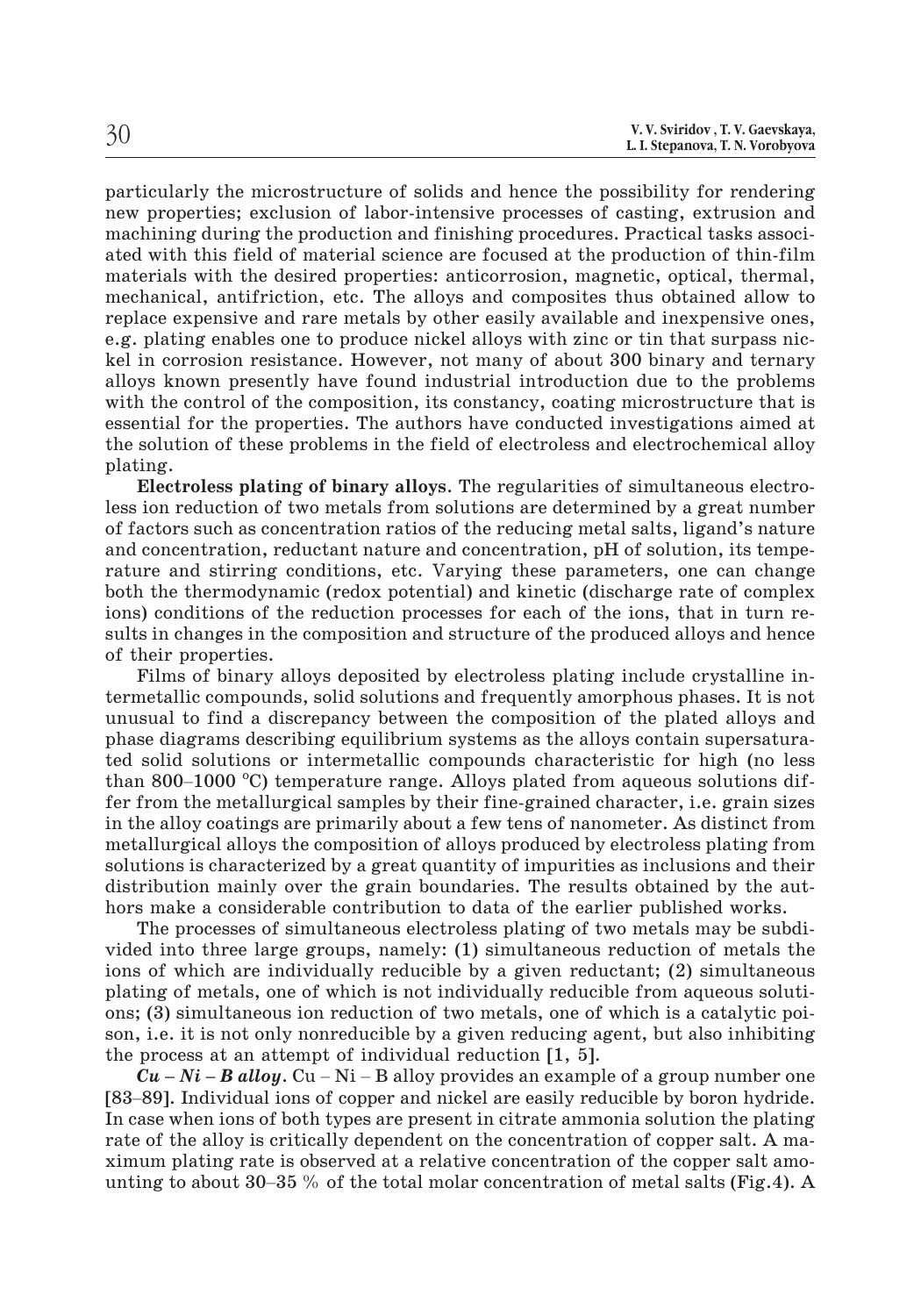particularly the microstructure of solids and hence the possibility for rendering new properties; exclusion of labor-intensive processes of casting, extrusion and machining during the production and finishing procedures. Practical tasks associated with this field of material science are focused at the production of thin-film materials with the desired properties: anticorrosion, magnetic, optical, thermal, mechanical, antifriction, etc. The alloys and composites thus obtained allow to replace expensive and rare metals by other easily available and inexpensive ones, e.g. plating enables one to produce nickel alloys with zinc or tin that surpass nickel in corrosion resistance. However, not many of about 300 binary and ternary alloys known presently have found industrial introduction due to the problems with the control of the composition, its constancy, coating microstructure that is essential for the properties. The authors have conducted investigations aimed at the solution of these problems in the field of electroless and electrochemical alloy plating.

**Electroless plating of binary alloys**. The regularities of simultaneous electroless ion reduction of two metals from solutions are determined by a great number of factors such as concentration ratios of the reducing metal salts, ligand's nature and concentration, reductant nature and concentration, pH of solution, its temperature and stirring conditions, etc. Varying these parameters, one can change both the thermodynamic (redox potential) and kinetic (discharge rate of complex ions) conditions of the reduction processes for each of the ions, that in turn results in changes in the composition and structure of the produced alloys and hence of their properties.

Films of binary alloys deposited by electroless plating include crystalline intermetallic compounds, solid solutions and frequently amorphous phases. It is not unusual to find a discrepancy between the composition of the plated alloys and phase diagrams describing equilibrium systems as the alloys contain supersaturated solid solutions or intermetallic compounds characteristic for high (no less of their properties<br>Films of bina<br>termetallic comp<br>unusual to find<br>phase diagrams of<br>ted solid solution<br>than 800–1000 ° than 800–1000  $^{\circ}$ C) temperature range. Alloys plated from aqueous solutions differ from the metallurgical samples by their fine-grained character, i.e. grain sizes in the alloy coatings are primarily about a few tens of nanometer. As distinct from metallurgical alloys the composition of alloys produced by electroless plating from solutions is characterized by a great quantity of impurities as inclusions and their distribution mainly over the grain boundaries. The results obtained by the authors make a considerable contribution to data of the earlier published works.

The processes of simultaneous electroless plating of two metals may be subdivided into three large groups, namely: (1) simultaneous reduction of metals the ions of which are individually reducible by a given reductant; (2) simultaneous plating of metals, one of which is not individually reducible from aqueous solutions; (3) simultaneous ion reduction of two metals, one of which is a catalytic poison, i.e. it is not only nonreducible by a given reducing agent, but also inhibiting the process at an attempt of individual reduction [1, 5]. *Cu – Ni – B alloy.* Cu – Ni – B alloy provides an example of a group number one plating of metals, one of which is not individually reducible from aqueous solutions; (3) simultaneous ion reduction of two metals, one of which is a catalytic poison, i.e. it is not only nonreducible by a given reducing

In case when ions of both types are present in citrate ammonia solution the plating rate of the alloy is critically dependent on the concentration of copper salt. A maximum plating rate is observed at a relative concentration of the copper salt amo- $Cu-Ni-B$  alloy. Cu – Ni – B alloy provides an example of a group number one [83–89]. Individual ions of copper and nickel are easily reducible by boron hydride.<br>In case when ions of both types are present in citrate ammonia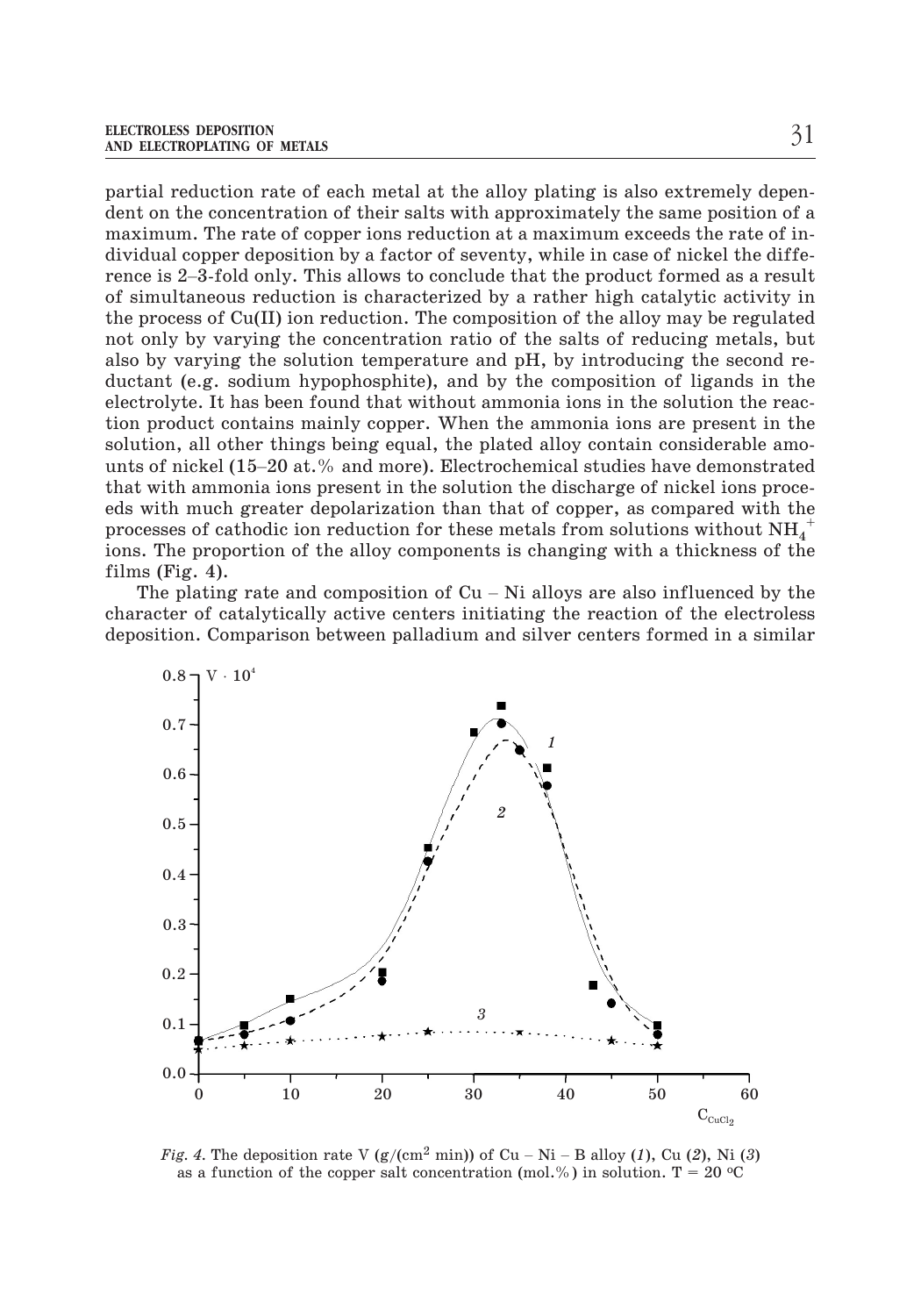partial reduction rate of each metal at the alloy plating is also extremely dependent on the concentration of their salts with approximately the same position of a maximum. The rate of copper ions reduction at a maximum exceeds the rate of individual copper deposition by a factor of seventy, while in case of nickel the diffepartial reduction rate of each metal at the alloy plating is also extremely dependent on the concentration of their salts with approximately the same position of a maximum. The rate of copper ions reduction at a maximum ex of simultaneous reduction is characterized by a rather high catalytic activity in the process of Cu(II) ion reduction. The composition of the alloy may be regulated not only by varying the concentration ratio of the salts of reducing metals, but also by varying the solution temperature and pH, by introducing the second reductant (e.g. sodium hypophosphite), and by the composition of ligands in the electrolyte. It has been found that without ammonia ions in the solution the reaction product contains mainly copper. When the ammonia ions are present in the solution, all other things being equal, the plated alloy contain considerable amonot omy by varying the concentration ratio or the sants of reducing metals, suce<br>also by varying the solution temperature and pH, by introducing the second re-<br>ductant (e.g. sodium hypophosphite), and by the composition of that with ammonia ions present in the solution the discharge of nickel ions proceeds with much greater depolarization than that of copper, as compared with the processes of cathodic ion reduction for these metals from solutions without  $\mathrm{NH}_4^+$ ions. The proportion of the alloy components is changing with a thickness of the films (Fig. 4). unts of nickel (15–20 at.% and more). Electrochemical studies have demonstrated<br>that with ammonia ions present in the solution the discharge of nickel ions proce-<br>eds with much greater depolarization than that of copper,

character of catalytically active centers initiating the reaction of the electroless deposition. Comparison between palladium and silver centers formed in a similar



as a function of the copper salt concentration (mol.%) in solution. T = 20  $\textdegree$ C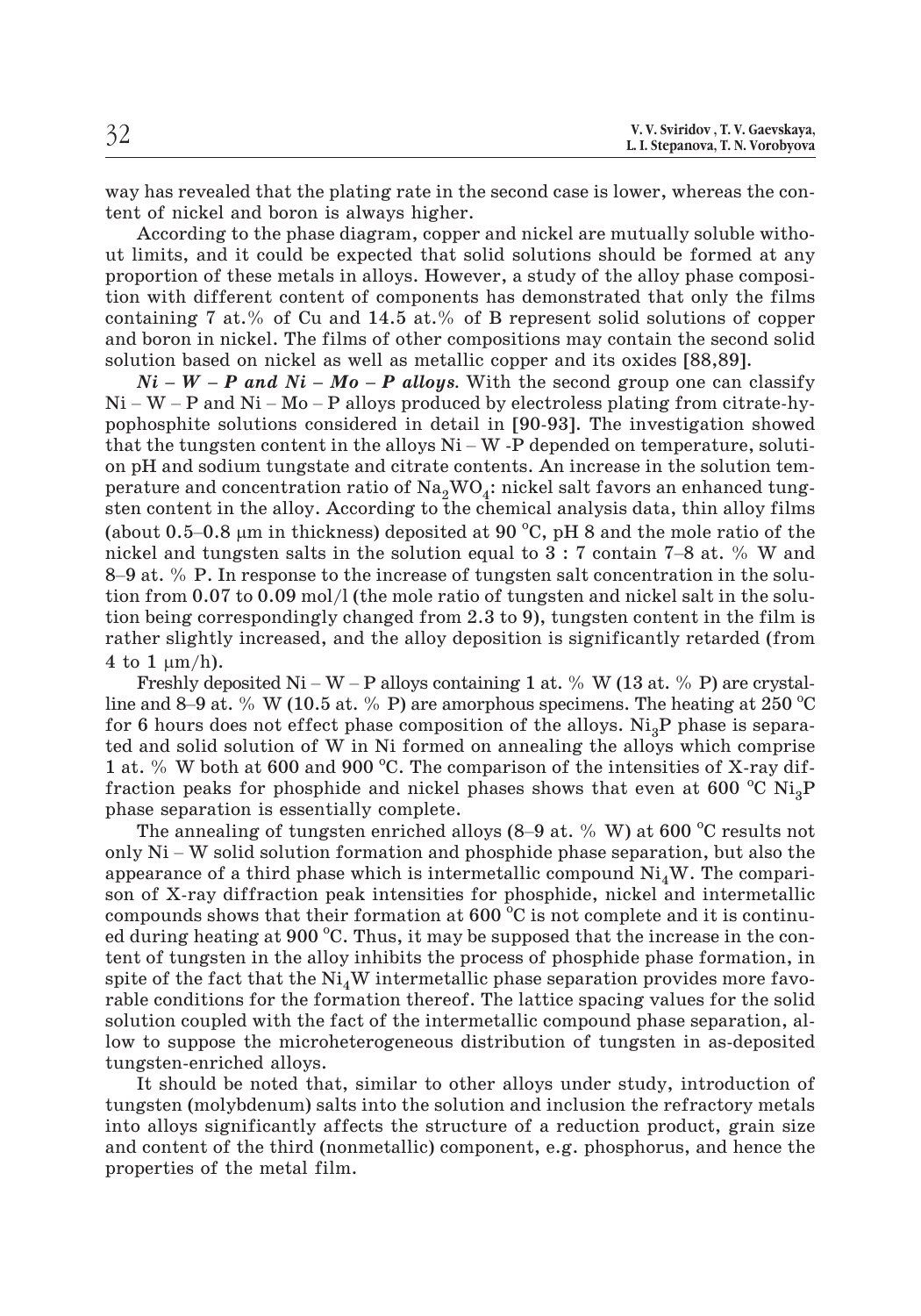way has revealed that the plating rate in the second case is lower, whereas the content of nickel and boron is always higher.

According to the phase diagram, copper and nickel are mutually soluble without limits, and it could be expected that solid solutions should be formed at any proportion of these metals in alloys. However, a study of the alloy phase composition with different content of components has demonstrated that only the films containing 7 at.% of Cu and 14.5 at.% of B represent solid solutions of copper and boron in nickel. The films of other compositions may contain the second solid solution based on nickel as well as metallic copper and its oxides [88,89]. taining 7 at.% of Cu and 14.5 at.% of B represent solid solutions of copper<br>boron in nickel. The films of other compositions may contain the second solid<br>tion based on nickel as well as metallic copper and its oxides [88, tion with different content of components has demonstrated that only the films<br>containing 7 at.% of Cu and 14.5 at.% of B represent solid solutions of copper<br>and boron in nickel. The films of other compositions may contai

pophosphite solutions considered in detail in [90-93]. The investigation showed and boron in nickel. The films of other compositions may contain the second solution based on nickel as well as metallic copper and its oxides [88,89].<br>  $Ni - W - P$  and  $Ni - Mo - P$  alloys. With the second group one can classify<br> on pH and sodium tungstate and citrate contents. An increase in the solution temperature and concentration ratio of  $Na<sub>2</sub>WO<sub>4</sub>$ : nickel salt favors an enhanced tungsten content in the alloy. According to the chemical analysis data, thin alloy films pophosphite solut<br>that the tungste<br>on pH and sodiu:<br>perature and cor<br>sten content in t<br>(about 0.5–0.8  $\mu$ m in thickness) deposited at 90  $^{\circ}$ C, pH 8 and the mole ratio of the that the tungsten content in the alloys  $Ni - W$  -P depended on temperature, solution pH and sodium tungstate and citrate contents. An increase in the solution temperature and concentration ratio of  $Na_2WO_4$ : nickel salt fav on pH and sodium tungstate and citrate contents. An increase in the solution tem-<br>perature and concentration ratio of  $\text{Na}_2\text{WO}_4$ : nickel salt favors an enhanced tung-<br>sten content in the alloy. According to the chemic tion from 0.07 to 0.09 mol/l (the mole ratio of tungsten and nickel salt in the solution being correspondingly changed from 2.3 to 9), tungsten content in the film is rather slightly increased, and the alloy deposition is tion being correspondingly changed from 2.3 to 9), tungsten content in the film is rather slightly increased, and the alloy deposition is significantly retarded (from 4 to 1  $\mu$ m/h). 8–9 at. % P. In response to the increase of tungsten salt concentration in the solution from 0.07 to 0.09 mol/l (the mole ratio of tungsten and nickel salt in the solution being correspondingly changed from 2.3 to 9), tun

line and 8–9 at. % W (10.5 at. % P) are amorphous specimens. The heating at 250  $^{\circ}$ C for 6 hours does not effect phase composition of the alloys. Ni<sub>3</sub>P phase is separa-<br>ted and solid solution of W in Ni formed on annealing the alloys which comprise<br>1 at. % W both at 600 and 900 °C. The comparison of the ted and solid solution of W in Ni formed on annealing the alloys which comprise<br>1 at. % W both at 600 and 900 °C. The comparison of the intensities of X-ray dif-<br>fraction peaks for phosphide and nickel phases shows that e 1 at. % W both at 600 and 900 °C. The comparison of the intensities of X-ray diffraction peaks for phosphide and nickel phases shows that even at  $600\ ^{\circ}\mathrm{C}$   $\mathrm{Ni}_{3}\mathrm{P}$ phase separation is essentially complete.

The annealing of tungsten enriched alloys  $(8-9$  at. % W) at 600 °C results not appearance of a third phase which is intermetallic compound  $Ni<sub>A</sub>W$ . The comparison of X-ray diffraction peak intensities for phosphide, nickel and intermetallic compounds shows that their formation at  $600^{\degree}\text{C}$  is not complete and it is continued during heating at 900 °C. Thus, it may be supposed that the increase in the content of tungsten in the alloy inhibits the process of phosphide phase formation, in spite of the fact that the  $Ni<sub>4</sub>W$  intermetallic phase separation provides more favorable conditions for the formation thereof. The lattice spacing values for the solid solution coupled with the fact of the intermetallic compound phase separation, allow to suppose the microheterogeneous distribution of tungsten in as-deposited tungsten-enriched alloys.

It should be noted that, similar to other alloys under study, introduction of tungsten (molybdenum) salts into the solution and inclusion the refractory metals into alloys significantly affects the structure of a reduction product, grain size and content of the third (nonmetallic) component, e.g. phosphorus, and hence the properties of the metal film.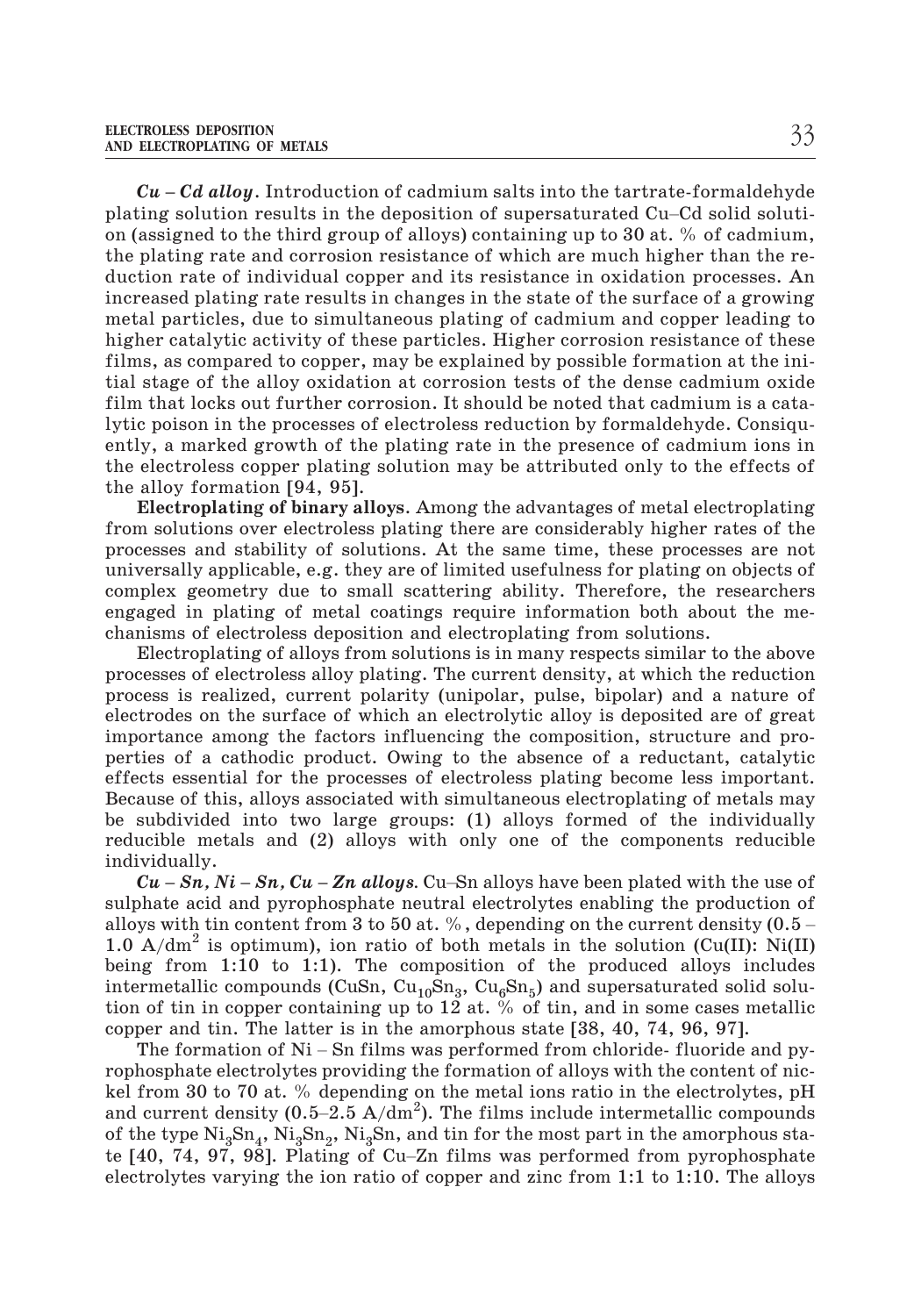**CU ELECTROPLATING OF METALS Cu** – *Cd alloy*. Introduction of cadmium salts into the tartrate-formaldehyde plating solution results in the deposition of supersaturated Cu–Cd solid solution (assigned to the third group of alloys) containing up to 30 at. % of cadmium, the plating rate and corrosion resistance of which are much higher than the reduction rate of individual copper and its resistance in oxidation processes. An increased plating rate results in changes in the state of the surface of a growing metal particles, due to simultaneous plating of cadmium and copper leading to higher catalytic activity of these particles. Higher corrosion resistance of these films, as compared to copper, may be explained by possible formation at the initial stage of the alloy oxidation at corrosion tests of the dense cadmium oxide film that locks out further corrosion. It should be noted that cadmium is a catalytic poison in the processes of electroless reduction by formaldehyde. Consiquently, a marked growth of the plating rate in the presence of cadmium ions in the electroless copper plating solution may be attributed only to the effects of the alloy formation [94, 95].

**Electroplating of binary alloys**. Among the advantages of metal electroplating from solutions over electroless plating there are considerably higher rates of the processes and stability of solutions. At the same time, these processes are not universally applicable, e.g. they are of limited usefulness for plating on objects of complex geometry due to small scattering ability. Therefore, the researchers engaged in plating of metal coatings require information both about the mechanisms of electroless deposition and electroplating from solutions.

Electroplating of alloys from solutions is in many respects similar to the above processes of electroless alloy plating. The current density, at which the reduction process is realized, current polarity (unipolar, pulse, bipolar) and a nature of electrodes on the surface of which an electrolytic alloy is deposited are of great importance among the factors influencing the composition, structure and properties of a cathodic product. Owing to the absence of a reductant, catalytic effects essential for the processes of electroless plating become less important. Because of this, alloys associated with simultaneous electroplating of metals may be subdivided into two large groups: (1) alloys formed of the individually reducible metals and (2) alloys with only one of the components reducible individually. *Cu* is the standard and the processes of electroless plating become less important.<br>
ause of this, alloys associated with simultaneous electroplating of metals may<br>
subdivided into two large groups: (1) alloys formed of

sulphate acid and pyrophosphate neutral electrolytes enabling the production of  $Cu - Sn$ ,  $Ni - Sn$ ,  $Cu - Zn$  alloys. Cu-Sn alloys have been plated with the use of sulphate acid and pyrophosphate neutral electrolytes enabling the production of alloys with tin content from 3 to 50 at. %, depending on the curre 1.0  $A/dm^2$  is optimum), ion ratio of both metals in the solution (Cu(II): Ni(II) being from 1:10 to 1:1). The composition of the produced alloys includes intermetallic compounds (CuSn,  $\text{Cu}_{10}\text{Sn}_3$ ,  $\text{Cu}_{6}\text{Sn}_5$ ) and supersaturated solid solution of tin in copper containing up to 12 at. % of tin, and in some cases metallic copper and tin. The latter is in the amorphous state [38, 40, 74, 96, 97].  $A/dm^2$  is optimum), ion ratio of both metals in the solution (Cu(II): Ni(II) ag from 1:10 to 1:1). The composition of the produced alloys includes irretaillic compounds (CuSn, Cu<sub>10</sub>Sn<sub>3</sub>, Cu<sub>6</sub>Sn<sub>5</sub>) and supersaturated

rophosphate electrolytes providing the formation of alloys with the content of nickel from 30 to 70 at. % depending on the metal ions ratio in the electrolytes, pH motime and compounds (cash, equology, edgents) and supersuctuated solid solid<br>tion of tin in copper containing up to 12 at. % of tin, and in some cases metallic<br>copper and tin. The latter is in the amorphous state [38, 40 of the type  $\text{Ni}_3\text{Sn}_4$ ,  $\text{Ni}_3\text{Sn}_2$ ,  $\text{Ni}_3\text{Sn}_3$ , and tin for the most part in the amorphous state [40, 74, 97, 98]. Plating of Cu-Zn films was performed from pyrophosphate The formation of Ni – Sn films was performed from chloride-fluoride and py-<br>rophosphate electrolytes providing the formation of alloys with the content of nic-<br>kel from 30 to 70 at. % depending on the metal ions ratio in electrolytes varying the ion ratio of copper and zinc from 1:1 to 1:10. The alloys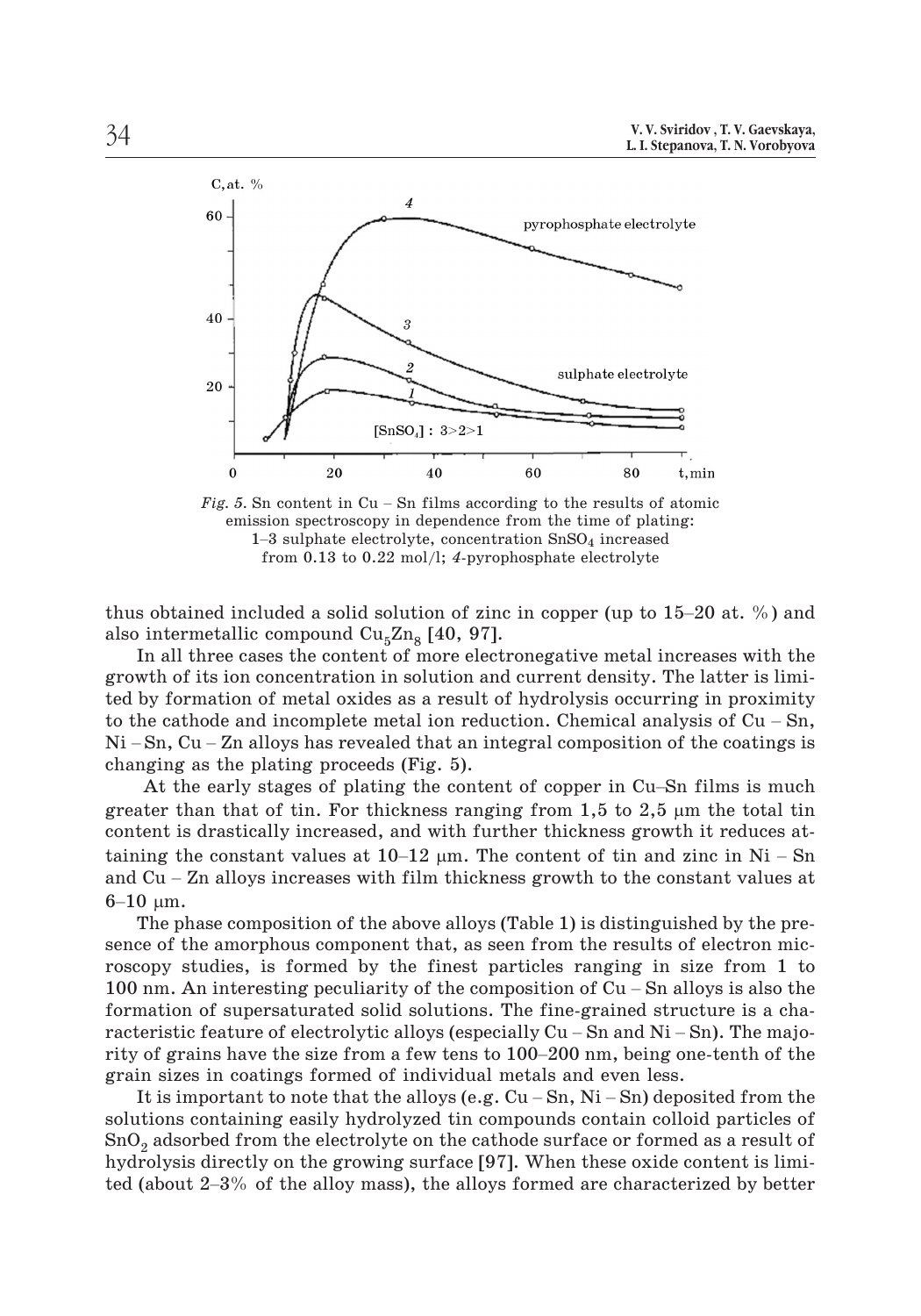

emission spectroscopy in dependence from the time of plating:  $1-3$  sulphate electrolyte, concentration  $SnSO<sub>4</sub>$  increased from 0.13 to 0.22 mol/l; *4*-pyrophosphate electrolyte

thus obtained included a solid solution of zinc in copper (up to  $15-20$  at. %) and also intermetallic compound  $Cu<sub>5</sub>Zn<sub>8</sub>$  [40, 97].

In all three cases the content of more electronegative metal increases with the growth of its ion concentration in solution and current density. The latter is limited by formation of metal oxides as a result of hydrolysis occurring in proximity thus obtained included a solid solution of zinc in copper (up to 15–20 at. %) and<br>also intermetallic compound  $Cu_5Zn_8$  [40, 97].<br>In all three cases the content of more electronegative metal increases with the<br>growth of i also intermetallic compound  $Cu_5Zn_8$  [40, 97].<br>In all three cases the content of more electronegative metal increases with the<br>growth of its ion concentration in solution and current density. The latter is limi-<br>ted by f changing as the plating proceeds (Fig. 5). wth of its ion concentration in solution and current density. The latter is limi-<br>by formation of metal oxides as a result of hydrolysis occurring in proximity<br>le cathode and incomplete metal ion reduction. Chemical analy

greater than that of tin. For thickness ranging from  $1,5$  to  $2,5$   $\mu$ m the total tin content is drastically increased, and with further thickness growth it reduces at-Ni – Sn, Cu – Zn alloys has revealed that an integral composition of the coatings is<br>changing as the plating proceeds (Fig. 5).<br>At the early stages of plating the content of copper in Cu–Sn films is much<br>greater than that At the early stages of plating the content of copper in Cu-Sn films is much greater than that of tin. For thickness ranging from 1,5 to 2,5  $\mu$ m the total tin content is drastically increased, and with further thickness At<br>greater<br>conten<br>taining<br>and Cu<br>6–10 µ  $6-10 \mu m$ .

The phase composition of the above alloys (Table 1) is distinguished by the presence of the amorphous component that, as seen from the results of electron microscopy studies, is formed by the finest particles ranging in size from 1 to and Cu – Zn alloys increases with film thickness growth to the constant values at  $6-10 \mu m$ .<br>The phase composition of the above alloys (Table 1) is distinguished by the presence of the amorphous component that, as seen fr formation of supersaturated solid solutions. The fine-grained structure is a cha-The phase composition of the above alloys (Table 1) is distinguished by the presence of the amorphous component that, as seen from the results of electron microscopy studies, is formed by the finest particles ranging in s sence of the amorphous component that, as seen from the results of electron mic-<br>roscopy studies, is formed by the finest particles ranging in size from 1 to<br>100 nm. An interesting peculiarity of the composition of Cu – S grain sizes in coatings formed of individual metals and even less. 100 nm. An interesting peculiarity of the composition of Cu – Sn alloys is also the formation of supersaturated solid solutions. The fine-grained structure is a characteristic feature of electrolytic alloys (especially Cu

solutions containing easily hydrolyzed tin compounds contain colloid particles of SnO<sub>2</sub> adsorbed from the electrolyte on the cathode surface or formed as a result of hydrolysis directly on the growing surface [97]. When these oxide content is limigrain sizes in coatings formed of individual metals and even less.<br>It is important to note that the alloys (e.g. Cu – Sn, Ni – Sn) deposited from the<br>solutions containing easily hydrolyzed tin compounds contain colloid pa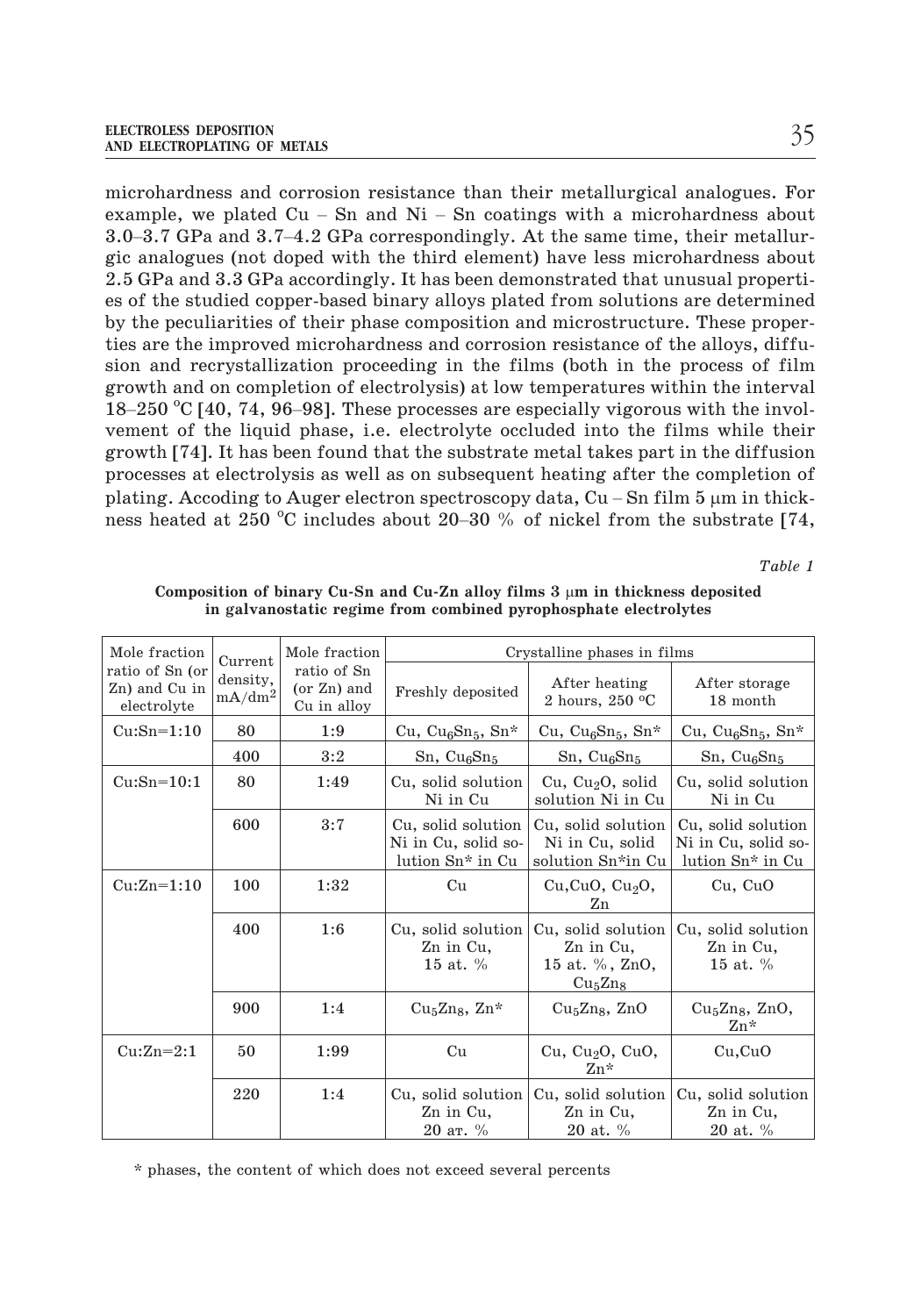microhardness and corrosion resistance than their metallurgical analogues. For example. The example, we plated Cu – Sn and Ni – Sn coatings with a microhardness about<br>microhardness and corrosion resistance than their metallurgical analogues. For<br>example, we plated Cu – Sn and Ni – Sn coatings with a 3.5<br>3.0–3.7 GPa and corrosion resistance than their metallurgical analogues. For<br>1.0–3.7 GPa and 3.7–4.2 GPa correspondingly. At the same time, their metallur-<br>3.0–3.7 GPa and 3.7–4.2 GPa correspondingly. At the same time, gic analogues (not doped with the third element) have less microhardness about 2.5 GPa and 3.3 GPa accordingly. It has been demonstrated that unusual properties of the studied copper-based binary alloys plated from solutions are determined by the peculiarities of their phase composition and microstructure. These properties are the improved microhardness and corrosion resistance of the alloys, diffusion and recrystallization proceeding in the films (both in the process of film growth and on completion of electrolysis) at low temperatures within the interval es of the studied copper-based binary alloys plated from solutions are determined<br>by the peculiarities of their phase composition and microstructure. These proper-<br>ties are the improved microhardness and corrosion resistan vement of the liquid phase, i.e. electrolyte occluded into the films while their growth [74]. It has been found that the substrate metal takes part in the diffusion processes at electrolysis as well as on subsequent heating after the completion of growth and on completion of electrolysis) at low temperatures within  $18-250$  °C [40, 74, 96–98]. These processes are especially vigorous with vement of the liquid phase, i.e. electrolyte occluded into the films verowth [ plating. Accoding to Auger electron spectroscopy data,  $Cu-Sn$  film 5  $\mu$ m in thickness heated at 250 °C includes about 20–30 % of nickel from the substrate  $[74,$ 6–98]. These processes are especially vigorous with the invol-<br>d phase, i.e. electrolyte occluded into the films while their<br>een found that the substrate metal takes part in the diffusion<br>ysis as well as on subsequent hea

*Table 1*

| Mole fraction                                   | Current                        | Mole fraction                             |                                                                           | Crystalline phases in films                                                          |                                                               |  |
|-------------------------------------------------|--------------------------------|-------------------------------------------|---------------------------------------------------------------------------|--------------------------------------------------------------------------------------|---------------------------------------------------------------|--|
| ratio of Sn (or<br>Zn) and Cu in<br>electrolyte | density,<br>$\mathrm{mA/dm^2}$ | ratio of Sn<br>(or Zn) and<br>Cu in alloy | Freshly deposited                                                         | After heating<br>2 hours, $250 °C$                                                   | After storage<br>18 month                                     |  |
| $Cu:Sn=1:10$                                    | 80                             | 1:9                                       | Cu, Cu <sub>6</sub> Sn <sub>5</sub> , Sn*                                 | Cu, Cu <sub>6</sub> Sn <sub>5</sub> , Sn*                                            | Cu, Cu <sub>6</sub> Sn <sub>5</sub> , Sn*                     |  |
|                                                 | 400                            | 3:2                                       | $Sn, Cu_6Sn_5$                                                            | $Sn, Cu_6Sn_5$                                                                       | $Sn, Cu_6Sn_5$                                                |  |
| $Cu:Sn=10:1$                                    | 80                             | 1:49                                      | Cu, solid solution<br>Ni in Cu                                            | Cu, Cu <sub>2</sub> O, solid<br>solution Ni in Cu                                    | Cu, solid solution<br>Ni in Cu                                |  |
|                                                 | 600                            | 3:7                                       | Cu, solid solution<br>Ni in Cu, solid so-<br>lution Sn <sup>*</sup> in Cu | Cu, solid solution<br>Ni in Cu. solid<br>solution Sn*in Cu                           | Cu, solid solution<br>Ni in Cu, solid so-<br>lution Sn* in Cu |  |
| $Cu:Zn=1:10$                                    | 100                            | 1:32                                      | Cu                                                                        | Cu, CuO, Cu <sub>2</sub> O,<br>Zn                                                    | Cu, CuO                                                       |  |
|                                                 | 400                            | 1:6                                       | Cu, solid solution<br>Zn in Cu,<br>15 at. $%$                             | Cu, solid solution<br>Zn in Cu,<br>15 at. %, ZnO,<br>Cu <sub>5</sub> Zn <sub>8</sub> | Cu, solid solution<br>Zn in Cu,<br>15 at. $%$                 |  |
|                                                 | 900                            | 1:4                                       | $Cu5Zn8$ , $Zn*$                                                          | $Cu5Zn8$ , ZnO                                                                       | $Cu5Zn8$ , ZnO,<br>$Zn*$                                      |  |
| $Cu:Zn=2:1$                                     | 50                             | 1:99                                      | Cu                                                                        | Cu, Cu <sub>2</sub> O, CuO,<br>$Zn*$                                                 | Cu,CuO                                                        |  |
|                                                 | 220                            | 1:4                                       | Cu, solid solution<br>Zn in Cu,<br>20 ат. %                               | Cu, solid solution<br>Zn in Cu,<br>20 at. %                                          | Cu, solid solution<br>Zn in Cu,<br>20 at. %                   |  |

Composition of binary Cu-Sn and Cu-Zn alloy films  $3 \mu m$  in thickness deposited **in galvanostatic regime from combined pyrophosphate electrolytes**

\* phases, the content of which does not exceed several percents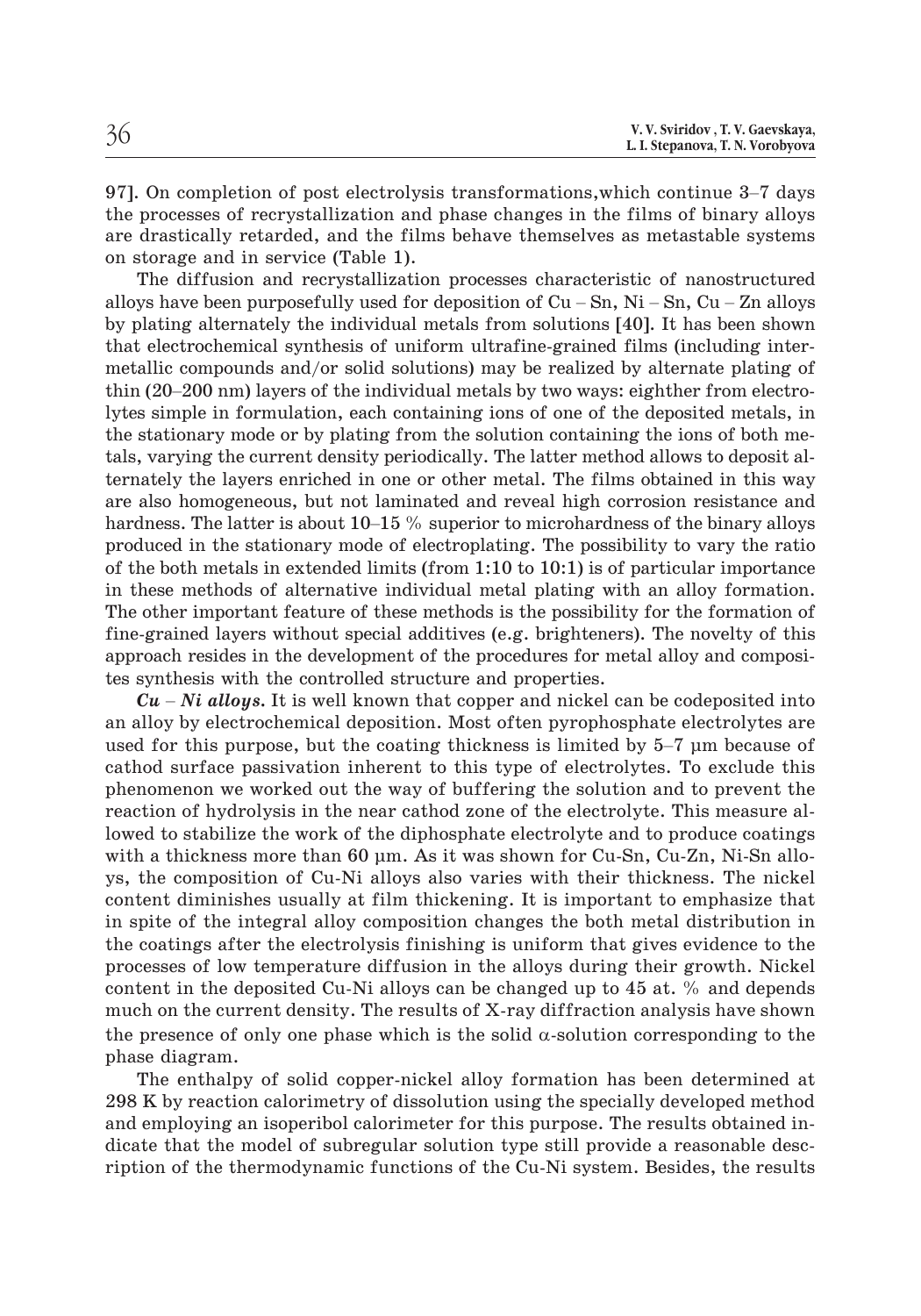| 36 | V. V. Sviridov, T. V. Gaevskaya,<br>L. I. Stepanova, T. N. Vorobyova |
|----|----------------------------------------------------------------------|
|----|----------------------------------------------------------------------|

97]. On completion of post electrolysis transformations,which continue 3–7 days the processes of recrystallization and phase changes in the films of binary alloys are drastically retarded, and the films behave themselves as metastable systems on storage and in service (Table 1). 97]. On completion of post electrolysis transformations, which continue 3–7 days the processes of recrystallization and phase changes in the films of binary alloys are drastically retarded, and the films behave themselves

The diffusion and recrystallization processes characteristic of nanostructured by plating alternately the individual metals from solutions [40]. It has been shown that electrochemical synthesis of uniform ultrafine-grained films (including intermetallic compounds and/or solid solutions) may be realized by alternate plating of alloys have been purposefully used for deposition of  $Cu - Sn$ ,  $Ni - Sn$ ,  $Cu - Zn$  alloys<br>by plating alternately the individual metals from solutions [40]. It has been shown<br>that electrochemical synthesis of uniform ultrafine-grai lytes simple in formulation, each containing ions of one of the deposited metals, in the stationary mode or by plating from the solution containing the ions of both metals, varying the current density periodically. The latter method allows to deposit alternately the layers enriched in one or other metal. The films obtained in this way are also homogeneous, but not laminated and reveal high corrosion resistance and lytes simple in formulation, each containing ions of one of the deposited metals, in the stationary mode or by plating from the solution containing the ions of both metals, varying the current density periodically. The lat produced in the stationary mode of electroplating. The possibility to vary the ratio of the both metals in extended limits (from 1:10 to 10:1) is of particular importance in these methods of alternative individual metal plating with an alloy formation. The other important feature of these methods is the possibility for the formation of fine-grained layers without special additives (e.g. brighteners). The novelty of this approach resides in the development of the procedures for metal alloy and composites synthesis with the controlled structure and properties. hese methods of alternative individual metal plating with an alloy formation.<br>
other important feature of these methods is the possibility for the formation of<br>  $C$ -grained layers without special additives (e.g. brightene

an alloy by electrochemical deposition. Most often pyrophosphate electrolytes are  $Cu - Ni$  alloys. It is well known that copper and nickel can be codeposited into<br>an alloy by electrochemical deposition. Most often pyrophosphate electrolytes are<br>used for this purpose, but the coating thickness is limited b cathod surface passivation inherent to this type of electrolytes. To exclude this phenomenon we worked out the way of buffering the solution and to prevent the reaction of hydrolysis in the near cathod zone of the electrolyte. This measure allowed to stabilize the work of the diphosphate electrolyte and to produce coatings with a thickness more than 60 µm. As it was shown for Cu-Sn, Cu-Zn, Ni-Sn alloys, the composition of Cu-Ni alloys also varies with their thickness. The nickel content diminishes usually at film thickening. It is important to emphasize that in spite of the integral alloy composition changes the both metal distribution in the coatings after the electrolysis finishing is uniform that gives evidence to the processes of low temperature diffusion in the alloys during their growth. Nickel content in the deposited Cu-Ni alloys can be changed up to 45 at. % and depends much on the current density. The results of X-ray diffraction analysis have shown the presence of only one phase which is the solid  $\alpha$ -solution corresponding to the phase diagram.

The enthalpy of solid copper-nickel alloy formation has been determined at 298 K by reaction calorimetry of dissolution using the specially developed method and employing an isoperibol calorimeter for this purpose. The results obtained indicate that the model of subregular solution type still provide a reasonable description of the thermodynamic functions of the Cu-Ni system. Besides, the results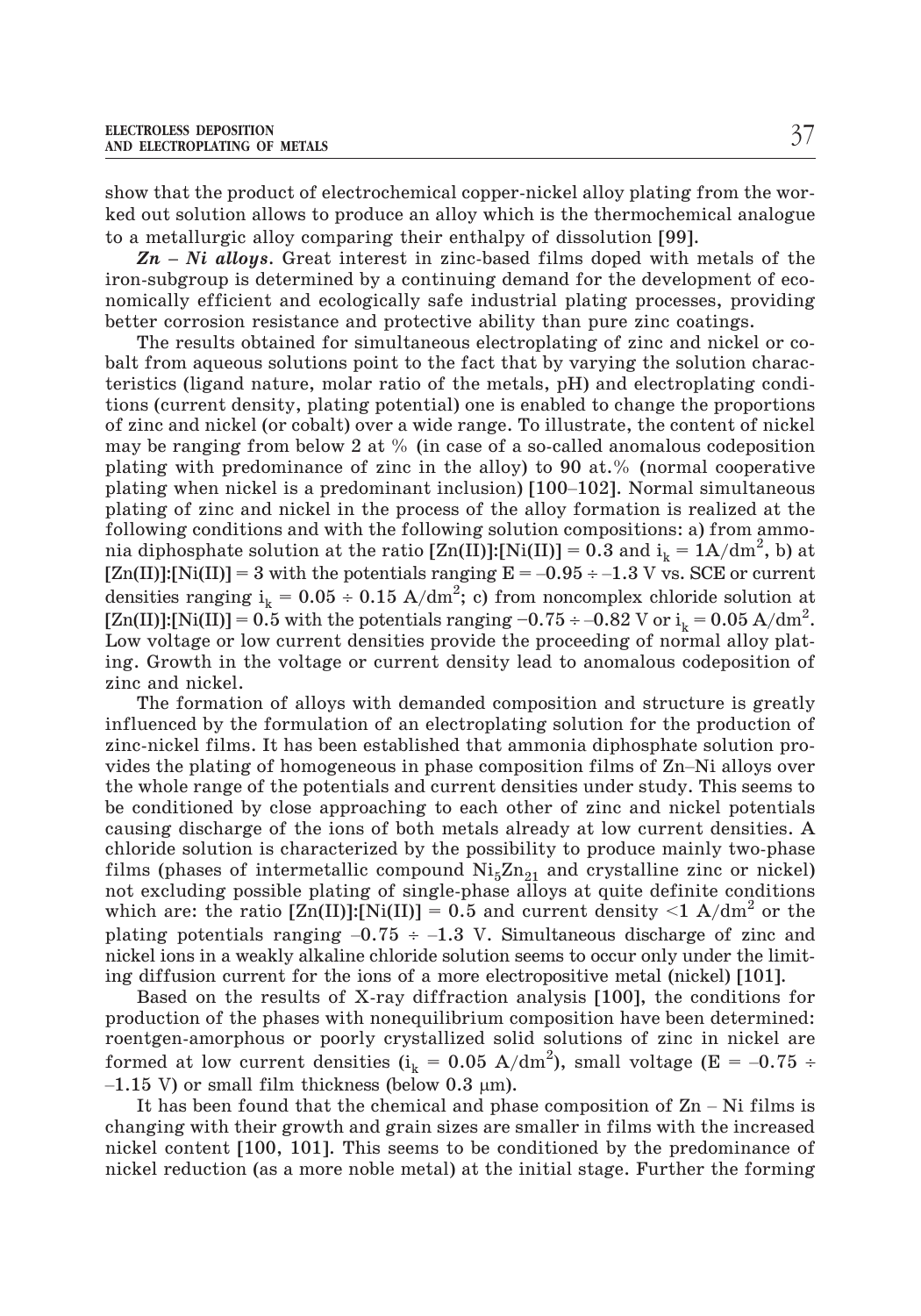show that the product of electrochemical copper-nickel alloy plating from the worked out solution allows to produce an alloy which is the thermochemical analogue to a metallurgic alloy comparing their enthalpy of dissolution [99].

*Zn – Ni alloys*. Great interest in zinc-based films doped with metals of the iron-subgroup is determined by a continuing demand for the development of economically efficient and ecologically safe industrial plating processes, providing better corrosion resistance and protective ability than pure zinc coatings.

The results obtained for simultaneous electroplating of zinc and nickel or cobalt from aqueous solutions point to the fact that by varying the solution characbart from aqueous solutions point to the fact that by varying the solution charac-<br>teristics (ligand nature, molar ratio of the metals, pH) and electroplating condi-<br>tions (current density, plating potential) one is enable tions (current density, plating potential) one is enabled to change the proportions of zinc and nickel (or cobalt) over a wide range. To illustrate, the content of nickel may be ranging from below 2 at  $%$  (in case of a so-called anomalous codeposition plating with predominance of zinc in the alloy) to 90 at.% (normal cooperative plating of zinc and nickel in the process of the alloy formation is realized at the following conditions and with the following solution compositions: a) from ammonia diphosphate solution at the ratio  $[\text{Zn(II)}]$ :[Ni(II)] = 0.3 and i<sub>k</sub> = 1A/dm<sup>2</sup>, b) at plating when nickel is a predominant inclusion) [100–102]. Normal simultaneous plating of zinc and nickel in the process of the alloy formation is realized at the following conditions and with the following solution compo densities ranging  $i_k = 0.05 \div 0.15$  A/dm<sup>2</sup>; c) from noncomplex chloride solution at plating of zinc and nickel in the process of the alloy formation is realized at the following conditions and with the following solution compositions: a) from ammonia diphosphate solution at the ratio  $[Zn(II)!;Ni(II)] = 0.3$  a Low voltage or low current densities provide the proceeding of normal alloy plating. Growth in the voltage or current density lead to anomalous codeposition of zinc and nickel.

The formation of alloys with demanded composition and structure is greatly influenced by the formulation of an electroplating solution for the production of zinc-nickel films. It has been established that ammonia diphosphate solution pro-Fig. Growth in the voltage or current densities provide the proceeding of hormal antly plating. Growth in the voltage or current density lead to anomalous codeposition of zinc and nickel.<br>The formation of alloys with dema the whole range of the potentials and current densities under study. This seems to be conditioned by close approaching to each other of zinc and nickel potentials causing discharge of the ions of both metals already at low current densities. A chloride solution is characterized by the possibility to produce mainly two-phase films (phases of intermetallic compound  $N_{15}Zn_{21}$  and crystalline zinc or nickel) not excluding possible plating of single-phase alloys at quite definite conditions which are: the ratio  $[\text{Zn(II)}][\text{Ni(II)}] = 0.5$  and current density  $\leq 1$  A/dm<sup>2</sup> or the causing discharge of the ions of both metals already at low current densities. A chloride solution is characterized by the possibility to produce mainly two-phase films (phases of intermetallic compound  $Ni_5Zn_{21}$  and cr nickel ions in a weakly alkaline chloride solution seems to occur only under the limiting diffusion current for the ions of a more electropositive metal (nickel) [101]. –

Based on the results of X-ray diffraction analysis [100], the conditions for production of the phases with nonequilibrium composition have been determined: roentgen-amorphous or poorly crystallized solid solutions of zinc in nickel are production is a weakly alkaline chloride solution seems to occur only under the limiting diffusion current for the ions of a more electropositive metal (nickel) [101].<br>Based on the results of X-ray diffraction analysis [1 1.15 V) or small film thickness (below  $0.3 \mu m$ ). Based on the results of X-ray diffraction analysis [100], the conditions for<br>duction of the phases with nonequilibrium composition have been determined:<br>ntgen-amorphous or poorly crystallized solid solutions of zinc in ni

changing with their growth and grain sizes are smaller in films with the increased nickel content [100, 101]. This seems to be conditioned by the predominance of nickel reduction (as a more noble metal) at the initial stage. Further the forming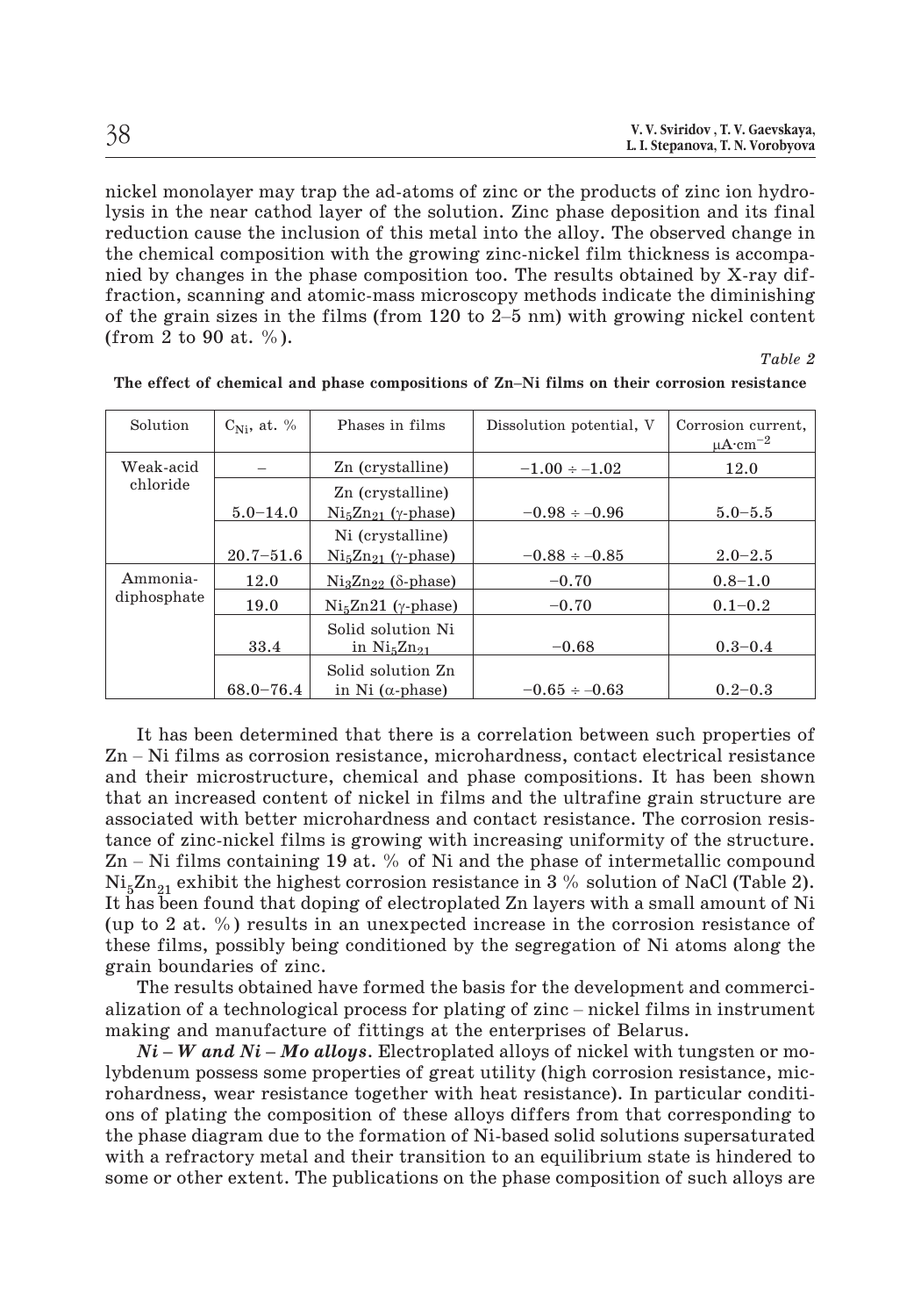| 38 | V. V. Sviridov, T. V. Gaevskaya, |
|----|----------------------------------|
|    | L. I. Stepanova, T. N. Vorobyova |

nickel monolayer may trap the ad-atoms of zinc or the products of zinc ion hydrolysis in the near cathod layer of the solution. Zinc phase deposition and its final reduction cause the inclusion of this metal into the alloy. The observed change in the chemical composition with the growing zinc-nickel film thickness is accompanied by changes in the phase composition too. The results obtained by X-ray diffraction, scanning and atomic-mass microscopy methods indicate the diminishing degrain in the near cathod layer of the solution. Zinc of the products of zinc for hydro-<br>lysis in the near cathod layer of the solution. Zinc phase deposition and its final<br>reduction cause the inclusion of this metal int (from 2 to 90 at.  $\%$ ). The effect of chemical and phase compositions of Zn<sup>*–*Ni</sup> films on their corrosion resistance<br>The effect of chemical and phase compositions of Zn<sup>–</sup>Ni films on their corrosion resistance

*Table 2*

| The effect of chemical and phase compositions of Zn–Ni films on their corrosion resistance |                  |                                                                          |                          |                                                    |
|--------------------------------------------------------------------------------------------|------------------|--------------------------------------------------------------------------|--------------------------|----------------------------------------------------|
| Solution                                                                                   | $C_{Ni}$ , at. % | Phases in films                                                          | Dissolution potential, V | Corrosion current,<br>$\mu A \cdot \text{cm}^{-2}$ |
| Weak-acid                                                                                  |                  | Zn (crystalline)                                                         | $-1.00 \div -1.02$       | 12.0                                               |
| chloride                                                                                   | $5.0 - 14.0$     | Zn (crystalline)<br>$\mathrm{Ni}_{5}\mathrm{Zn}_{21}$ ( <i>y</i> -phase) | $-0.98 \div -0.96$       | $5.0 - 5.5$                                        |
|                                                                                            |                  | Ni (crystalline)                                                         |                          |                                                    |
|                                                                                            | $20.7 - 51.6$    | $Ni5Zn21$ ( $\gamma$ -phase)                                             | $-0.88 \div -0.85$       | $2.0 - 2.5$                                        |
| Ammonia-                                                                                   | 12.0             | $Ni3Zn22$ ( $\delta$ -phase)                                             | $-0.70$                  | $0.8 - 1.0$                                        |
| diphosphate                                                                                | 19.0             | $Ni5Zn21$ ( $\gamma$ -phase)                                             | $-0.70$                  | $0.1 - 0.2$                                        |
|                                                                                            | 33.4             | Solid solution Ni<br>in $Ni5Zn21$                                        | $-0.68$                  | $0.3 - 0.4$                                        |
|                                                                                            |                  | Solid solution Zn                                                        |                          |                                                    |
|                                                                                            | $68.0 - 76.4$    | in Ni $(\alpha$ -phase)                                                  | $-0.65 \div -0.63$       | $0.2 - 0.3$                                        |

It has been determined that there is a correlation between such properties of Zn – Ni films as corrosion resistance, microhardness, contact electrical resistance and their microstructure, chemical and phase compositions. It has been shown that an increased content of nickel in films and the ultrafine grain structure are associated with better microhardness and contact resistance. The corrosion resistance of zinc-nickel films is growing with increasing uniformity of the structure.  $\mathbb{Z}$ n – Ni films containing 19 at. % of Ni and the phase of intermetallic compound  $Ni_{5}Zn_{21}$  exhibit the highest corrosion resistance in 3 % solution of NaCl (Table 2). It has been found that doping of electroplated Zn layers with a small amount of Ni (up to 2 at. %) results in an unexpected increase in the corrosion resistance of these films, possibly being conditioned by the segregation of Ni atoms along the grain boundaries of zinc. The set of a technological process for plating of zinc – nickel films in mount of Ni (up to 2 at. %) results in an unexpected increase in the corrosion resistance of these films, possibly being conditioned by the segregat

The results obtained have formed the basis for the development and commerciation of a technological process for plating of zinc – nickel films in instrument king and manufacture of fittings at the enterprises of Belarus.<br> making and manufacture of fittings at the enterprises of Belarus.

lybdenum possess some properties of great utility (high corrosion resistance, microhardness, wear resistance together with heat resistance). In particular conditions of plating the composition of these alloys differs from that corresponding to the phase diagram due to the formation of Ni-based solid solutions supersaturated with a refractory metal and their transition to an equilibrium state is hindered to some or other extent. The publications on the phase composition of such alloys are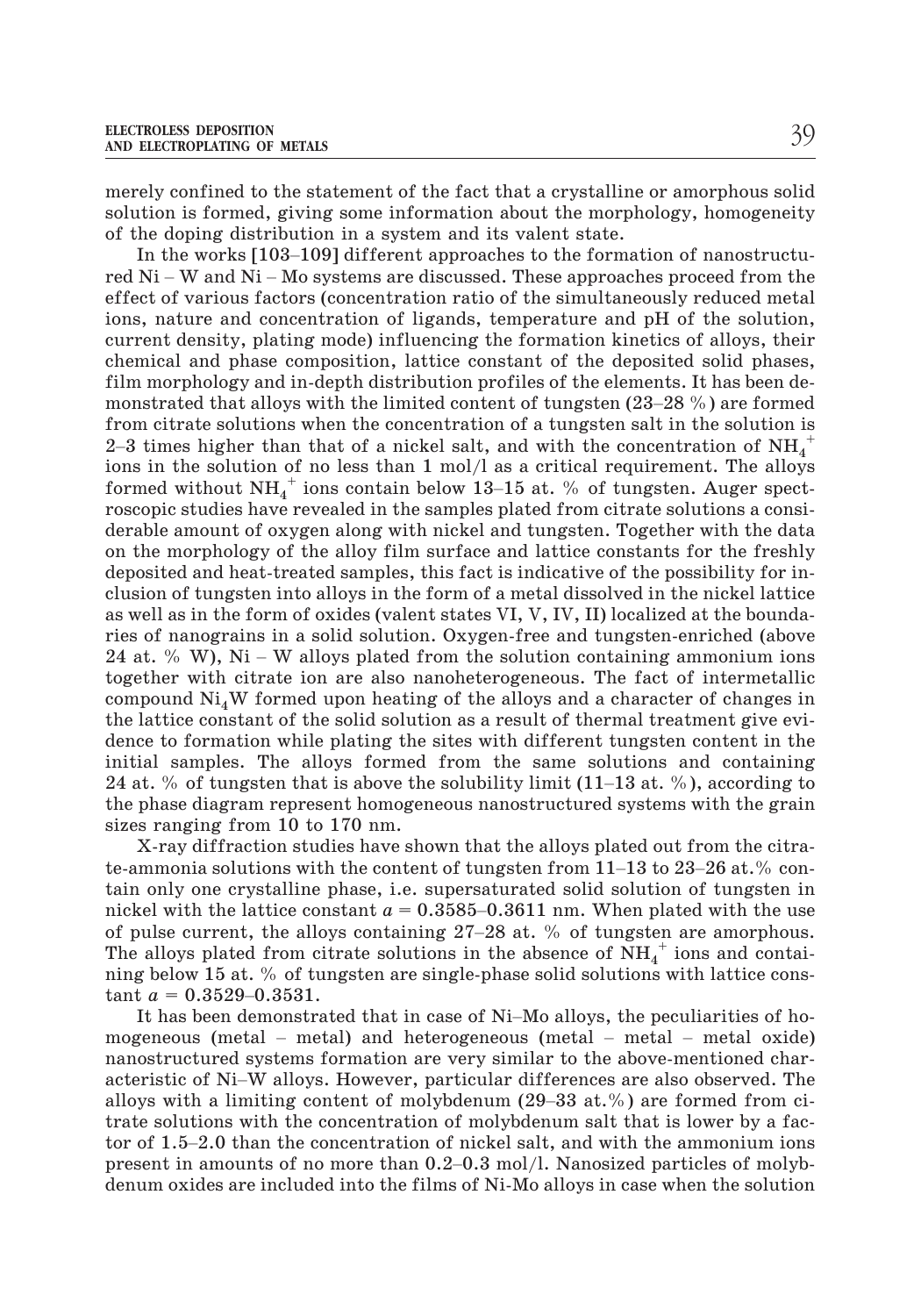merely confined to the statement of the fact that a crystalline or amorphous solid solution is formed, giving some information about the morphology, homogeneity of the doping distribution in a system and its valent state. TROLESS DEPOSITION<br>
<u>ELECTROPLATING</u> OF METALS<br>
Tely confined to the statement of the fact that a crystalline or amorphous solid<br>
ation is formed, giving some information about the morphology, homogeneity<br>
the doping dist

red Ni – W and Ni – Mo systems are discussed. These approaches proceed from the effect of various factors (concentration ratio of the simultaneously reduced metal ions, nature and concentration of ligands, temperature and pH of the solution, current density, plating mode) influencing the formation kinetics of alloys, their chemical and phase composition, lattice constant of the deposited solid phases, film morphology and in-depth distribution profiles of the elements. It has been deeffect of various factors (concentration ratio of the simultaneously reduced metal<br>ions, nature and concentration of ligands, temperature and pH of the solution,<br>current density, plating mode) influencing the formation ki from citrate solutions when the concentration of a tungsten salt in the solution is come, mature and concentration of nganas, comperator and pri or the solution,<br>current density, plating mode) influencing the formation kinetics of alloys, their<br>chemical and phase composition, lattice constant of the depo ions in the solution of no less than 1 mol/l as a critical requirement. The alloys film morphology and in-depth distribution profiles of the elements. It has been de-<br>monstrated that alloys with the limited content of tungsten (23–28 %) are formed<br>from citrate solutions when the concentration of a tungs roscopic studies have revealed in the samples plated from citrate solutions a considerable amount of oxygen along with nickel and tungsten. Together with the data on the morphology of the alloy film surface and lattice constants for the freshly deposited and heat-treated samples, this fact is indicative of the possibility for inclusion of tungsten into alloys in the form of a metal dissolved in the nickel lattice as well as in the form of oxides (valent states VI, V, IV, II) localized at the boundaries of nanograins in a solid solution. Oxygen-free and tungsten-enriched (above 24 at. % W), Ni – W alloys plated from the solution containing ammonium ions and the morphology of the alloy film surface and lattice constants for the freshly deposited and heat-treated samples, this fact is indicative o together with citrate ion are also nanoheterogeneous. The fact of intermetallic compound  $\mathrm{Ni_{4}W}$  formed upon heating of the alloys and a character of changes in the lattice constant of the solid solution as a result of thermal treatment give evidence to formation while plating the sites with different tungsten content in the initial samples. The alloys formed from the same solutions and containing  $24$  at. % of tungsten that is above the solubility limit  $(11-13$  at. %), according to the phase diagram represent homogeneous nanostructured syst 24 at. % W), We alloys placed from the solution containing all allocation to the total of the solution to the solution compound  $Ni_4W$  formed upon heating of the alloys and a character of changes in the lattice constant o the phase diagram represent homogeneous nanostructured systems with the grain sizes ranging from 10 to 170 nm.

X-ray diffraction studies have shown that the alloys plated out from the citratain only one crystalline phase, i.e. supersaturated solid solution of tungsten in 24 at. % of tungsten that is above the solubility limit  $(11-13$  at. %), according to the phase diagram represent homogeneous nanostructured systems with the grain sizes ranging from 10 to 170 nm.<br>X-ray diffraction studie of pulse current, the alloys containing 27–28 at. % of tungsten are amorphous. The alloys plated from citrate solutions in the absence of  $NH_4^+$  ions and contaitain only one crystalline<br>
nickel with the lattice co<br>
of pulse current, the all<br>
The alloys plated from c<br>
ning below 15 at. % of ti<br>
tant  $a = 0.3529 - 0.3531$ . It has been demonstrated that in case of Ni–Mo alloys, the peculiarities of ho-<br>is alloys plated from citrate solutions in the absence of NH<sub>4</sub><sup>+</sup> ions and contai-<br>g below 15 at. % of tungsten are single-phase solid solut monet with the lattice concluded and all the section of pulse current, the alloys containing  $27-28$  at. % of tungsten are amorphous.<br>The alloys plated from citrate solutions in the absence of  $NH_4^+$  ions and contai-<br>nin

The analys phase 11 on strate solutions in the assence of  $Ni_4$  lons and containing below 15 at. % of tungsten are single-phase solid solutions with lattice constant  $a = 0.3529-0.3531$ .<br>It has been demonstrated that in c nanostructured systems formation are very similar to the above-mentioned charallows with a limiting content of molybdenum (29–33 at. %) are formed from the model in model in model in model in model in model in model in model in model in model in model in model in model in an above metal of Mi-W al trate solutions with the concentration of molybdenum salt that is lower by a facto has seen demonstrated that in case of NT ho anoys, the peculiarities of no-<br>mogeneous (metal – metal) and heterogeneous (metal – metal – metal oxide)<br>nanostructured systems formation are very similar to the above-menti mogeneous (metal – metal) and heterogeneous (metal – metal – metal oxide)<br>nanostructured systems formation are very similar to the above-mentioned char-<br>acteristic of Ni–W alloys. However, particular differences are also denum oxides are included into the films of Ni-Mo alloys in case when the solution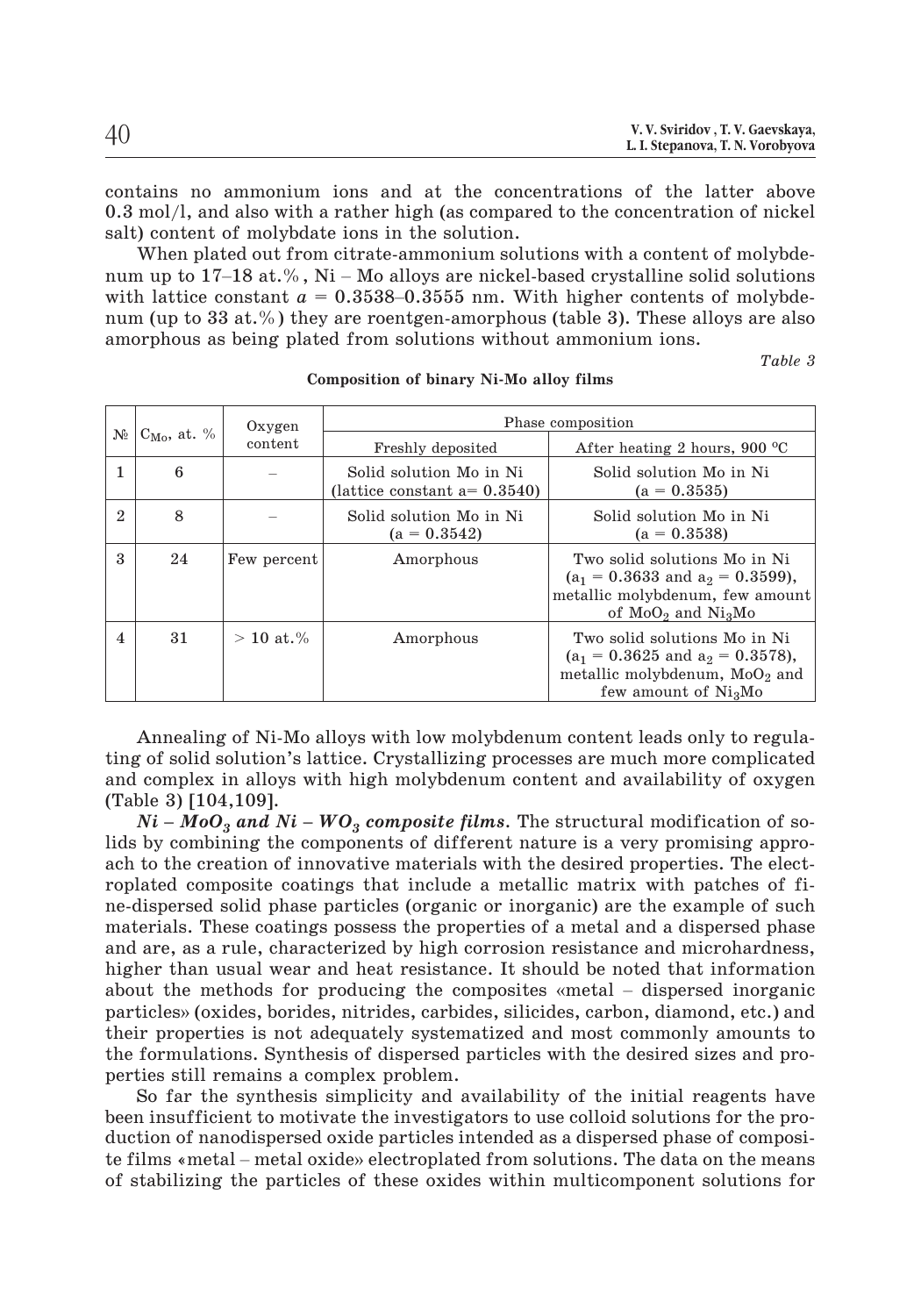contains no ammonium ions and at the concentrations of the latter above 0.3 mol/l, and also with a rather high (as compared to the concentration of nickel salt) content of molybdate ions in the solution. contains no ammonium ions and at the concentrations of the latter above 0.3 mol/l, and also with a rather high (as compared to the concentration of nickel salt) content of molybdate ions in the solution.<br>When plated out fr

When plated out from citrate-ammonium solutions with a content of molybdecontains no ammonium ions and at the concentrations of the latter above 0.3 mol/l, and also with a rather high (as compared to the concentration of nickel salt) content of molybdate ions in the solution.<br>When plated out f num (up to 33 at.%) they are roentgen-amorphous (table 3). These alloys are also amorphous as being plated from solutions without ammonium ions.

*Table 3*

|                         | Composition of binary Ni-Mo alloy films |                   |                                                           |                                                                                                                                                   |  |
|-------------------------|-----------------------------------------|-------------------|-----------------------------------------------------------|---------------------------------------------------------------------------------------------------------------------------------------------------|--|
| $C_{Mo}$ , at. %<br>No  | Oxygen                                  | Phase composition |                                                           |                                                                                                                                                   |  |
|                         |                                         | content           | Freshly deposited                                         | After heating 2 hours, 900 $\mathrm{^{\circ}C}$                                                                                                   |  |
| 1                       | 6                                       |                   | Solid solution Mo in Ni<br>(lattice constant $a=0.3540$ ) | Solid solution Mo in Ni<br>$(a = 0.3535)$                                                                                                         |  |
| $\overline{2}$          | 8                                       |                   | Solid solution Mo in Ni<br>$(a = 0.3542)$                 | Solid solution Mo in Ni<br>$(a = 0.3538)$                                                                                                         |  |
| $\mathbf{a}$            | 24                                      | Few percent       | Amorphous                                                 | Two solid solutions Mo in Ni<br>$(a_1 = 0.3633$ and $a_2 = 0.3599$ ),<br>metallic molybdenum, few amount<br>of $MoO2$ and $Ni3Mo$                 |  |
| $\overline{\mathbf{4}}$ | 31                                      | $> 10$ at.%       | Amorphous                                                 | Two solid solutions Mo in Ni<br>$(a_1 = 0.3625 \text{ and } a_2 = 0.3578),$<br>metallic molybdenum, MoO <sub>2</sub> and<br>few amount of $Ni3Mo$ |  |

Annealing of Ni-Mo alloys with low molybdenum content leads only to regulating of solid solution's lattice. Crystallizing processes are much more complicated and complex in alloys with high molybdenum content and availability of oxygen (Table 3) [104,109]. *N* is of solid solution's lattice. Crystallizing processes are much more complicated complex in alloys with high molybdenum content and availability of oxygen ble 3) [104,109].<br>*Ni* – *MoO<sub>3</sub> and Ni* – *WO<sub>3</sub> composite fi* 

lids by combining the components of different nature is a very promising approach to the creation of innovative materials with the desired properties. The electroplated composite coatings that include a metallic matrix with patches of fine-dispersed solid phase particles (organic or inorganic) are the example of such materials. These coatings possess the properties of a metal and a dispersed phase and are, as a rule, characterized by high corrosion resistance and microhardness, higher than usual wear and heat resistance. It should be noted that information roplated composite coatings that include a metallic matrix with patches of fi-<br>ne-dispersed solid phase particles (organic or inorganic) are the example of such<br>materials. These coatings possess the properties of a metal a particles somposite bounger that increase in motation in the passing the estample of such materials. These coatings possess the properties of a metal and a dispersed phase and are, as a rule, characterized by high corrosio their properties is not adequately systematized and most commonly amounts to the formulations. Synthesis of dispersed particles with the desired sizes and properties still remains a complex problem.

So far the synthesis simplicity and availability of the initial reagents have been insufficient to motivate the investigators to use colloid solutions for the production of nanodispersed oxide particles intended as a dispersed phase of composithe formulations. Synthesis of dispersed particles with the desired sizes and properties still remains a complex problem.<br>So far the synthesis simplicity and availability of the initial reagents have<br>been insufficient to m of stabilizing the particles of these oxides within multicomponent solutions for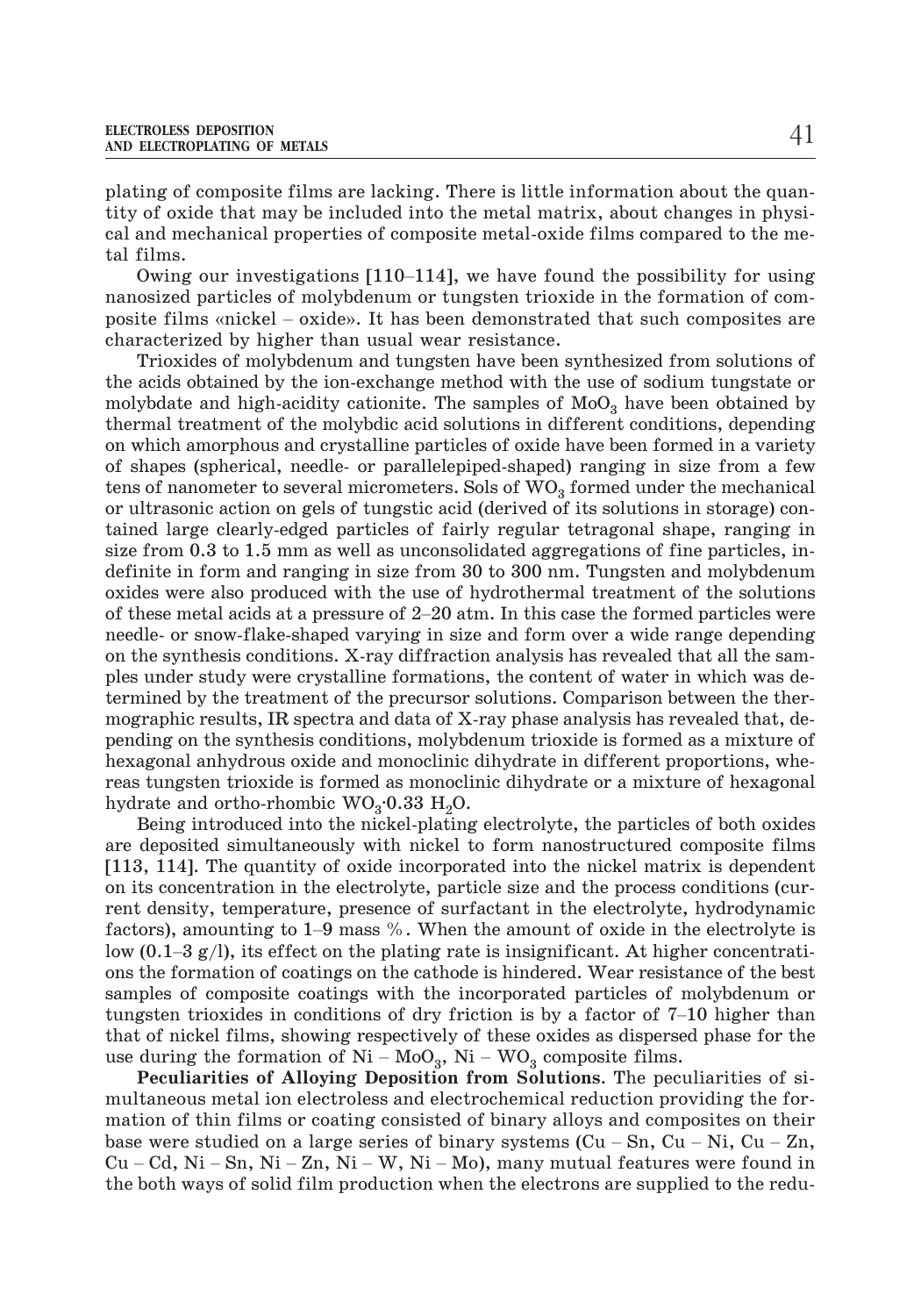plating of composite films are lacking. There is little information about the quantity of oxide that may be included into the metal matrix, about changes in physical and mechanical properties of composite metal-oxide films compared to the metal films. platting of composite films are adding. There is fitted information about the qualitity of oxide that may be included into the metal matrix, about changes in physical and mechanical properties of composite metal-oxide film

Owing our investigations [110–114], we have found the possibility for using nanosized particles of molybdenum or tungsten trioxide in the formation of comcharacterized by higher than usual wear resistance.

Trioxides of molybdenum and tungsten have been synthesized from solutions of the acids obtained by the ion-exchange method with the use of sodium tungstate or molybdate and high-acidity cationite. The samples of  $MoO<sub>3</sub>$  have been obtained by thermal treatment of the molybdic acid solutions in different conditions, depending on which amorphous and crystalline particles of oxide have been formed in a variety of shapes (spherical, needle- or parallelepiped-shaped) ranging in size from a few tens of nanometer to several micrometers. Sols of  $WO<sub>3</sub>$  formed under the mechanical or ultrasonic action on gels of tungstic acid (derived of its solutions in storage) contained large clearly-edged particles of fairly regular tetragonal shape, ranging in size from 0.3 to 1.5 mm as well as unconsolidated a tained large clearly-edged particles of fairly regular tetragonal shape, ranging in size from 0.3 to 1.5 mm as well as unconsolidated aggregations of fine particles, indefinite in form and ranging in size from 30 to 300 nm. Tungsten and molybdenum oxides were also produced with the use of hydrothermal treatment of the solutions needle- or snow-flake-shaped varying in size and form over a wide range depending on the synthesis conditions. X-ray diffraction analysis has revealed that all the samples under study were crystalline formations, the content of water in which was determined by the treatment of the precursor solutions. Comparison between the thermographic results, IR spectra and data of X-ray phase analysis has revealed that, depending on the synthesis conditions, molybdenum trioxide is formed as a mixture of hexagonal anhydrous oxide and monoclinic dihydrate in different proportions, whereas tungsten trioxide is formed as monoclinic dihydrate or a mixture of hexagonal hydrate and ortho-rhombic  $WO_3 \cdot 0.33 H_2O$ .

Being introduced into the nickel-plating electrolyte, the particles of both oxides are deposited simultaneously with nickel to form nanostructured composite films [113, 114]. The quantity of oxide incorporated into the nickel matrix is dependent on its concentration in the electrolyte, particle size and the process conditions (current density, temperature, presence of surfactant in the electrolyte, hydrodynamic Factors), amount to the nickel-plating electrolyte, the particles of both oxides are deposited simultaneously with nickel to form nanostructured composite films [113, 114]. The quantity of oxide incorporated into the nick Low (0.1–3 g/l), its effect on the plating rate is insignificant. At higher composite films and the quantity of oxide incorporated into the nickel matrix is dependent on its concentration in the electrolyte, particle size ons the formation of coatings on the cathode is hindered. Wear resistance of the best samples of composite coatings with the incorporated particles of molybdenum or on the school in the securely of particle in the process contractions (carrier density, temperature, presence of surfactant in the electrolyte, hydrodynamic factors), amounting to 1–9 mass %. When the amount of oxide in t that of nickel films, showing respectively of these oxides as dispersed phase for the low (0.1–3 g/l), its effect on the plating rate is insignificant. At higher concentrations the formation of coatings on the cathode is hindered. Wear resistance of the best samples of composite coatings with the incorpora

**Peculiarities of Alloying Deposition from Solutions***.* The peculiarities of simultaneous metal ion electroless and electrochemical reduction providing the formation of thin films or coating consisted of binary alloys and composites on their that of nickel films, showing respectively of these oxides as dispersed phase for the use during the formation of Ni – MoO<sub>3</sub>, Ni – WO<sub>3</sub> composite films.<br>**Peculiarities of Alloying Deposition from Solutions**. The peculia base were studied on a large series of binary systems (Cu – Sn, Cu – Ni, Cu – Zn, Cu – Cd, Ni – Sn, Ni – Zn, Ni – W, Ni – Mo), many mutual features were found in the both ways of solid film production when the electrons are supplied to the redu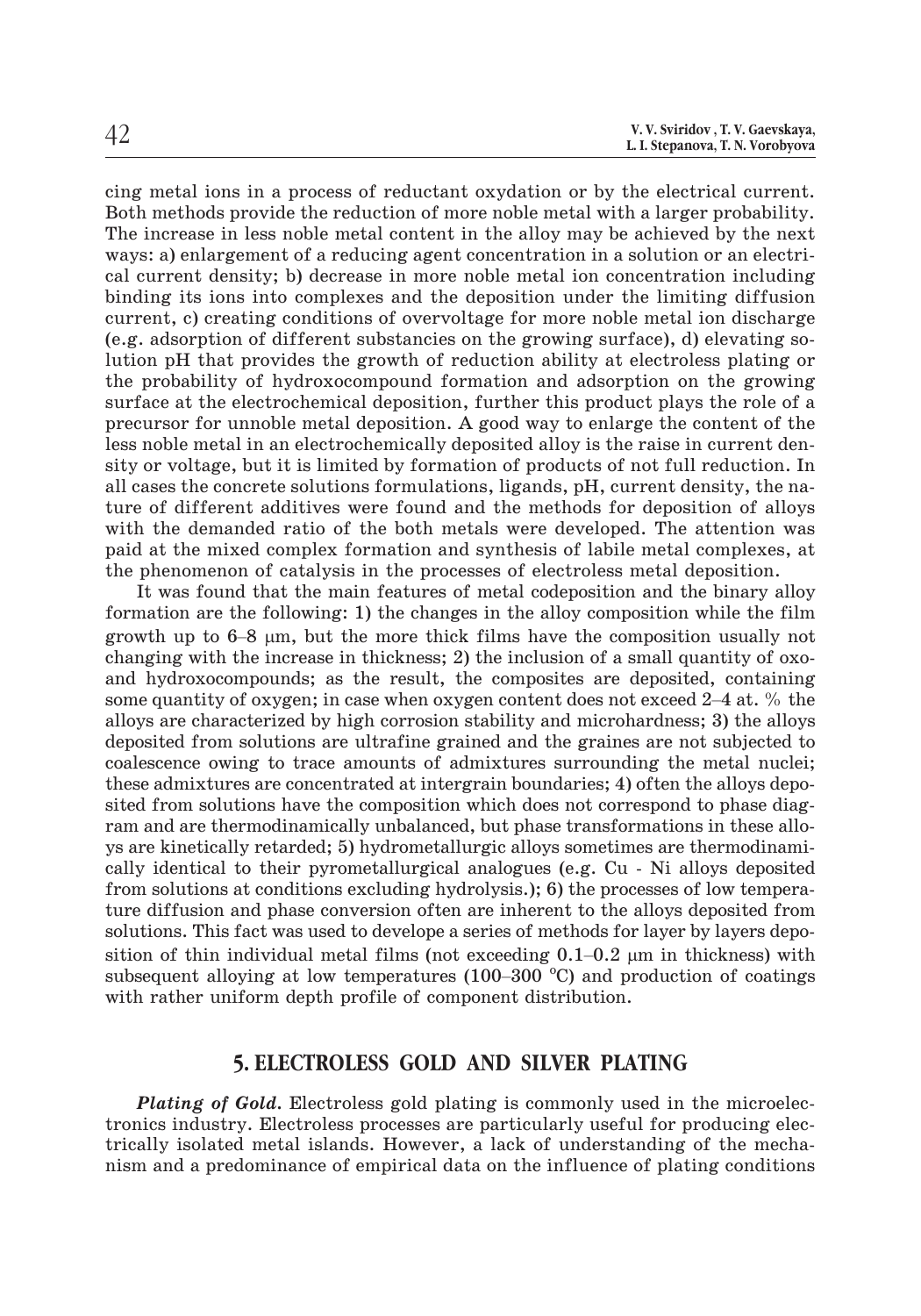cing metal ions in a process of reductant oxydation or by the electrical current. Both methods provide the reduction of more noble metal with a larger probability. The increase in less noble metal content in the alloy may be achieved by the next ways: a) enlargement of a reducing agent concentration in a solution or an electrical current density; b) decrease in more noble metal ion concentration including binding its ions into complexes and the deposition under the limiting diffusion current, c) creating conditions of overvoltage for more noble metal ion discharge (e.g. adsorption of different substancies on the growing surface), d) elevating solution pH that provides the growth of reduction ability at electroless plating or the probability of hydroxocompound formation and adsorption on the growing surface at the electrochemical deposition, further this product plays the role of a precursor for unnoble metal deposition. A good way to enlarge the content of the less noble metal in an electrochemically deposited alloy is the raise in current density or voltage, but it is limited by formation of products of not full reduction. In all cases the concrete solutions formulations, ligands, pH, current density, the nature of different additives were found and the methods for deposition of alloys with the demanded ratio of the both metals were developed. The attention was paid at the mixed complex formation and synthesis of labile metal complexes, at the phenomenon of catalysis in the processes of electroless meta paid at the mixed complex formation and synthesis of labile metal complexes, at the phenomenon of catalysis in the processes of electroless metal deposition.

It was found that the main features of metal codeposition and the binary alloy formation are the following: 1) the changes in the alloy composition while the film growth up to  $6-8$  µm, but the more thick films have the c formation are the following: 1) the changes in the alloy composition while the film growth up to  $6-8$  µm, but the more thick films have the composition usually not changing with the increase in thickness; 2) the inclusion of a small quantity of oxoand hydroxocompounds; as the result, the composites are deposited, containing alloys are characterized by high corrosion stability and microhardness; 3) the alloys deposited from solutions are ultrafine grained and the graines are not subjected to coalescence owing to trace amounts of admixtures surrounding the metal nuclei; these admixtures are concentrated at intergrain boundaries; 4) often the alloys deposited from solutions have the composition which does not correspond to phase diagram and are thermodinamically unbalanced, but phase transformations in these alloys are kinetically retarded; 5) hydrometallurgic alloys sometimes are thermodinamically identical to their pyrometallurgical analogues (e.g. Cu - Ni alloys deposited from solutions at conditions excluding hydrolysis.); 6) cally identical to their pyrometallurgical analogues (e.g. Cu - Ni alloys deposited from solutions at conditions excluding hydrolysis.); 6) the processes of low temperature diffusion and phase conversion often are inherent to the alloys deposited from solutions. This fact was used to develope a series of methods for layer by layers deposition of thin individual metal films (not exceeding  $0.1-0.2 \mu m$  in thickness) with cally identical to their pyrometallurgical analogues (e.g. Cu - Ni alloys deposited from solutions at conditions excluding hydrolysis.); 6) the processes of low temperature diffusion and phase conversion often are inheren with rather uniform depth profile of component distribution.

#### **5. ELECTROLESS GOLD AND SILVER PLATING**

**Plating of Gold.** Electroless gold plating is commonly used in the microelectronics industry. Electroless processes are particularly useful for producing electrically isolated metal islands. However, a lack of understanding of the mechanism and a predominance of empirical data on the influence of plating conditions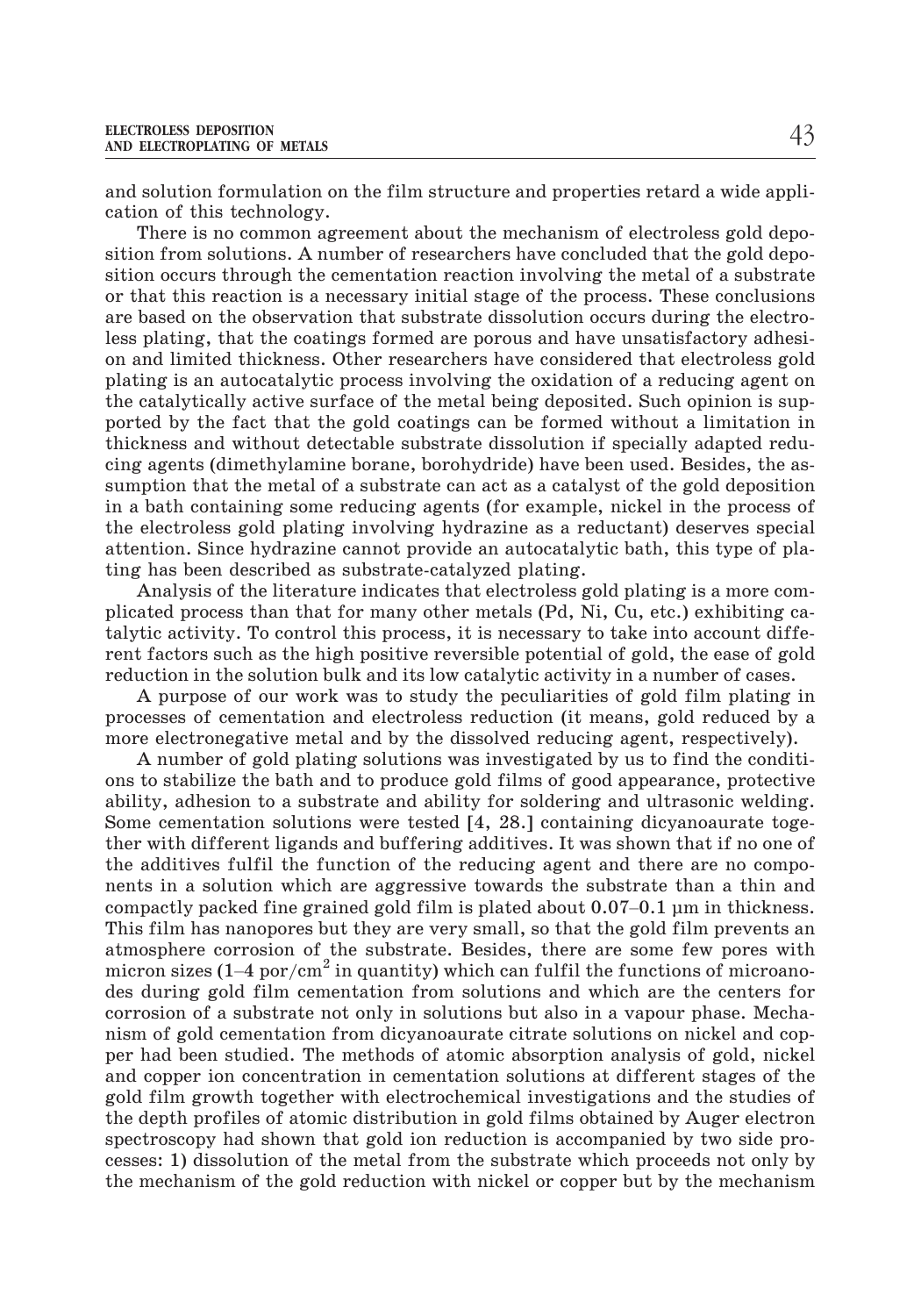and solution formulation on the film structure and properties retard a wide application of this technology.

There is no common agreement about the mechanism of electroless gold deposition from solutions. A number of researchers have concluded that the gold deposition occurs through the cementation reaction involving the metal of a substrate or that this reaction is a necessary initial stage of the process. These conclusions are based on the observation that substrate dissolution occurs during the electroless plating, that the coatings formed are porous and have unsatisfactory adhesion and limited thickness. Other researchers have considered that electroless gold plating is an autocatalytic process involving the oxidation of a reducing agent on the catalytically active surface of the metal being deposited. Such opinion is supported by the fact that the gold coatings can be formed without a limitation in thickness and without detectable substrate dissolution if specially adapted reducing agents (dimethylamine borane, borohydride) have been used. Besides, the assumption that the metal of a substrate can act as a catalyst of the gold deposition in a bath containing some reducing agents (for example, nickel in the process of the electroless gold plating involving hydrazine as a reductant) deserves special attention. Since hydrazine cannot provide an autocatalytic bath, this type of plating has been described as substrate-catalyzed plating.

Analysis of the literature indicates that electroless gold plating is a more complicated process than that for many other metals (Pd, Ni, Cu, etc.) exhibiting catalytic activity. To control this process, it is necessary to take into account different factors such as the high positive reversible potential of gold, the ease of gold reduction in the solution bulk and its low catalytic activity in a number of cases.

A purpose of our work was to study the peculiarities of gold film plating in processes of cementation and electroless reduction (it means, gold reduced by a more electronegative metal and by the dissolved reducing agent, respectively).

A number of gold plating solutions was investigated by us to find the conditions to stabilize the bath and to produce gold films of good appearance, protective ability, adhesion to a substrate and ability for soldering and ultrasonic welding. Some cementation solutions were tested [4, 28.] containing dicyanoaurate together with different ligands and buffering additives. It was shown that if no one of the additives fulfil the function of the reducing agent and there are no components in a solution which are aggressive towards the substrate than a thin and chastic measure of state and ability, adhesion to a substrate and ability for soldering and ultrasonic welding.<br>Some cementation solutions were tested [4, 28.] containing dicyanoaurate toge-<br>ther with different ligands and This film has nanopores but they are very small, so that the gold film prevents an atmosphere corrosion of the substrate. Besides, there are some few pores with the additives fulfil the function of the reducing agent and there are no components in a solution which are aggressive towards the substrate than a thin and compactly packed fine grained gold film is plated about  $0.07-0.$ des during gold film cementation from solutions and which are the centers for corrosion of a substrate not only in solutions but also in a vapour phase. Mechanism of gold cementation from dicyanoaurate citrate solutions on nickel and copper had been studied. The methods of atomic absorption analysis of gold, nickel and copper ion concentration in cementation solutions at different stages of the gold film growth together with electrochemical investigations and the studies of the depth profiles of atomic distribution in gold films obtained by Auger electron spectroscopy had shown that gold ion reduction is accompanied by two side processes: 1) dissolution of the metal from the substrate which proceeds not only by the mechanism of the gold reduction with nickel or copper but by the mechanism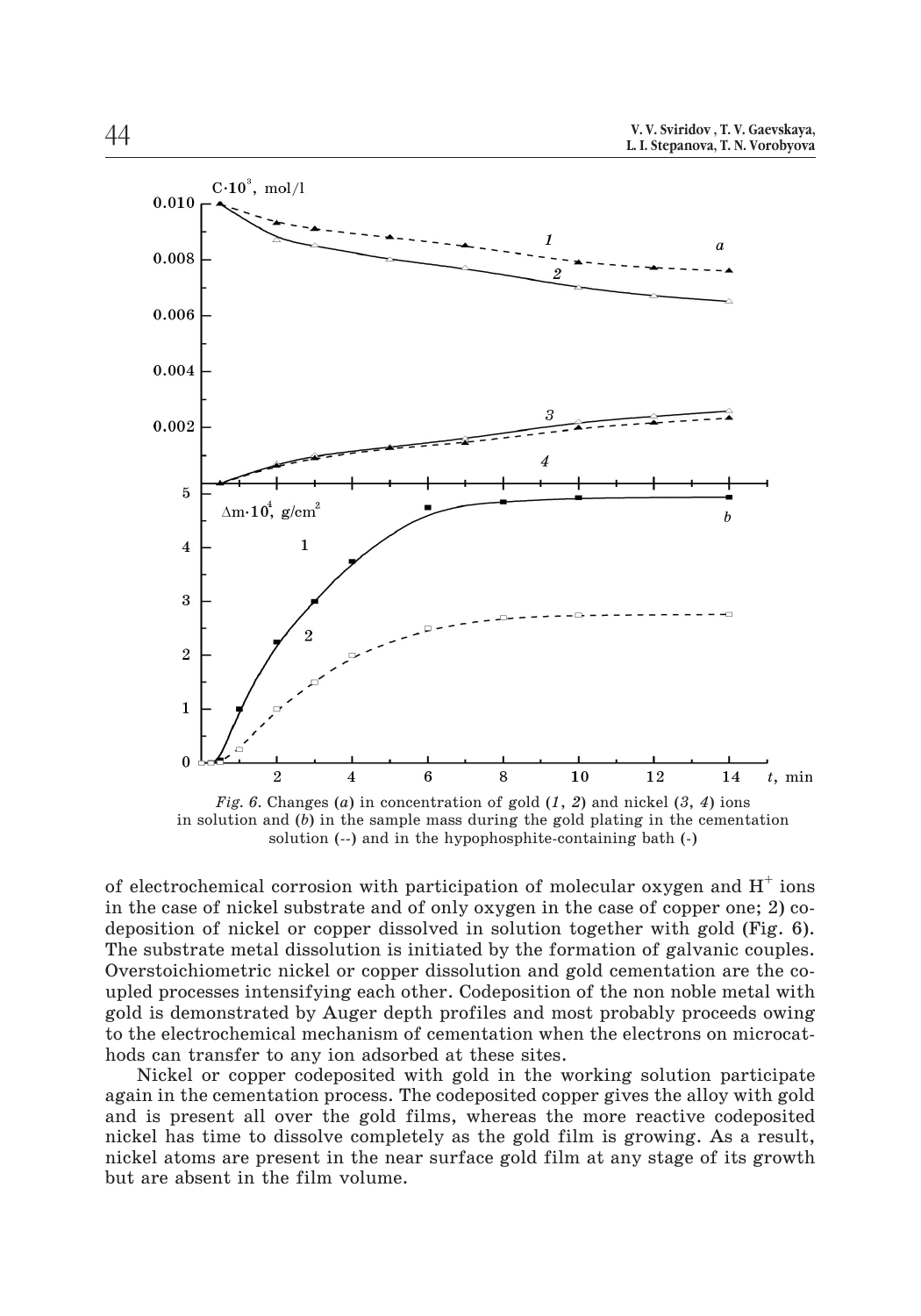

*Fig. 6.* Changes (*a*) in concentration of gold (*1*, *2*) and nickel (*3*, *4*) ions in solution and (*b*) in the sample mass during the gold plating in the cementation solution (--) and in the hypophosphite-containing bath (-)

of electrochemical corrosion with participation of molecular oxygen and  $H^+$  ions in the case of nickel substrate and of only oxygen in the case of copper one; 2) codeposition of nickel or copper dissolved in solution together with gold (Fig. 6). The substrate metal dissolution is initiated by the formation of galvanic couples. Overstoichiometric nickel or copper dissolution and gold cementation are the coupled processes intensifying each other. Codeposition of the non noble metal with gold is demonstrated by Auger depth profiles and most probably proceeds owing to the electrochemical mechanism of cementation when the electrons on microcathods can transfer to any ion adsorbed at these sites.

Nickel or copper codeposited with gold in the working solution participate again in the cementation process. The codeposited copper gives the alloy with gold and is present all over the gold films, whereas the more reactive codeposited nickel has time to dissolve completely as the gold film is growing. As a result, nickel atoms are present in the near surface gold film at any stage of its growth but are absent in the film volume.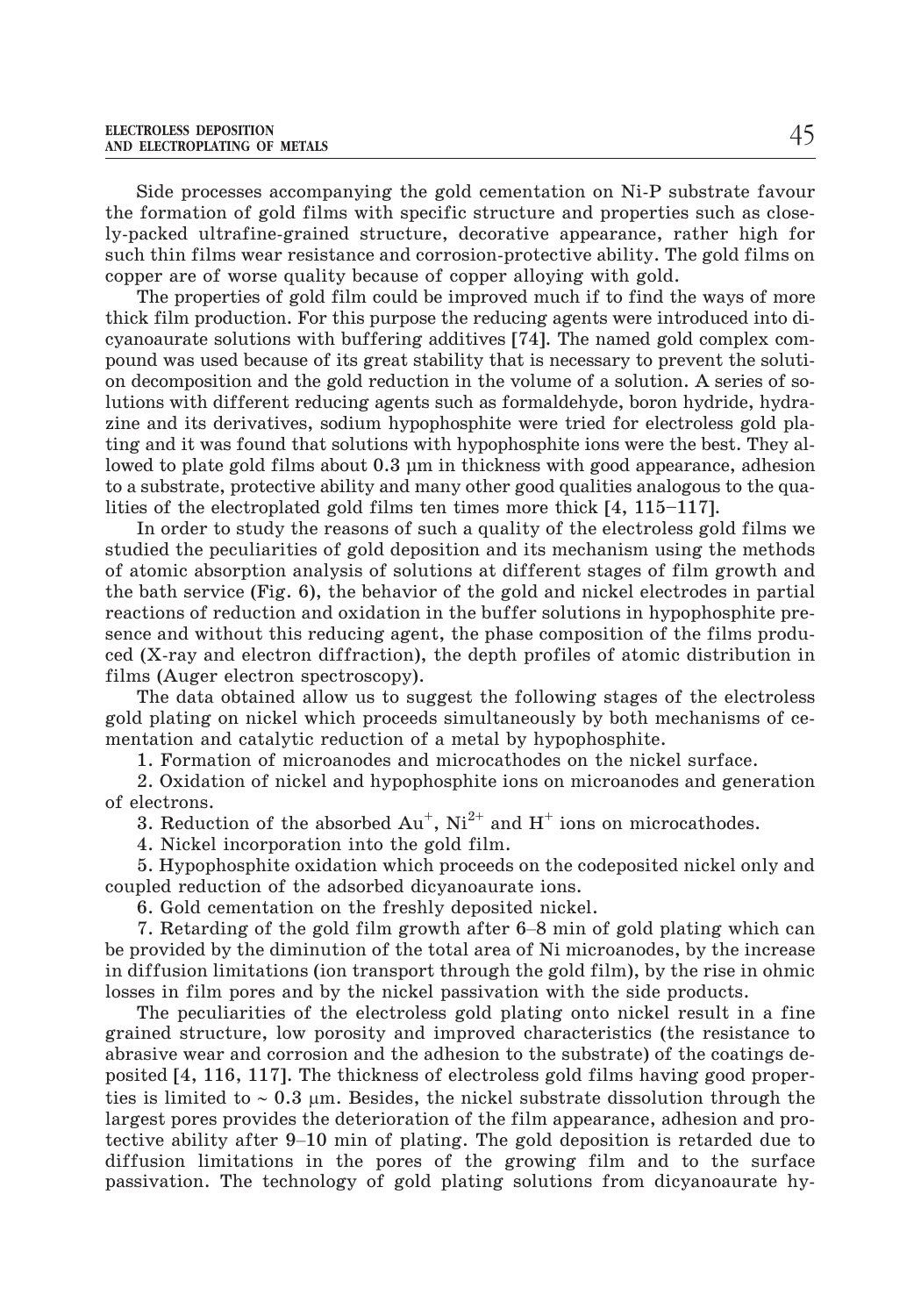Side processes accompanying the gold cementation on Ni-P substrate favour the formation of gold films with specific structure and properties such as closely-packed ultrafine-grained structure, decorative appearance, rather high for such thin films wear resistance and corrosion-protective ability. The gold films on copper are of worse quality because of copper alloying with gold.

The properties of gold film could be improved much if to find the ways of more thick film production. For this purpose the reducing agents were introduced into dicyanoaurate solutions with buffering additives [74]. The named gold complex compound was used because of its great stability that is necessary to prevent the solution decomposition and the gold reduction in the volume of a solution. A series of solutions with different reducing agents such as formaldehyde, boron hydride, hydrazine and its derivatives, sodium hypophosphite were tried for electroless gold plating and it was found that solutions with hypophosphite ions were the best. They allowed to plate gold films about 0.3 µm in thickness with good appearance, adhesion to a substrate, protective ability and many other good qualities analogous to the qualities of the electroplated gold films ten times more thick [4, 115–117].

In order to study the reasons of such a quality of the electroless gold films we studied the peculiarities of gold deposition and its mechanism using the methods of atomic absorption analysis of solutions at different stages of film growth and the bath service (Fig. 6), the behavior of the gold and nickel electrodes in partial reactions of reduction and oxidation in the buffer solutions in hypophosphite presence and without this reducing agent, the phase composition of the films produced (X-ray and electron diffraction), the depth profiles of atomic distribution in films (Auger electron spectroscopy).

The data obtained allow us to suggest the following stages of the electroless gold plating on nickel which proceeds simultaneously by both mechanisms of cementation and catalytic reduction of a metal by hypophosphite.

1. Formation of microanodes and microcathodes on the nickel surface.

2. Oxidation of nickel and hypophosphite ions on microanodes and generation of electrons.

4. Nickel incorporation into the gold film.

3. Reduction of the absorbed  $Au^+$ ,  $Ni^{2+}$  and  $H^+$  ions on microcathodes.<br>
4. Nickel incorporation into the gold film.<br>
5. Hypophosphite oxidation which proceeds on the codeposited nickel only and<br>
pled reduction of th 5. Hypophosphite oxidation which proceeds on the codeposited nickel only and coupled reduction of the adsorbed dicyanoaurate ions.

6. Gold cementation on the freshly deposited nickel.

be provided by the diminution of the total area of Ni microanodes, by the increase in diffusion limitations (ion transport through the gold film), by the rise in ohmic losses in film pores and by the nickel passivation with the side products.

The peculiarities of the electroless gold plating onto nickel result in a fine grained structure, low porosity and improved characteristics (the resistance to abrasive wear and corrosion and the adhesion to the substrate) of the coatings deposited [4, 116, 117]. The thickness of electroless gold films having good properties is limited to  $\sim 0.3$  µm. Besides, the nickel substrate dissolution through the largest pores provides the deterioration of the film appearance, adhesion and pro-The positive ability after the state and improved characteristics (the resistance to abrasive wear and corrosion and the adhesion to the substrate) of the coatings deposited [4, 116, 117]. The thickness of electroless gol diffusion limitations in the pores of the growing film and to the surface passivation. The technology of gold plating solutions from dicyanoaurate hy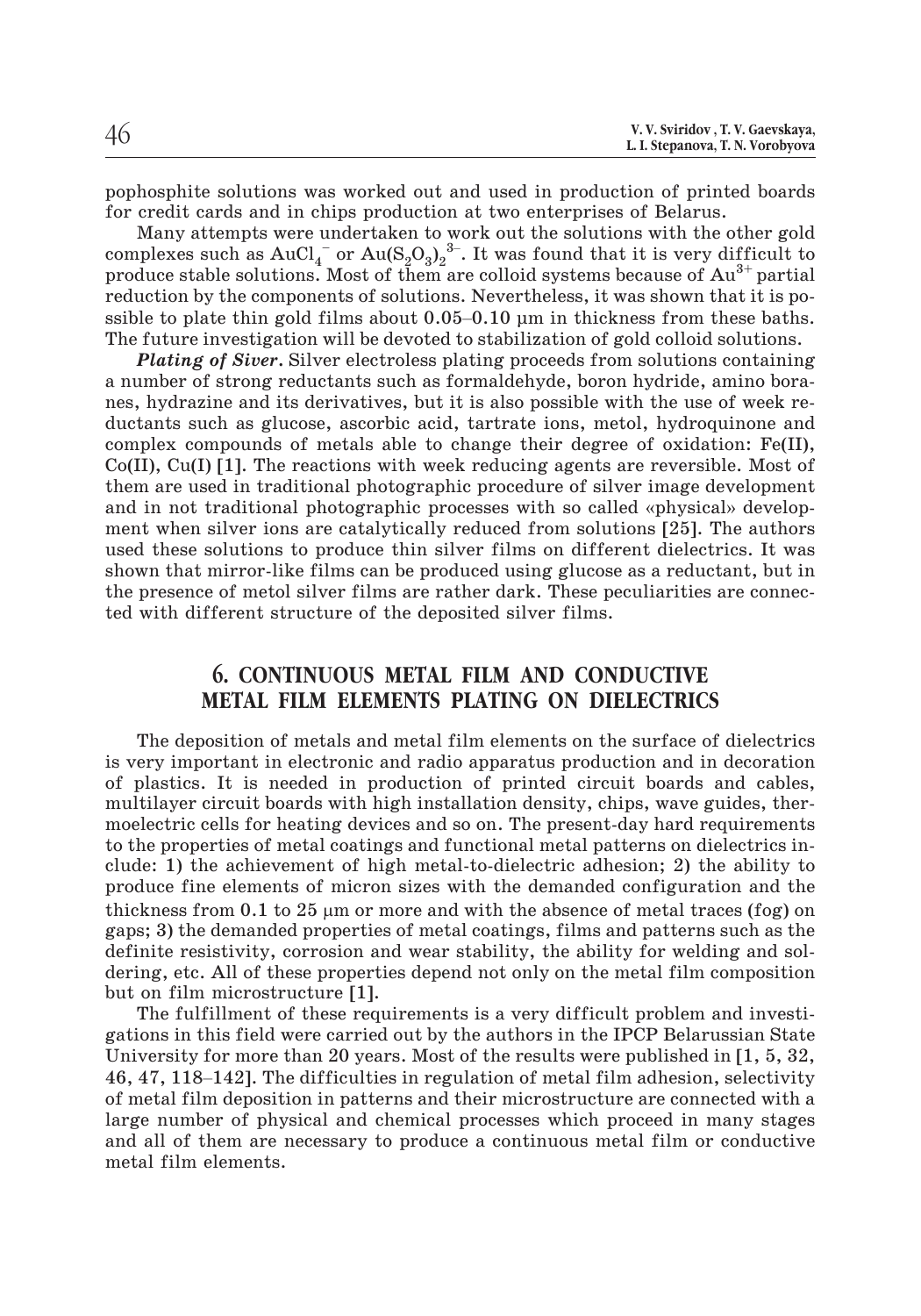pophosphite solutions was worked out and used in production of printed boards for credit cards and in chips production at two enterprises of Belarus. a<br>n<br>w<br>3–

Many attempts were undertaken to work out the solutions with the other gold complexes such as  $AuCl_4^-$  or  $Au(S_2O_3)_2^3$ . It was found that it is very difficult to produce stable solutions. Most of them are colloid systems because of  $Au^{3+}$  partial reduction by the components of solutions. Nevertheless, it was shown that it is pofor credit cards and in chips production at two enterprises of Belarus.<br>Many attempts were undertaken to work out the solutions with the other gold<br>complexes such as  $AuCl_4^-$  or  $Au(S_2O_3)_2^3$ . It was found that it is very The future investigation will be devoted to stabilization of gold colloid solutions.

*Plating of Siver***.** Silver electroless plating proceeds from solutions containing a number of strong reductants such as formaldehyde, boron hydride, amino boranes, hydrazine and its derivatives, but it is also possible with the use of week reductants such as glucose, ascorbic acid, tartrate ions, metol, hydroquinone and complex compounds of metals able to change their degree of oxidation: Fe(II), Co(II), Cu(I) [1]. The reactions with week reducing agents are reversible. Most of them are used in traditional photographic procedure of silver image development a namber of strong readerance such as formation, yat, soron hydrids, amine sora<br>nes, hydrazine and its derivatives, but it is also possible with the use of week re-<br>ductants such as glucose, ascorbic acid, tartrate ions, ment when silver ions are catalytically reduced from solutions [25]. The authors used these solutions to produce thin silver films on different dielectrics. It was shown that mirror-like films can be produced using glucose as a reductant, but in the presence of metol silver films are rather dark. These peculiarities are connected with different structure of the deposited silver films.

# **6. CONTINUOUS METAL FILM AND CONDUCTIVE METAL FILM ELEMENTS PLATING ON DIELECTRICS**

The deposition of metals and metal film elements on the surface of dielectrics is very important in electronic and radio apparatus production and in decoration of plastics. It is needed in production of printed circuit boards and cables, multilayer circuit boards with high installation density, chips, wave guides, thermoelectric cells for heating devices and so on. The present-day hard requirements to the properties of metal coatings and functional metal patterns on dielectrics include: 1) the achievement of high metal-to-dielectric adhesion; 2) the ability to produce fine elements of micron sizes with the demanded configuration and the thickness from 0.1 to 25  $\mu$ m or more and with the absence of metal traces (fog) on gaps; 3) the demanded properties of metal coatings, films and patterns such as the definite resistivity, corrosion and wear stability, the ability for welding and soldering, etc. All of these properties depend not only on the metal film composition but on film microstructure [1].

The fulfillment of these requirements is a very difficult problem and investigations in this field were carried out by the authors in the IPCP Belarussian State University for more than 20 years. Most of the results were published in [1, 5, 32, dering, etc. All of these properties depend not only on the metal film composition<br>but on film microstructure [1].<br>The fulfillment of these requirements is a very difficult problem and investi-<br>gations in this field were c of metal film deposition in patterns and their microstructure are connected with a large number of physical and chemical processes which proceed in many stages and all of them are necessary to produce a continuous metal film or conductive metal film elements.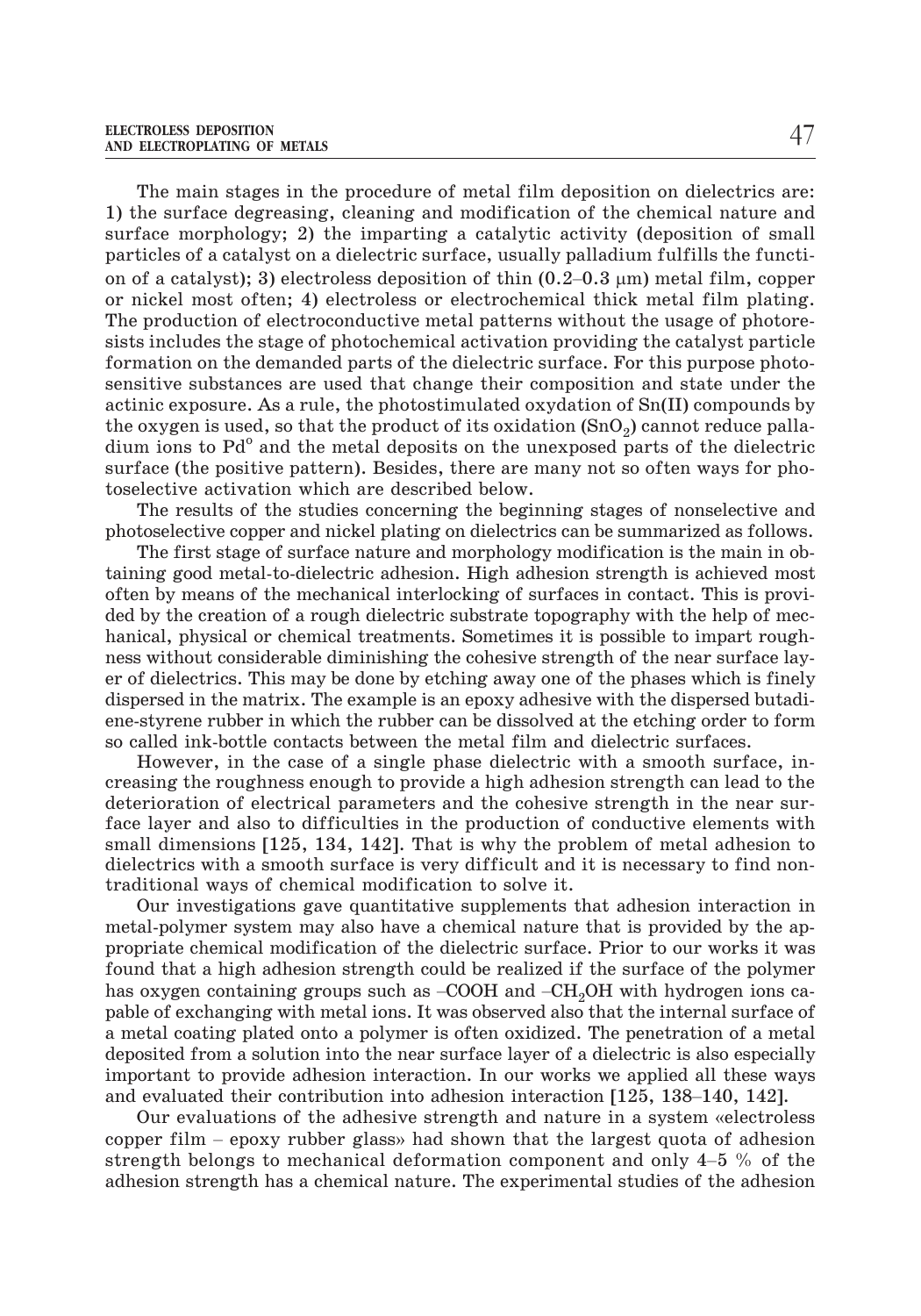The main stages in the procedure of metal film deposition on dielectrics are: 1) the surface degreasing, cleaning and modification of the chemical nature and surface morphology; 2) the imparting a catalytic activity (deposition of small particles of a catalyst on a dielectric surface, usually palladium fulfills the functi-The main stages in the procedure of metal film depositi<br>1) the surface degreasing, cleaning and modification of the<br>surface morphology; 2) the imparting a catalytic activity<br>particles of a catalyst on a dielectric surface on of a catalyst); 3) electroless deposition of thin  $(0.2-0.3 \mu m)$  metal film, copper or nickel most often; 4) electroless or electrochemical thick metal film plating. The production of electroconductive metal patterns without the usage of photoresists includes the stage of photochemical activation providing the catalyst particle formation on the demanded parts of the dielectric surface. For this purpose photosensitive substances are used that change their composition and state under the actinic exposure. As a rule, the photostimulated oxydation of Sn(II) compounds by the oxygen is used, so that the product of its oxidation  $(SnO<sub>2</sub>)$  cannot reduce palla- $\dim$  ions to Pd $^{\circ}$  and the metal deposits on the unexposed parts of the dielectric surface (the positive pattern). Besides, there are many not so often ways for photoselective activation which are described below.

The results of the studies concerning the beginning stages of nonselective and photoselective copper and nickel plating on dielectrics can be summarized as follows.

The first stage of surface nature and morphology modification is the main in obtaining good metal-to-dielectric adhesion. High adhesion strength is achieved most often by means of the mechanical interlocking of surfaces in contact. This is provided by the creation of a rough dielectric substrate topography with the help of mechanical, physical or chemical treatments. Sometimes it is possible to impart roughness without considerable diminishing the cohesive strength of the near surface layer of dielectrics. This may be done by etching away one of the phases which is finely dispersed in the matrix. The example is an epoxy adhesive with the dispersed butadiene-styrene rubber in which the rubber can be dissolved at the etching order to form so called ink-bottle contacts between the metal film and dielectric surfaces.

However, in the case of a single phase dielectric with a smooth surface, increasing the roughness enough to provide a high adhesion strength can lead to the deterioration of electrical parameters and the cohesive strength in the near surface layer and also to difficulties in the production of conductive elements with small dimensions [125, 134, 142]. That is why the problem of metal adhesion to dielectrics with a smooth surface is very difficult and it is necessary to find nontraditional ways of chemical modification to solve it.

Our investigations gave quantitative supplements that adhesion interaction in metal-polymer system may also have a chemical nature that is provided by the appropriate chemical modification of the dielectric surface. Prior to our works it was found that a high adhesion strength could be realized if the surface of the polymer traditional ways of chemical modification to solve it.<br>
Our investigations gave quantitative supplements that adhesion interaction in<br>
metal-polymer system may also have a chemical nature that is provided by the ap-<br>
prop pable of exchanging with metal ions. It was observed also that the internal surface of a metal coating plated onto a polymer is often oxidized. The penetration of a metal deposited from a solution into the near surface layer of a dielectric is also especially<br>important to provide adhesion interaction. In our works we applied all these ways<br>and evaluated their contribution into adhesion inte important to provide adhesion interaction. In our works we applied all these ways From a matrix a might danceled in ording in count of redinated in the surface of the polyhas oxygen containing groups such as  $-COOH$  and  $-CH_2OH$  with hydrogen ions pable of exchanging with metal ions. It was observed also only containing groups stand as soon and singler with hydrogen folls at the of exchanging with metal ions. It was observed also that the internal surface of etal coating plated onto a polymer is often oxidized. The penetra passe of chomology with model better was observed and the life intertwind better and a metal deposited from a solution into the near surface layer of a dielectric is also especially important to provide adhesion interactio

adhesion strength has a chemical nature. The experimental studies of the adhesion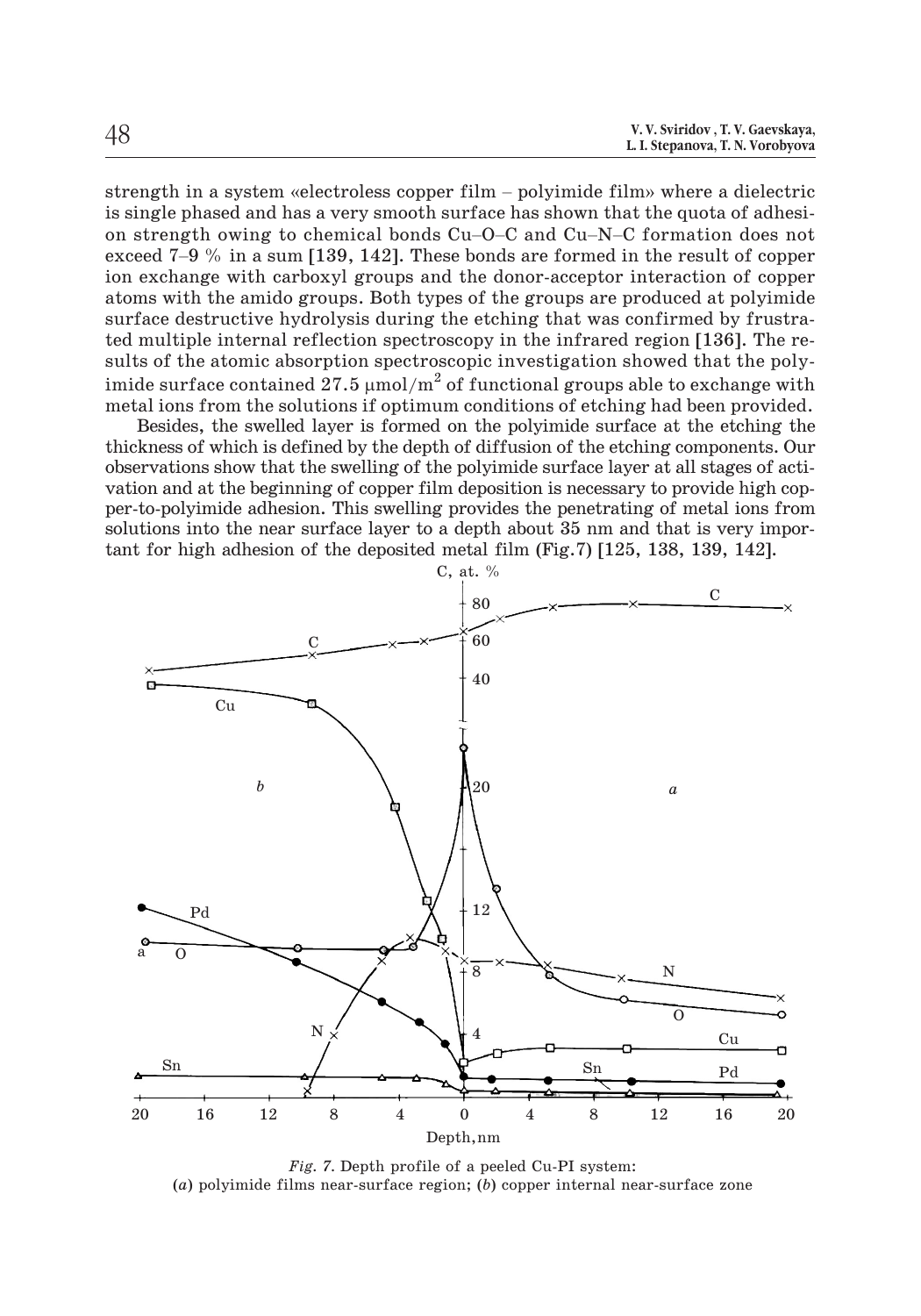strength in a system «electroless copper film – polyimide film» where a dielectric is single phased and has a very smooth surface has shown that the quota of adhesi-V.V. Sviridov, T.V. Gaevskaya,<br>
L.I. Stepanova, T. N. Vorobyova<br>
strength in a system «electroless copper film – polyimide film» where a dielectric<br>
is single phased and has a very smooth surface has shown that the quota o  $\begin{array}{ll} \text{L.1. Stepanova, T. N. Vorobyova} \ \text{strength in a system} & \text{selectroless copper film} - \text{polyimide film} \text{ with the object of the object is single phased and has a very smooth surface has shown that the quota of adhesion strength owing to chemical bonds Cu–O–C and Cu–N–C formation does not exceed 7–9 % in a sum [139, 142]. These bonds are formed in the result of copper.} \end{array}$ ion exchange with carboxyl groups and the donor-acceptor interaction of copper atoms with the amido groups. Both types of the groups are produced at polyimide surface destructive hydrolysis during the etching that was confirmed by frustrated multiple internal reflection spectroscopy in the infrared region [136]. The results of the atomic absorption spectroscopic investigation showed that the polyimide surface contained 27.5  $\mu$ mol/m $^{2}$  of functional groups able to exchange with metal ions from the solutions if optimum conditions of etching had been provided.

Besides, the swelled layer is formed on the polyimide surface at the etching the thickness of which is defined by the depth of diffusion of the etching components. Our observations show that the swelling of the polyimide surface layer at all stages of activation and at the beginning of copper film deposition is necessary to provide high copper-to-polyimide adhesion. This swelling provides the penetrating of metal ions from solutions into the near surface layer to a depth about 35 nm and that is very important for high adhesion of the deposited metal film (Fig.7) [125, 138, 139, 142].



*Fig. 7.* Depth profile of a peeled Cu-PI system: (*a*) polyimide films near-surface region; (*b*) copper internal near-surface zone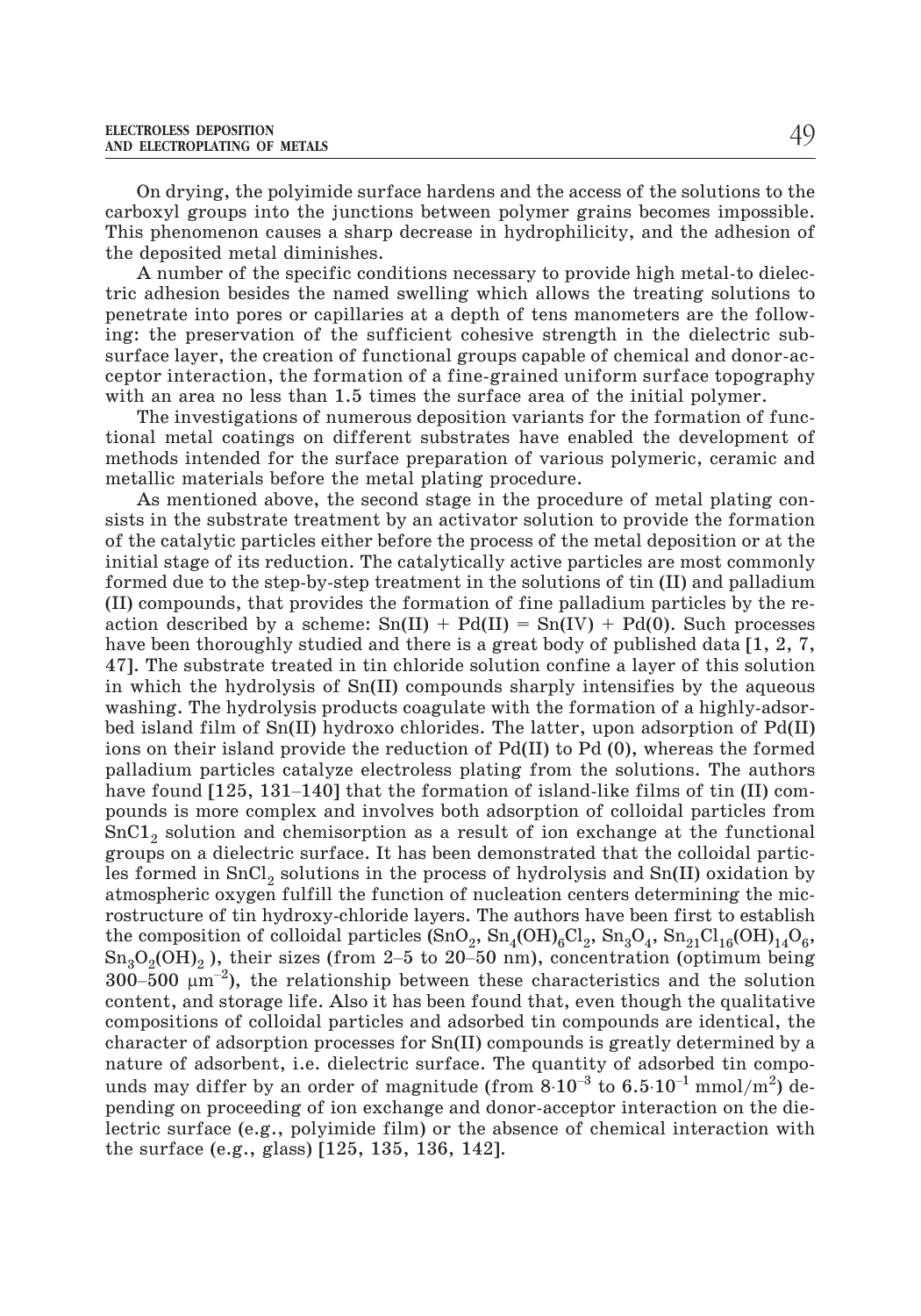On drying, the polyimide surface hardens and the access of the solutions to the carboxyl groups into the junctions between polymer grains becomes impossible. This phenomenon causes a sharp decrease in hydrophilicity, and the adhesion of the deposited metal diminishes.

A number of the specific conditions necessary to provide high metal-to dielectric adhesion besides the named swelling which allows the treating solutions to penetrate into pores or capillaries at a depth of tens manometers are the following: the preservation of the sufficient cohesive strength in the dielectric subsurface layer, the creation of functional groups capable of chemical and donor-acceptor interaction, the formation of a fine-grained uniform surface topography with an area no less than 1.5 times the surface area of the initial polymer.

The investigations of numerous deposition variants for the formation of functional metal coatings on different substrates have enabled the development of methods intended for the surface preparation of various polymeric, ceramic and metallic materials before the metal plating procedure.

As mentioned above, the second stage in the procedure of metal plating consists in the substrate treatment by an activator solution to provide the formation of the catalytic particles either before the process of the metal deposition or at the initial stage of its reduction. The catalytically active particles are most commonly formed due to the step-by-step treatment in the solutions of tin (II) and palladium (II) compounds, that provides the formation of fine palladium particles by the reaction described by a scheme:  $Sn(II) + Pd(II) = Sn(IV) + Pd(0)$ . Such processes have been thoroughly studied and there is a great body of published data [1, 2, 7, 47]. The substrate treated in tin chloride solution confine a layer of this solution in which the hydrolysis of Sn(II) compounds sharply intensifies by the aqueous washing. The hydrolysis products coagulate with the formation of a highly-adsorbed island film of Sn(II) hydroxo chlorides. The latter, upon adsorption of Pd(II) ions on their island provide the reduction of Pd(II) to Pd (0), whereas the formed palladium particles catalyze electroless plating from the solutions. The authors Fig. The substrate treated in thi chloride solution confline a layer of this solution<br>in which the hydrolysis of Sn(II) compounds sharply intensifies by the aqueous<br>washing. The hydrolysis products coagulate with the form pounds is more complex and involves both adsorption of colloidal particles from SnC1<sub>2</sub> solution and chemisorption as a result of ion exchange at the functional groups on a dielectric surface. It has been demonstrated that the colloidal particles formed in  $SnCl<sub>2</sub>$  solutions in the process of hydrolysis and  $Sn(II)$  oxidation by atmospheric oxygen fulfill the function of nucleation centers determining the microstructure of tin hydroxy-chloride layers. The authors have been first to establish the composition of colloidal particles  $(SnO_2, Sn_4(OH)_6Cl_2, Sn_3O_4, Sn_{21}Cl_{16}(OH)_{14}O_6,$ solution and chemisorption as a result of for exchange at the runctional<br>groups on a dielectric surface. It has been demonstrated that the colloidal partic-<br>les formed in SnCl<sub>2</sub> solutions in the process of hydrolysis and les formed in  $\frac{1}{3}$ <br>atmospheric or<br>rostructure of<br>the compositio<br> $\text{Sn}_3\text{O}_2(\text{OH})_2$  ),<br>300–500  $\mu$ m<sup>-2</sup> 300–500  $\mu$ m<sup>-2</sup>), the relationship between these characteristics and the solution content, and storage life. Also it has been found that, even though the qualitative compositions of colloidal particles and adsorbed tin compounds are identical, the character of adsorption processes for Sn(II) compounds is greatly determined by a nature of adsorbent, i.e. dielectric surface. The quantity of adsorbed tin compocontent, and storage life. Also it has been found that, even though the qualitative<br>compositions of colloidal particles and adsorbed tin compounds are identical, the<br>character of adsorption processes for Sn(II) compounds pending on proceeding of ion exchange and donor-acceptor interaction on the dielectric surface (e.g., polyimide film) or the absence of chemical interaction with the surface (e.g., glass) [125, 135, 136, 142].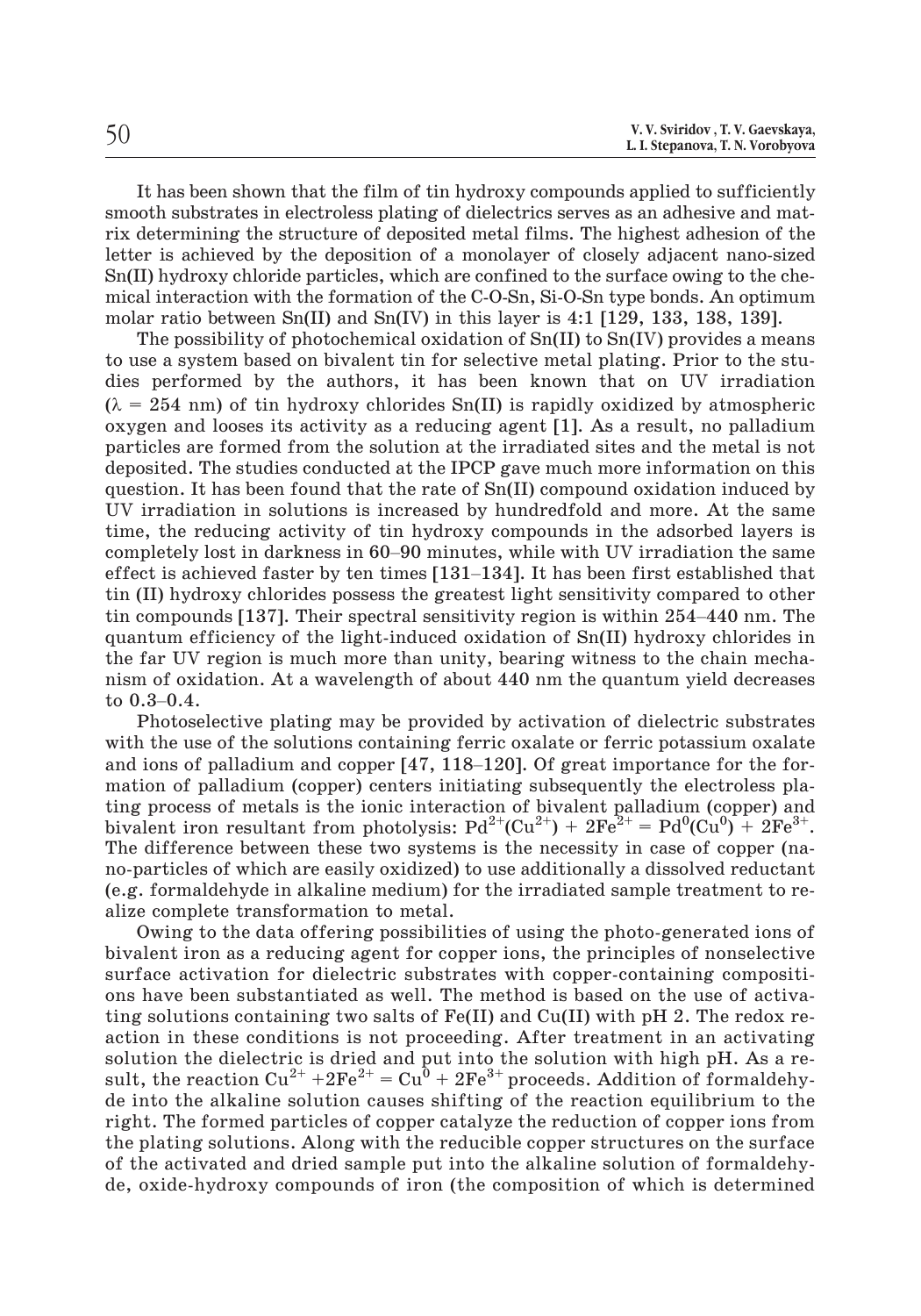| 50 | V. V. Sviridov, T. V. Gaevskaya,<br>L. I. Stepanova, T. N. Vorobyova |
|----|----------------------------------------------------------------------|
|    |                                                                      |

It has been shown that the film of tin hydroxy compounds applied to sufficiently smooth substrates in electroless plating of dielectrics serves as an adhesive and matrix determining the structure of deposited metal films. The highest adhesion of the letter is achieved by the deposition of a monolayer of closely adjacent nano-sized Sn(II) hydroxy chloride particles, which are confined to the surface owing to the chemical interaction with the formation of the C-O-Sn, Si-O-Sn type bonds. An optimum molar ratio between  $Sn(II)$  and  $Sn(IV)$  in this layer is 4:1 [129, 133, 138, 139].

The possibility of photochemical oxidation of  $Sn(II)$  to  $Sn(IV)$  provides a means to use a system based on bivalent tin for selective metal plating. Prior to the studies performed by the authors, it has been known that on UV irradiation  $(\lambda = 254 \text{ nm})$  of tin hydroxy chlorides Sn(II) is rapidly oxidized by atmospheric oxygen and looses its activity as a reducing agent [1]. As a result, no palladium particles are formed from the solution at the irradiated sites and the metal is not deposited. The studies conducted at the IPCP gave much more information on this question. It has been found that the rate of Sn(II) compound oxidation induced by UV irradiation in solutions is increased by hundredfold and more. At the same time, the reducing activity of tin hydroxy compounds in the adsorbed layers is particles are formed from the solution at the irradiated sites and the metal is not deposited. The studies conducted at the IPCP gave much more information on this question. It has been found that the rate of Sn(II) compo deposited. The studies conducted at the IPCP gave much more information on this question. It has been found that the rate of Sn(II) compound oxidation induced by UV irradiation in solutions is increased by hundredfold and tin (II) hydroxy chlorides possess the greatest light sensitivity compared to other The controll is increased by hundredfold and more. At the same<br>time, the reducing activity of tin hydroxy compounds in the adsorbed layers is<br>completely lost in darkness in 60–90 minutes, while with UV irradiation the same quantum efficiency of the light-induced oxidation of Sn(II) hydroxy chlorides in the far UV region is much more than unity, bearing witness to the chain mechanism of oxidation. At a wavelength of about 440 nm the quantum yield decreases tin (II) hyd<br>tin (II) hyd<br>quantum e<br>the far UV<br>nism of oxi<br>to 0.3–0.4. and in the fact the fact of the solution of palladium and copper late of palladium and containing term of oxidation. At a wavelength of about 440 nm the quantum yield decreases to  $0.3-0.4$ .<br>Photoselective plating may be

Photoselective plating may be provided by activation of dielectric substrates with the use of the solutions containing ferric oxalate or ferric potassium oxalate mation of palladium (copper) centers initiating subsequently the electroless plating process of metals is the ionic interaction of bivalent palladium (copper) and bivalent iron resultant from photolysis:  $Pd^{2+}(Cu^{2+}) + 2Fe^{2+} = Pd^{0}(Cu^{0}) + 2Fe^{3+}$ . The difference between these two systems is the necessity in case of copper (nano-particles of which are easily oxidized) to use additionally a dissolved reductant (e.g. formaldehyde in alkaline medium) for the irradiated sample treatment to realize complete transformation to metal.

Owing to the data offering possibilities of using the photo-generated ions of bivalent iron as a reducing agent for copper ions, the principles of nonselective surface activation for dielectric substrates with copper-containing compositions have been substantiated as well. The method is based on the use of activating solutions containing two salts of  $Fe(II)$  and  $Cu(II)$  with pH 2. The redox reaction in these conditions is not proceeding. After treatment in an activating solution the dielectric is dried and put into the solution with high pH. As a result, the reaction  $Cu^{2+} + 2Fe^{2+} = Cu^0 + 2Fe^{3+}$  proceeds. Addition of formaldehyde into the alkaline solution causes shifting of the reaction equilibrium to the right. The formed particles of copper catalyze the reduction of copper ions from the plating solutions. Along with the reducible copper structures on the surface of the activated and dried sample put into the alkaline solution of formaldehyde, oxide-hydroxy compounds of iron (the composition of which is determined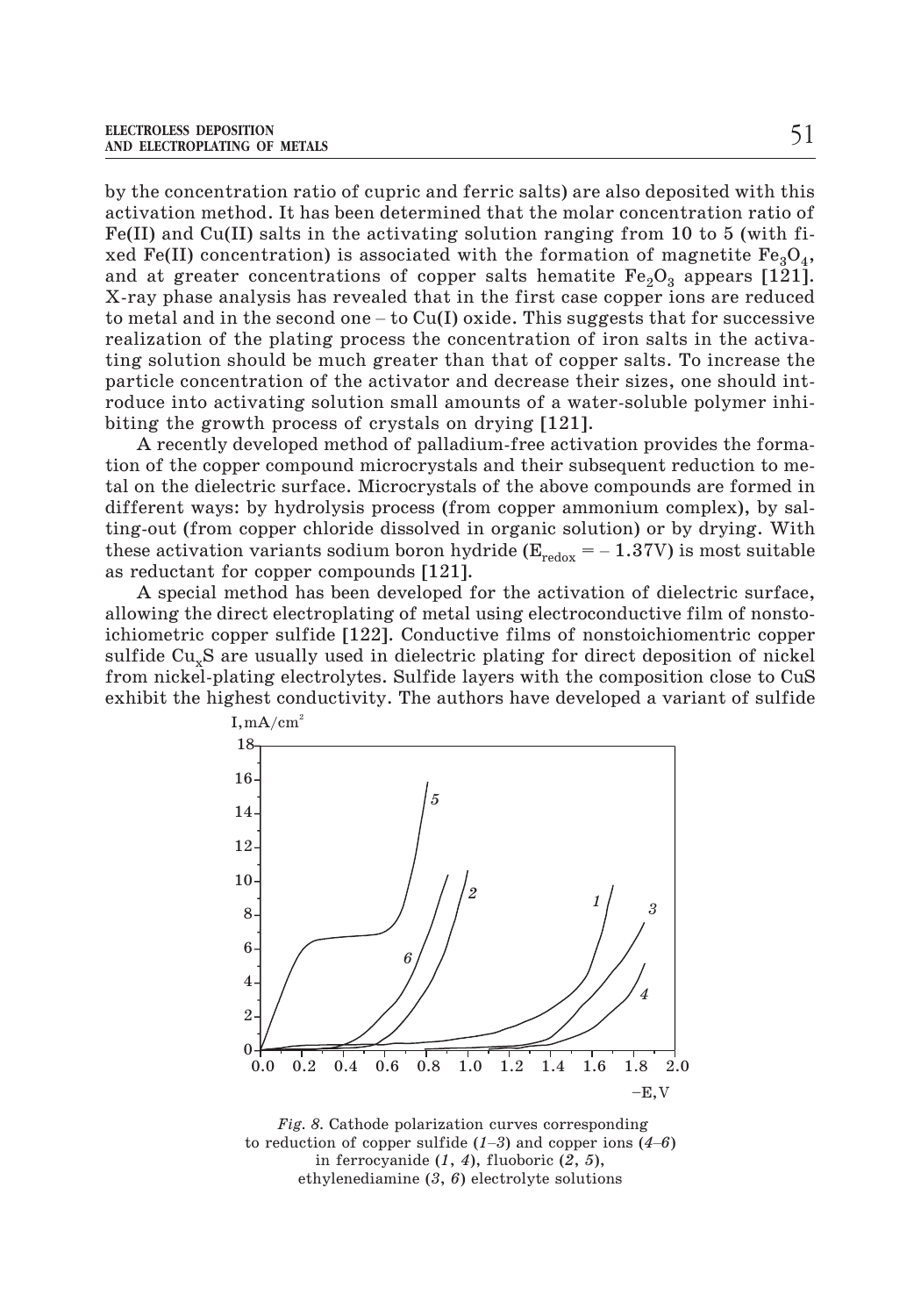by the concentration ratio of cupric and ferric salts) are also deposited with this activation method. It has been determined that the molar concentration ratio of  $Fe(II)$  and Cu(II) salts in the activating solution ranging from 10 to 5 (with fixed Fe(II) concentration) is associated with the formation of magnetite  $Fe<sub>3</sub>O<sub>4</sub>$ , and at greater concentrations of copper salts hematite  $\text{Fe}_2\text{O}_3$  appears [121]. X-ray phase analysis has revealed that in the first case copper ions are reduced to method. It has been determined that the molar concentration ratio of Fe(II) and Cu(II) salts in the activating solution ranging from 10 to 5 (with fi-<br>xed Fe(II) concentration) is associated with the formation of magne realization of the plating process the concentration of iron salts in the activating solution should be much greater than that of copper salts. To increase the particle concentration of the activator and decrease their sizes, one should introduce into activating solution small amounts of a water-soluble polymer inhibiting the growth process of crystals on drying [121].

A recently developed method of palladium-free activation provides the formation of the copper compound microcrystals and their subsequent reduction to metal on the dielectric surface. Microcrystals of the above compounds are formed in different ways: by hydrolysis process (from copper ammonium complex), by salting-out (from copper chloride dissolved in organic solution) or by drying. With these activation variants sodium boron hydride ( $E_{redox} = -1.37V$ ) is most suitable as reductant for copper compounds [121].

A special method has been developed for the activation of dielectric surface, allowing the direct electroplating of metal using electroconductive film of nonstoichiometric copper sulfide [122]. Conductive films of nonstoichiomentric copper sulfide Cu<sub>x</sub>S are usually used in dielectric plating for direct deposition of nickel from nickel-plating electrolytes. Sulfide layers with the composition close to CuS exhibit the highest conductivity. The authors have developed a variant of sulfide



*Fig. 8.* Cathode polarization curves corresponding in ferrocyanide (*1*, *4*), fluoboric (*2*, *5*), ethylenediamine (*3*, *6*) electrolyte solutions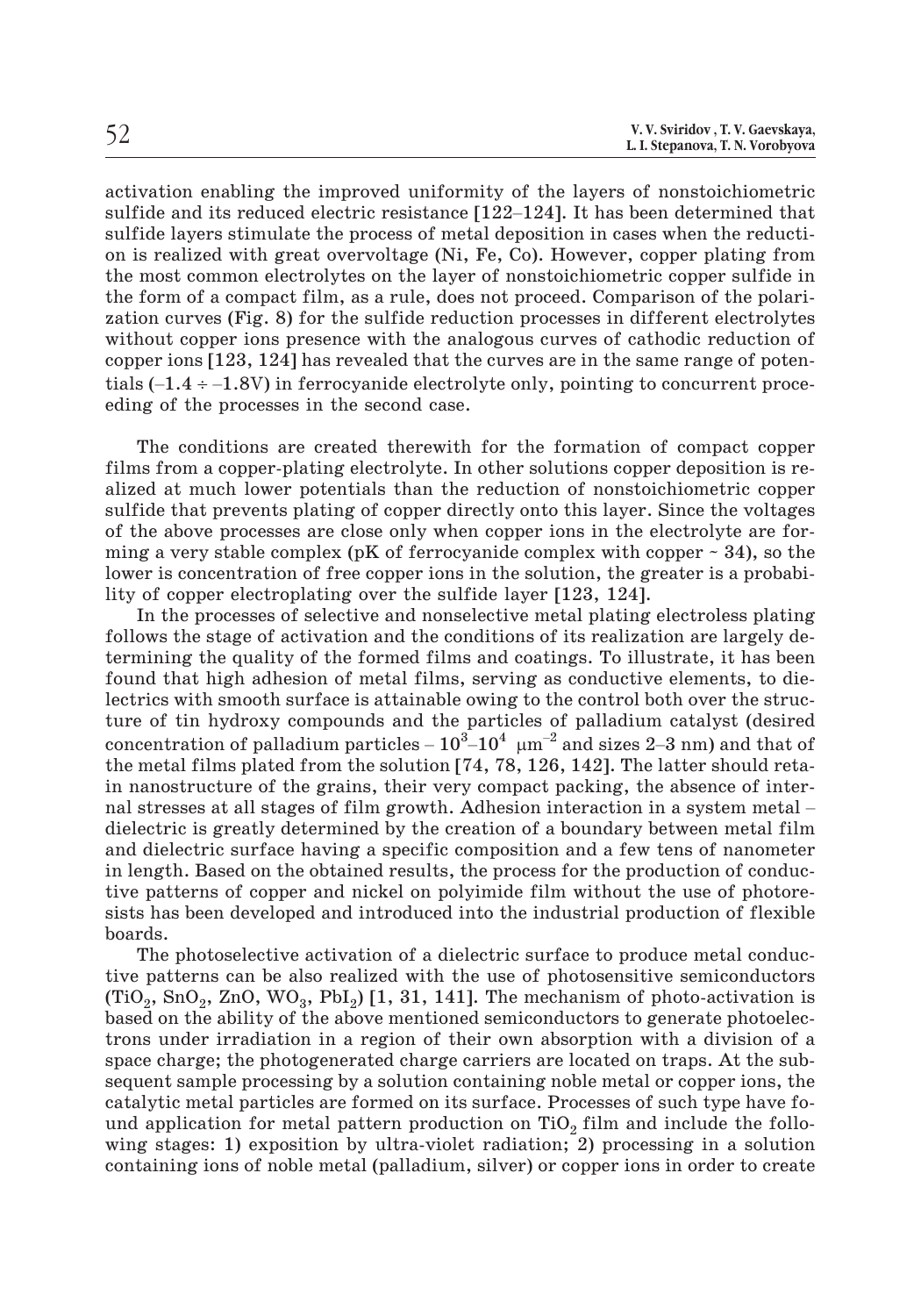activation enabling the improved uniformity of the layers of nonstoichiometric S. Sviridov, T. V. Gaevskaya,<br>
L. I. Stepanova, T. N. Vorobyova<br>
activation enabling the improved uniformity of the layers of nonstoichiometric<br>
sulfide and its reduced electric resistance [122–124]. It has been determined sulfide layers stimulate the process of metal deposition in cases when the reduction is realized with great overvoltage (Ni, Fe, Co). However, copper plating from the most common electrolytes on the layer of nonstoichiometric copper sulfide in the form of a compact film, as a rule, does not proceed. Comparison of the polarization curves (Fig. 8) for the sulfide reduction processes in different electrolytes without copper ions presence with the analogous curves of cathodic reduction of copper ions [123, 124] has revealed that the curves are in the same range of potenthe most common electrolytes on the layer of nonstoichiometric copper sulfide in<br>the form of a compact film, as a rule, does not proceed. Comparison of the polari-<br>zation curves (Fig. 8) for the sulfide reduction processe eding of the processes in the second case.

The conditions are created therewith for the formation of compact copper films from a copper-plating electrolyte. In other solutions copper deposition is realized at much lower potentials than the reduction of nonstoichiometric copper sulfide that prevents plating of copper directly onto this layer. Since the voltages of the above processes are close only when copper ions in the electrolyte are forming a very stable complex (pK of ferrocyanide complex with copper  $\sim$  34), so the lower is concentration of free copper ions in the solution, the greater is a probability of copper electroplating over the sulfide layer [123, 124].

In the processes of selective and nonselective metal plating electroless plating follows the stage of activation and the conditions of its realization are largely determining the quality of the formed films and coatings. To illustrate, it has been found that high adhesion of metal films, serving as conductive elements, to dielectrics with smooth surface is attainable owing to the control both over the structure of tin hydroxy compounds and the particles of palladium catalyst (desired follows the stage of activation and the conditions of its realization are largely determining the quality of the formed films and coatings. To illustrate, it has been found that high adhesion of metal films, serving as co the metal films plated from the solution [74, 78, 126, 142]. The latter should retain nanostructure of the grains, their very compact packing, the absence of interlectrics with smooth surface is attainable owing to the control both over the structure of tin hydroxy compounds and the particles of palladium catalyst (desired concentration of palladium particles  $-10^3-10^4$   $\mu$ m<sup>-2</sup> dielectric is greatly determined by the creation of a boundary between metal film and dielectric surface having a specific composition and a few tens of nanometer in length. Based on the obtained results, the process for the production of conductive patterns of copper and nickel on polyimide film without the use of photoresists has been developed and introduced into the industrial production of flexible boards.

The photoselective activation of a dielectric surface to produce metal conductive patterns can be also realized with the use of photosensitive semiconductors  $(TiO<sub>2</sub>, SnO<sub>2</sub>, ZnO, WO<sub>3</sub>, PbI<sub>2</sub>)$  [1, 31, 141]. The mechanism of photo-activation is based on the ability of the above mentioned semiconductors to generate photoelectrons under irradiation in a region of their own absorption with a division of a space charge; the photogenerated charge carriers are located on traps. At the subsequent sample processing by a solution containing noble metal or copper ions, the catalytic metal particles are formed on its surface. Processes of such type have found application for metal pattern production on TiO<sub>2</sub> film and include the following stages: 1) exposition by ultra-violet radiation; 2) processing in a solution containing ions of noble metal (palladium, silver) or copper ions in order to create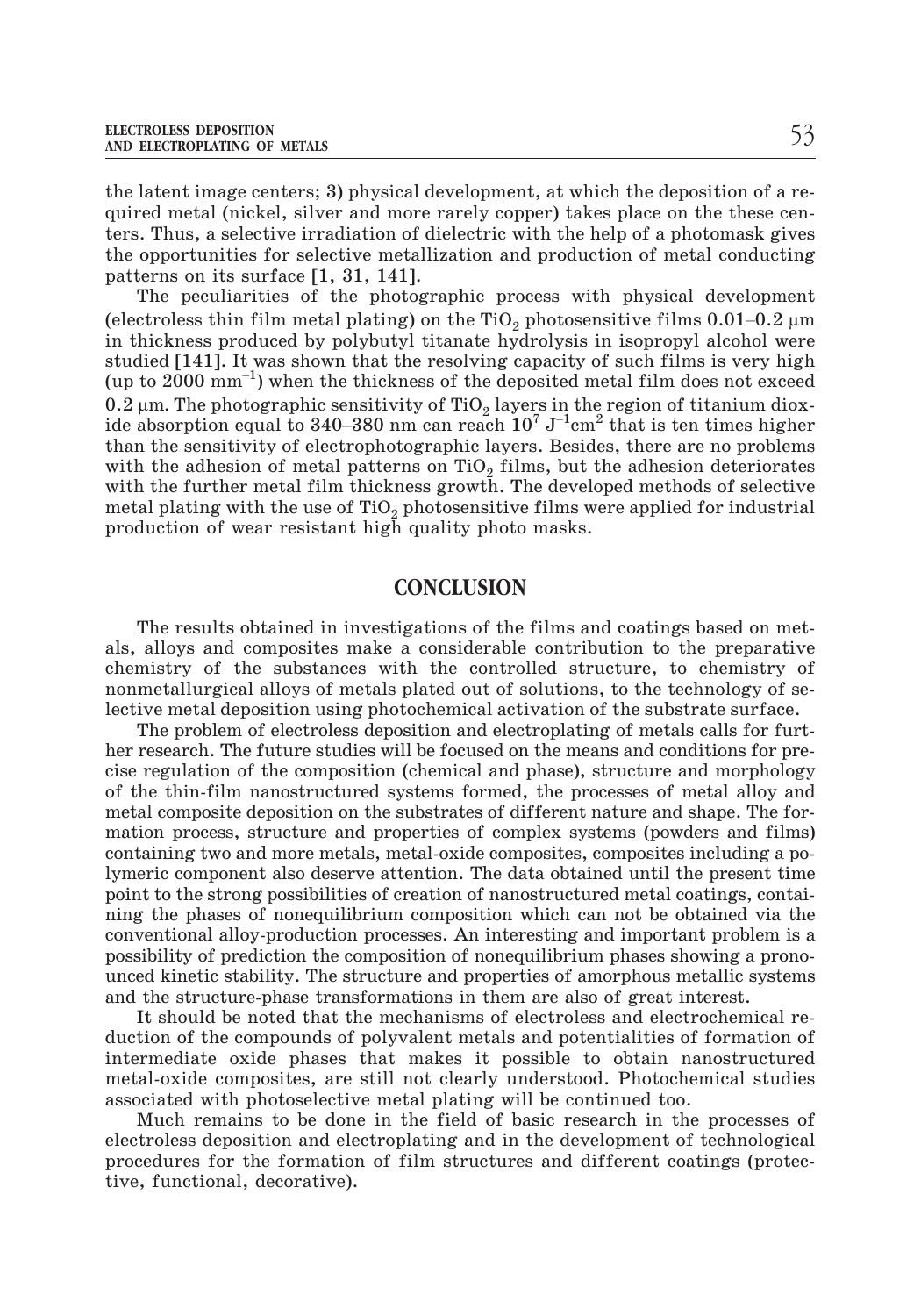the latent image centers; 3) physical development, at which the deposition of a required metal (nickel, silver and more rarely copper) takes place on the these centers. Thus, a selective irradiation of dielectric with the help of a photomask gives the opportunities for selective metallization and production of metal conducting patterns on its surface [1, 31, 141]. (electroless thin film metal plating) on the TiO<sub>2</sub> photosensitive films 0.01–0.2  $\mu$ m<br>(electroless thin film metal plating) on the TiO<sub>2</sub> photosensitive films 0.01–0.2  $\mu$ m

The peculiarities of the photographic process with physical development in thickness produced by polybutyl titanate hydrolysis in isopropyl alcohol were studied [141]. It was shown that the resolving capacity of such films is very high The peculiarities of the photographic process with physical development<br>(electroless thin film metal plating) on the TiO<sub>2</sub> photosensitive films 0.01–0.2  $\mu$ m<br>in thickness produced by polybutyl titanate hydrolysis in iso  $0.2 \ \mu$ m. The photographic sensitivity of TiO<sub>2</sub> layers in the region of titanium diox-(electroless thin film metal plating) on the TiO<sub>2</sub> photo<br>in thickness produced by polybutyl titanate hydrolys<br>studied [141]. It was shown that the resolving capacit<br>(up to 2000 mm<sup>-1</sup>) when the thickness of the deposite<br> ide absorption equal to 340–380 nm can reach  $10^7 J^{-1}$ cm<sup>2</sup> that is ten times higher than the sensitivity of electrophotographic layers. Besides, there are no problems with the adhesion of metal patterns on  $TiO<sub>2</sub>$  films, but the adhesion deteriorates with the further metal film thickness growth. The developed methods of selective metal plating with the use of  $TiO<sub>2</sub>$  photosensitive films were applied for industrial production of wear resistant high quality photo masks.

#### **CONCLUSION**

The results obtained in investigations of the films and coatings based on metals, alloys and composites make a considerable contribution to the preparative chemistry of the substances with the controlled structure, to chemistry of nonmetallurgical alloys of metals plated out of solutions, to the technology of selective metal deposition using photochemical activation of the substrate surface.

The problem of electroless deposition and electroplating of metals calls for further research. The future studies will be focused on the means and conditions for precise regulation of the composition (chemical and phase), structure and morphology of the thin-film nanostructured systems formed, the processes of metal alloy and metal composite deposition on the substrates of different nature and shape. The formation process, structure and properties of complex systems (powders and films) containing two and more metals, metal-oxide composites, composites including a polymeric component also deserve attention. The data obtained until the present time point to the strong possibilities of creation of nanostructured metal coatings, containing the phases of nonequilibrium composition which can not be obtained via the conventional alloy-production processes. An interesting and important problem is a possibility of prediction the composition of nonequilibrium phases showing a pronounced kinetic stability. The structure and properties of amorphous metallic systems and the structure-phase transformations in them are also of great interest.

It should be noted that the mechanisms of electroless and electrochemical reduction of the compounds of polyvalent metals and potentialities of formation of intermediate oxide phases that makes it possible to obtain nanostructured metal-oxide composites, are still not clearly understood. Photochemical studies associated with photoselective metal plating will be continued too.

Much remains to be done in the field of basic research in the processes of electroless deposition and electroplating and in the development of technological procedures for the formation of film structures and different coatings (protective, functional, decorative).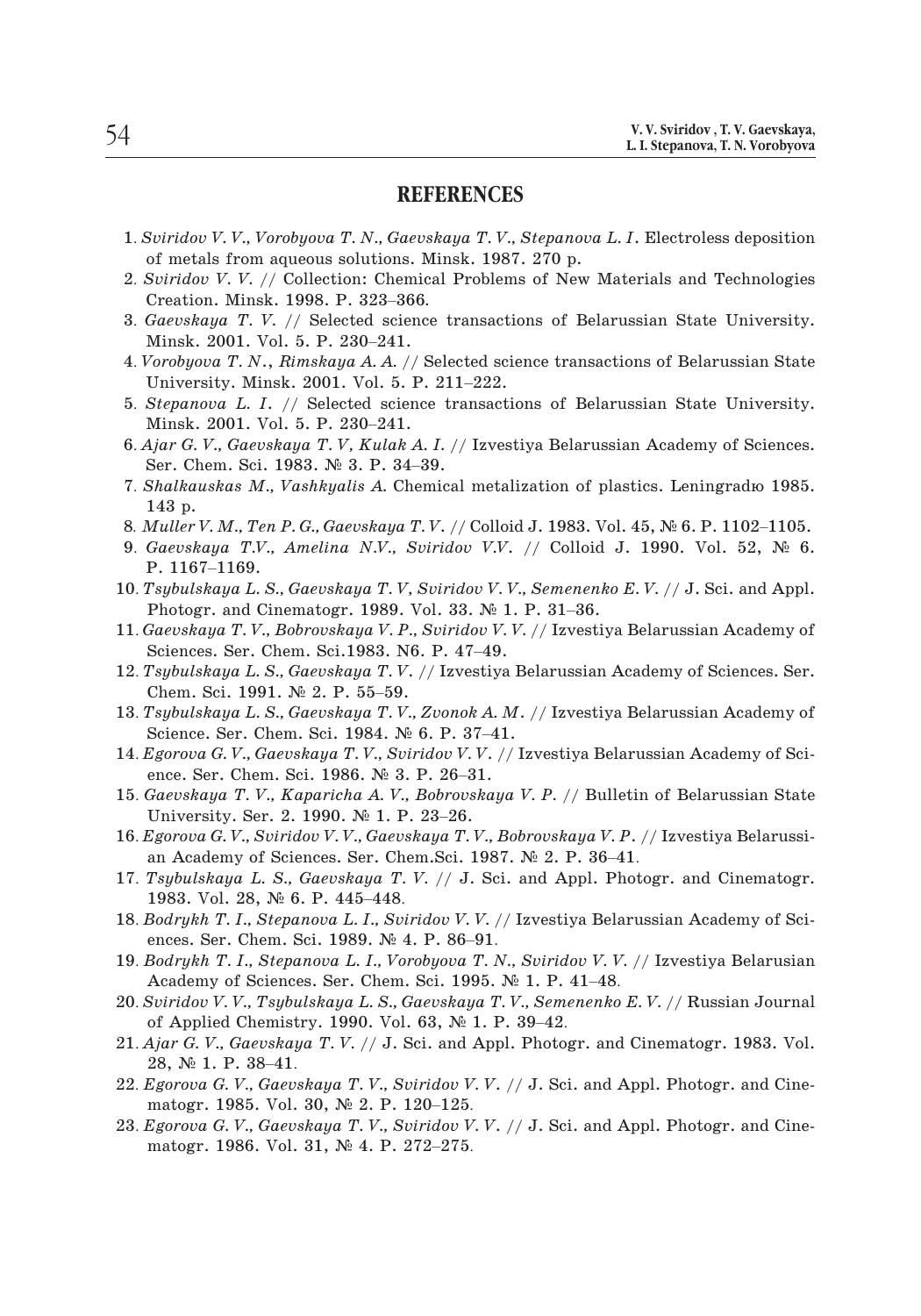#### **REFERENCES**

- 1. *V. V. Sviridov , T. V. Gaevskaya,*<br>2. *I. Stepanova, T. N. Vorobyova*<br>2. *Sviridov V. V., Vorobyova T. N., Gaevskaya T. V., Stepanova L. I. Electroless deposition* of metals from aqueous solutions. Minsk. 1987. 270 p. **2.** *Sviridov V. V., Vorobyova T. N., Gaevskaya T. V., Stepanova L. I.* **Electroless deposition<br>2.** *Sviridov V. V.* **// Collection: Chemical Problems of New Materials and Technologies<br>2.** *Sviridov V. V.* **// Collection: Chemi KEI**<br>S*viridov V. V., Vorobyova T. N., Gaevs*<br>of metals from aqueous solutions. N<br>S*viridov V. V. //* Collection: Chemic<br>Creation. Minsk. 1998. P. 323–366.
- 1. *Sviridov V. V., Vorobyova T. N., Gaevskaya T. V., Stepanova L. I.* Electroless deposition<br>of metals from aqueous solutions. Minsk. 1987. 270 p.<br>2. *Sviridov V. V.* // Collection: Chemical Problems of New Materials and Sviridov V.V., Vorobyova T.N., Gao<br>of metals from aqueous solutions<br>Sviridov V.V. // Collection: Chen<br>Creation. Minsk. 1998. P. 323–36<br>Gaevskaya T.V. // Selected scie<br>Minsk. 2001. Vol. 5. P. 230–241. 1. *Vorobyova T. V. //* Collection: Chemical Problems of New Materials and Technologies<br>
2. *Sviridov V. V. //* Collection: Chemical Problems of New Materials and Technologies<br>
3. *Gaevskaya T. V. //* Selected science tran Sviridov V. V. // Collection: Chemical Probler<br>Creation. Minsk. 1998. P. 323–366.<br>Gaevskaya T. V. // Selected science transact<br>Minsk. 2001. Vol. 5. P. 230–241.<br>Vorobyova T. N., Rimskaya A. A. // Selected sc<br>University. Min
- 
- 5. *Gaevskaya T. V. //* Selected science transactions of Belarussian State University.<br>
Minsk. 2001. Vol. 5. P. 230–241.<br>
4. *Vorobyova T. N.*, *Rimskaya A. A. //* Selected science transactions of Belarussian State<br>
Univer Minsk. 2001. Vol. 5. P. 230–241.<br>
4. Vorobyova T. N., Rimskaya A. A. // Selected science transactions of Belarussian State<br>
University. Minsk. 2001. Vol. 5. P. 211–222.<br>
5. Stepanova L. I. // Selected science transactions 6. *Ajar G. V., Gaevskaya A. A.* // Selected science transactions of Belarussian State<br> *A. Vorobyova T. N.*, *Rimskaya A. A.* // Selected science transactions of Belarussian State<br>
5. *Stepanova L. I.* // Selected science
- Vorobyova T. N., Rimskaya A. A. // Sel<br>University. Minsk. 2001. Vol. 5. P. 2<br>Stepanova L. I. // Selected science<br>Minsk. 2001. Vol. 5. P. 230–241.<br>Ajar G. V., Gaevskaya T. V, Kulak A. I.<br>Ser. Chem. Sci. 1983. № 3. P. 34–39 1. *Shalkauskas M., Vashkyalis A.* Chemical metalization of Belarussian State University.<br> *S. Stepanova L. I.* // Selected science transactions of Belarussian State University.<br> *S. Ajar G. V., Gaevskaya T. V, Kulak A. I*
- Minsk. 2001. Vol. 5. P. 230–241.<br>
6. *Ajar G. V., Gaevskaya T. V, Kulak A. I.* // Izvestiya Belarussian Academy of Sciences<br>
Ser. Chem. Sci. 1983. № 3. P. 34–39.<br>
7. *Shalkauskas M., Vashkyalis A.* Chemical metalization o 9. *Ajar G. V., Gaevskaya T. V, Kulak A. I.* // Izvestiya Belarussian Academy of Sciences.<br>
Ser. Chem. Sci. 1983. № 3. P. 34–39.<br>
7. *Shalkauskas M., Vashkyalis A.* Chemical metalization of plastics. Leningradю 1985.<br>
143
- 143 p. Ser. Chem. Sci<br>Shalkauskas M<br>143 p.<br>Muller V. M., Ti<br>Gaevskaya T.V<br>P. 1167–1169.
- 
- 1. *Shalkauskas M., Vashkyalis A.* Chemical metalization of plastics. Leningradro 1985.<br>
143 p.<br>
8. *Muller V. M., Ten P. G., Gaevskaya T. V.* // Colloid J. 1983. Vol. 45, № 6. P. 1102–1105.<br>
9. *Gaevskaya T.V., Amelina N* 143 p.<br>Muller V. M., Ten P. G., Gaevskaya T. V. // Colloid J. 1983. V<br>Gaevskaya T.V., Amelina N.V., Sviridov V.V. // Colloid<br>P. 1167–1169.<br>Fsybulskaya L. S., Gaevskaya T. V, Sviridov V. V., Semenen<br>Photogr. and Cinematogr
- 11. *Gaevskaya T.V.* // Colloid J. 1983. Vol. 45, № 6. P. 1102–1105.<br>
9. *Gaevskaya T.V.*, Amelina N.V., Sviridov V.V. // Colloid J. 1990. Vol. 52, № 6.<br>
10. *Tsybulskaya L. S., Gaevskaya T.V, Sviridov V.V., Semenenko E.V* Gaevskaya T.V., Amelina N.V., Sviridov V.V<br>P. 1167–1169.<br>Tsybulskaya L. S., Gaevskaya T. V, Sviridov V.<br>Photogr. and Cinematogr. 1989. Vol. 33. Ne<br>Gaevskaya T. V., Bobrovskaya V. P., Sviridov V.<br>Sciences. Ser. Chem. Sci.19 10. *Tsybulskaya L. S., Gaevskaya T. V, Sviridov V. V., Semenenko E. V. // J. Sci. and Appl.*<br>
Photogr. and Cinematogr. 1989. Vol. 33. № 1. P. 31–36.<br>
11. *Gaevskaya T. V., Bobrovskaya V. P., Sviridov V. V. //* Izvestiya
- Photogr. and Cinematogr. 1989. Vol. 33. № 1. P. 31–36.<br>11.  $Gaevshaya$  T. V.,  $Bobrovskaya$  V. P.,  $Sviridov$  V. V. // Izvestiya Belarussian Academy of Sciences. Ser. Chem. Sci. 1983. N6. P. 47–49.<br>12. Tsybulskaya L. S.,  $Gaevshaya$  T. V. Photogr. and Cinematogr. 1989. Vol. 33. № 1. P. 31–36.<br>11. *Gaevskaya T. V., Bobrovskaya V. P., Sviridov V. V.* // Izvestiya Belarussian Academy of<br>Sciences. Ser. Chem. Sci.1983. N6. P. 47–49.<br>12. *Tsybulskaya L. S., Gaev Gaevskaya T.V., Bobrovskaya V.P., Sviridov V.*1<br>Sciences. Ser. Chem. Sci.1983. N6. P. 47–49.<br>*Fsybulskaya L.S., Gaevskaya T.V. //* Izvestiya<br>Chem. Sci. 1991. № 2. P. 55–59.<br>*Fsybulskaya L.S., Gaevskaya T.V., Zvonok A.M*<br>
- *Fsybulskaya L. S., Gaevskaya T. V. //* Izvesti<br>Chem. Sci. 1991. № 2. P. 55–59.<br>*Fsybulskaya L. S., Gaevskaya T. V., Zvonok A*<br>Science. Ser. Chem. Sci. 1984. № 6. P. 37–<br>Egorova G. V., Gaevskaya T. V., Sviridov V. V.<br>ence
- Sciences. Ser. Chem. Sci.1983. N6. P. 47–49.<br>12. *Tsybulskaya L. S., Gaevskaya T. V.* // Izvestiya Belarussian Academy of Sciences. Ser.<br>Chem. Sci. 1991. № 2. P. 55–59.<br>13. *Tsybulskaya L. S., Gaevskaya T. V., Zvonok A. M* Chem. Sci. 1991. № 2. P. 55–59.<br>
13. *Tsybulskaya L. S., Gaevskaya T. V., Zvonok A. M.* // Izvestiya Belarussian Academy of<br>
Science. Ser. Chem. Sci. 1984. № 6. P. 37–41.<br>
14. *Egorova G. V., Gaevskaya T. V., Sviridov V. Tsybulskaya L. S., Gaevskaya T. V., Zvonol*<br>Science. Ser. Chem. Sci. 1984. № 6. P. 3<br>Egorova G. V., Gaevskaya T. V., Sviridov V.<br>ence. Ser. Chem. Sci. 1986. № 3. P. 26–5<br>Gaevskaya T. V., Kaparicha A. V., Bobrovs<br>Univers
- 
- Science. Ser. Chem. Sci. 1984. № 6. P. 37–41.<br>14. *Egorova G. V., Gaevskaya T. V., Sviridov V. V.* // Izvestiya Belarussian Academy of Science. Ser. Chem. Sci. 1986. № 3. P. 26–31.<br>15. *Gaevskaya T. V., Kaparicha A. V., B* Egorova G. V., Gaevskaya T. V., Sviridov V. V. // Izvestiya Belaru<br>ence. Ser. Chem. Sci. 1986. № 3. P. 26–31.<br>Gaevskaya T. V., Kaparicha A. V., Bobrovskaya V. P. // Bulleti<br>University. Ser. 2. 1990. № 1. P. 23–26.<br>Egorova ence. Ser. Chem. Sci. 1986. № 3. P. 26–31.<br>15. *Gaevskaya T. V.*, *Kaparicha A. V.*, *Bobrovskaya V. P.* // Bulletin of Belarussian State<br>University. Ser. 2. 1990. № 1. P. 23–26.<br>16. *Egorova G. V.*, *Sviridov V. V.*, *Ga Gaevskaya T. V., Kaparicha A. V.*<br>University. Ser. 2. 1990. № 1. F<br>Egorova G. V., Sviridov V. V., Gaev<br>an Academy of Sciences. Ser. Ch<br>Tsybulskaya L. S., Gaevskaya T.<br>1983. Vol. 28, № 6. P. 445–448.
- University. Ser. 2. 1990. № 1. P. 23–26.<br>16. *Egorova G. V.*, *Sviridov V. V.*, *Gaevskaya T. V.*, *Bobrovskaya V. P.* // Izvestiya Belarussian Academy of Sciences. Ser. Chem.Sci. 1987. № 2. P. 36–41.<br>17. *Tsybulskaya L.*
- Egorova G.V., Sviridov V.V., Gaevskaya T.V.,<br>an Academy of Sciences. Ser. Chem. Sci. 198<br>Tsybulskaya L. S., Gaevskaya T.V. // J. Sc<br>1983. Vol. 28, № 6. P. 445–448.<br>Bodrykh T. I., Stepanova L. I., Sviridov V.V. ,<br>ences. Se Tsybulskaya L. S., Gaevskaya T. V. // J. Sci. and Appl. Pl<br>1983. Vol. 28,  $\mathbb{N}^6$  6. P. 445–448.<br>Bodrykh T. I., Stepanova L. I., Sviridov V. V. // Izvestiya Bela<br>ences. Ser. Chem. Sci. 1989.  $\mathbb{N}^6$  4. P. 86–91.<br>Bod
- 17. *Tsybulskaya L. S., Gaevskaya T. V. // J. Sci. and Appl. Photogr. and Cinematogr.*<br>1983. Vol. 28, № 6. P. 445–448.<br>18. *Bodrykh T. I., Stepanova L. I., Sviridov V. V. //* Izvestiya Belarussian Academy of Sciences. Ser Bodrykh T. I., Stepanova L. I., Sviridov V. V. // Izvesti<br>ences. Ser. Chem. Sci. 1989. № 4. P. 86–91.<br>Bodrykh T. I., Stepanova L. I., Vorobyova T. N., Svirid<br>Academy of Sciences. Ser. Chem. Sci. 1995. № 1. P.<br>Sviridov V.
- 1983. Vol. 28, № 6. P. 445–448.<br>
18. *Bodrykh T. I., Stepanova L. I., Sviridov V. V.* // Izvestiya Belarussian Academy of Sciences. Ser. Chem. Sci. 1989. № 4. P. 86–91.<br>
19. *Bodrykh T. I., Stepanova L. I., Vorobyova T. N* ences. Ser. Chem. Sci. 1989. № 4. P. 86–91.<br>19. *Bodrykh T. I., Stepanova L. I., Vorobyova T. N., Sviridov V. V.* // Izvestiya Belarusian<br>Academy of Sciences. Ser. Chem. Sci. 1995. № 1. P. 41–48.<br>20. *Sviridov V. V., Tsyb*
- Bodrykh T. I., Stepc<br>Academy of Scienc<br>Sviridov V. V., Tsybt<br>of Applied Chemist<br>Ajar G. V., Gaevskaļ<br>28, № 1. P. 38–41. Academy of Sciences. Ser. Chem. Sci. 1995. № 1. P. 41–48.<br>
20. *Sviridov V. V.*, *Tsybulskaya L. S.*, *Gaevskaya T. V.*, *Semenenko E. V.* // Russian Journal<br>
of Applied Chemistry. 1990. Vol. 63, № 1. P. 39–42.<br>
21. *Ajar*
- of Applied Chemistry. 1990. Vol. 63,  $\mathbb{N}$  1. P. 39–42.<br>Ajar G. V., Gaevskaya T. V. // J. Sci. and Appl. Photos<br>28,  $\mathbb{N}$  1. P. 38–41.<br>Egorova G. V., Gaevskaya T. V., Sviridov V. V. // J. Sci<br>matogr. 1985. Vol. 30, 21. Ajar G. V., Gaevskaya T. V. // J. Sci. and Appl. Photogr. and Cinematogr. 1983. Vol.<br>28, Nº 1. P. 38–41.<br>22. *Egorova G. V.*, Gaevskaya T. V., Sviridov V. V. // J. Sci. and Appl. Photogr. and Cine-<br>matogr. 1985. Vol.
- 22. Egorova G. V., Gaevskaya T. V., Sviridov V. V. // J. Sci. and Appl. Photogr. and Cinematogr. 1985. Vol. 30,  $\mathbb{N}^2$  2. P. 120–125.<br>23. Egorova G. V., Gaevskaya T. V., Sviridov V. V. // J. Sci. and Appl. Photogr. an
-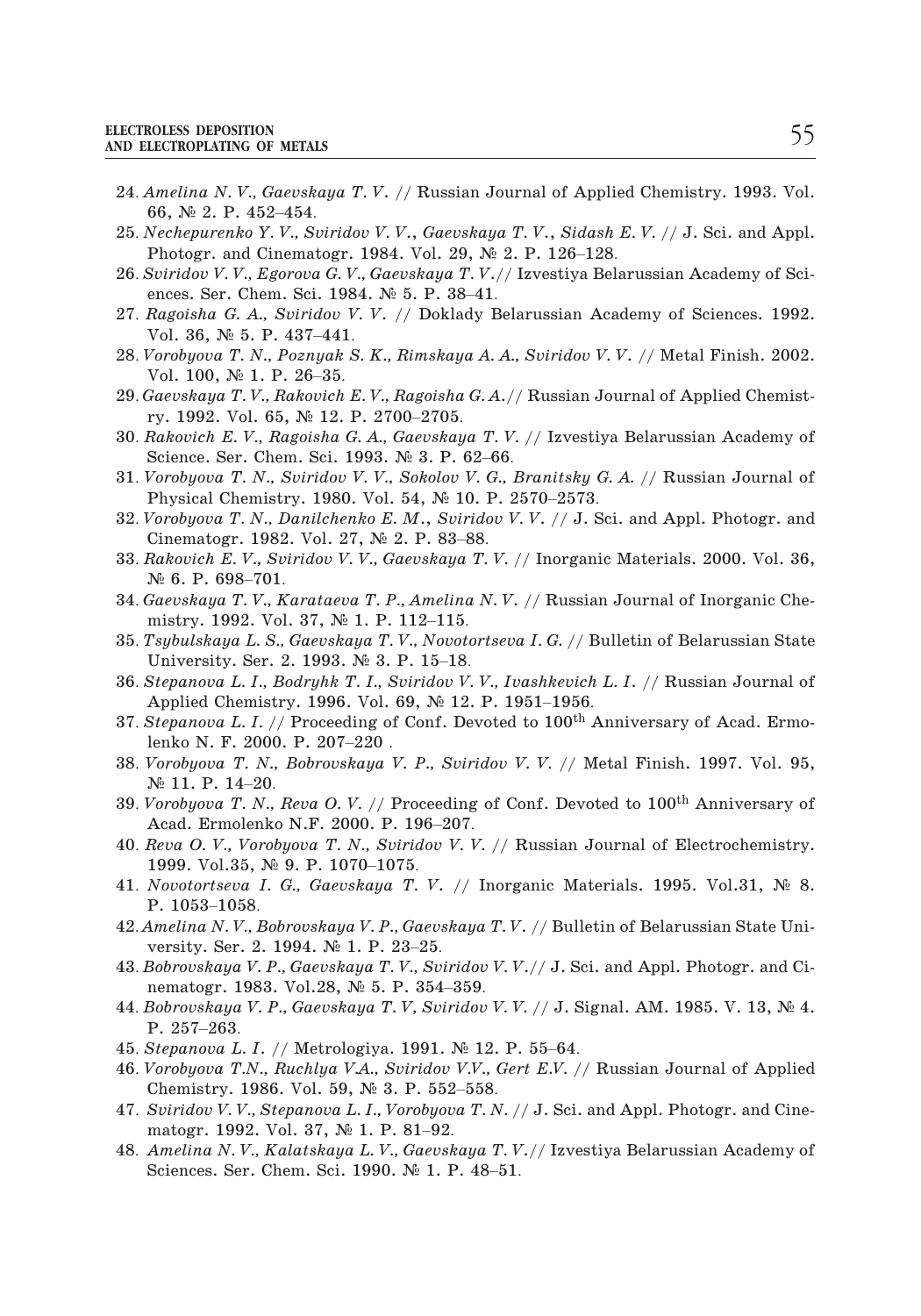- <sup>24</sup>. *Amelina N. V., Gaevskaya T. V*. // Russian Journal of Applied Chemistry. 1993. Vol. ROLESS DEPOSITION<br>LECTROPLATING OF METAL<br>A*melina N. V., Gaevsk*<br>66, Nº 2. P. 452–454. XECTROLESS DEPOSITION<br>
24. *Amelina N. V., Gaevskaya T. V. //* Russian Journal of Applied Chemistry. 1993. Vol.<br>
66, № 2. P. 452–454.<br>
25. *Nechepurenko Y. V., Sviridov V. V., Gaevskaya T. V., Sidash E. V. // J.* Sci. and LECTROPLATING OF METALS<br>Amelina N. V., Gaevskaya T. V. // Russian Journal of Appli<br>66, № 2. P. 452–454.<br>Nechepurenko Y. V., Sviridov V. V., Gaevskaya T. V., Sidash<br>Photogr. and Cinematogr. 1984. Vol. 29, № 2. P. 126–128. 24. *Amelina N. V., Gaevskaya T. V. // Russian Journal of Applied Chemistry.* 1993. Vol.<br>66, № 2. P. 452–454.<br>25. *Nechepurenko Y. V., Sviridov V. V., Gaevskaya T. V., Sidash E. V. // J. Sci. and Appl.*<br>Photogr. and Cinem Amelina N. V., Gaevskaya T. V. // Russian Jo<br>66, № 2. P. 452–454.<br>Nechepurenko Y. V., Sviridov V. V., Gaevskay.<br>Photogr. and Cinematogr. 1984. Vol. 29, №<br>Sviridov V. V., Egorova G. V., Gaevskaya T. V.,<br>ences. Ser. Chem. S
- 25. *Nechepurenko Y. V.*, *Sviridov V. V.*, *Gaevskaya T. V.*, *Sidash E. V.* // J. Sci. and Appl.<br>
Photogr. and Cinematogr. 1984. Vol. 29, № 2. P. 126–128.<br>
26. *Sviridov V. V.*, *Egorova G. V.*, *Gaevskaya T. V.*// Izv Nechepurenko Y. V., Svirid<br>Photogr. and Cinematogr.<br>Sviridov V. V., Egorova G. V<br>ences. Ser. Chem. Sci. 198<br>Ragoisha G. A., Sviridov V<br>Vol. 36, № 5. P. 437–441.
- 
- Photogr. and Cinematogr. 1984. Vol. 29, № 2. P. 126–128.<br>26. *Sviridov V. V., Egorova G. V., Gaevskaya T. V.*// Izvestiya Belarussian Academy of Sciences. Ser. Chem. Sci. 1984. № 5. P. 38–41.<br>27. *Ragoisha G. A., Sviridov* Sviridov V. V., Egorova G.<br>ences. Ser. Chem. Sci. 19<br>Ragoisha G. A., Sviridov<br>Vol. 36, № 5. P. 437–441<br>Vorobyova T. N., Poznyak<br>Vol. 100, № 1. P. 26–35.
- ences. Ser. Chem. Sci. 1984. № 5. P. 38–41.<br>
27. *Ragoisha G. A., Sviridov V. V.* // Doklady Belarussian Academy of Sciences. 1992.<br>
Vol. 36, № 5. P. 437–441.<br>
28. *Vorobyova T. N., Poznyak S. K., Rimskaya A. A., Sviridov*
- ry. 1992. Vol. 65, № 12. P. 2700-2705. Vol. 36, № 5. P. 437–441.<br>
28. *Vorobyova T. N., Poznyak S. K., Rimskaya A. A., Sviridov V. V. //* Metal Finish. 2002.<br>
Vol. 100, № 1. P. 26–35.<br>
29. *Gaevskaya T. V., Rakovich E. V., Ragoisha G. A.//* Russian Journal of Vorobyova T. N., Poznyak S. K., Rimskaya A. A.<br>Vol. 100, № 1. P. 26–35.<br>Gaevskaya T. V., Rakovich E. V., Ragoisha G. A./<br>ry. 1992. Vol. 65, № 12. P. 2700–2705.<br>Rakovich E. V., Ragoisha G. A., Gaevskaya T. V<br>Science. Ser. Vol. 100, № 1. P. 26–35.<br>
29. *Gaevskaya T. V., Rakovich E. V., Ragoisha G. A.*// Russian Journal of Applied Chemist-<br>
ry. 1992. Vol. 65, № 12. P. 2700–2705.<br>
30. *Rakovich E. V., Ragoisha G. A., Gaevskaya T. V.* // Izves *Gaevskaya T.V., Rakovich E.V., Ragoisha G.A.*// Russian Jory. 1992. Vol. 65, № 12. P. 2700–2705.<br>Rakovich E. V., Ragoisha G.A., Gaevskaya T.V. // Izvesti<br>Science. Ser. Chem. Sci. 1993. № 3. P. 62–66.<br>Vorobyova T. N., Svi
- 1992. Vol. 65, № 12. P. 2700–2705.<br>
30. Rakovich E. V., Ragoisha G. A., Gaevskaya T. V. // Izvestiya Belarussian Academy of<br>
Science. Ser. Chem. Sci. 1993. № 3. P. 62–66.<br>
31. *Vorobyova T. N., Sviridov V. V., Sokolov V.* Rakovich E. V., Ragoisha G. A., Gaevskaya 1<br>Science. Ser. Chem. Sci. 1993. № 3. P. 62-<br>Vorobyova T. N., Sviridov V. V., Sokolov V. (<br>Physical Chemistry. 1980. Vol. 54, № 10. 1<br>Vorobyova T. N., Danilchenko E. M., Svirido<br>C
- Science. Ser. Chem. Sci. 1993. № 3. P. 62–66.<br>
31. *Vorobyova T. N., Sviridov V. V., Sokolov V. G., Branitsky G. A.* // Russian Journal of<br>
Physical Chemistry. 1980. Vol. 54, № 10. P. 2570–2573.<br>
32. *Vorobyova T. N., Dan*
- Physical Chemistry. 1980. Vol. 54,  $N_e$  10. P. 2570–2573.<br>Vorobyova T. N., Danilchenko E. M., Sviridov V. V. // J. S<br>Cinematogr. 1982. Vol. 27,  $N_e$  2. P. 83–88.<br>Rakovich E. V., Sviridov V. V., Gaevskaya T. V. // Inorgani
- Physical Chemistry. 1980. Vol. 54, № 10. P. 2570–2573.<br>32. *Vorobyova T. N., Danilchenko E. M., Sviridov V. V.* // J. Sci. and Appl. Photogr. and<br>Cinematogr. 1982. Vol. 27, № 2. P. 83–88.<br>33. Rakovich E. V., Sviridov V. V Vorobyova T. N., Danilchenko E. M., Svir<br>Cinematogr. 1982. Vol. 27, № 2. P. 83–8<br>Rakovich E. V., Sviridov V. V., Gaevskaya<br>№ 6. P. 698–701.<br>Gaevskaya T. V., Karataeva T. P., Amelinc<br>mistry. 1992. Vol. 37, № 1. P. 112–115. Cinematogr. 1982. Vol. 27, № 2. P. 83–88.<br>
33. *Rakovich E. V., Sviridov V. V., Gaevskaya T. V.* // Inorganic Materials. 2000. Vol. 36,<br>
№ 6. P. 698–701.<br>
34. *Gaevskaya T. V., Karataeva T. P., Amelina N. V.* // Russian J Rakovich E. V., Sviridov V. V., Gaevskaya<br>№ 6. P. 698–701.<br>Gaevskaya T. V., Karataeva T. P., Amelina<br>mistry. 1992. Vol. 37, № 1. P. 112–115.<br>Fsybulskaya L. S., Gaevskaya T. V., Novott<br>University. Ser. 2. 1993. № 3. P. 15–
- 34. *Gaevskaya T. V., Karataeva T. P., Amelina N. V. //* Russian Journal of Inorganic Chemistry. 1992. Vol. 37, № 1. P. 112–115.<br>35. *Tsybulskaya L. S., Gaevskaya T. V., Novotortseva I. G. //* Bulletin of Belarussian Stat
- 
- Applied Chemistry. 1996. Vol. 69, № 12. P. 1951–1956. mistry. 1992. Vol. 37, № 1. P. 112–115.<br>
35. *Tsybulskaya L. S., Gaevskaya T. V., Novotortseva I. G.* // Bulletin of Belarussian State<br>
University. Ser. 2. 1993. № 3. P. 15–18.<br>
36. *Stepanova L. I., Bodryhk T. I., Sviri Tsybulskaya L. S., Gaevskaya T.*<br>University. Ser. 2. 1993. № 3.<br>Stepanova L. I., Bodryhk T. I., S<br>Applied Chemistry. 1996. Vol.<br>Stepanova L. I. // Proceeding o<br>lenko N. F. 2000. P. 207–220 University. Ser. 2. 1993.  $N \ge 3$ . P. 15–18.<br>
36. *Stepanova L. I., Bodryhk T. I., Sviridov V. V., Ivashkevich L. I.* // Russian Journal of<br>
Applied Chemistry. 1996. Vol. 69,  $N \ge 12$ . P. 1951–1956.<br>
37. *Stepanova L. I.* Stepanova L. I., i<br>Applied Chemist<br>Stepanova L. I. /<br>lenko N. F. 2000<br>Vorobyova T. N.,<br>№ 11. P. 14–20.
- Applied Chemistry. 1996. Vol. 69,  $\mathbb{N}^5$  12. P. 1951–1956.<br>37. *Stepanova L. I.* // Proceeding of Conf. Devoted to 100<sup>th</sup> Anniversary of Acad. Ermolenko N. F. 2000. P. 207–220.<br>38. *Vorobyova T. N.*, *Bobrovskaya V.* Stepanova L. I. // Proceeding of Conf. De<br>lenko N. F. 2000. P. 207–220<br>*Vorobyova T. N., Bobrovskaya V. P., Svir*<br>№ 11. P. 14–20.<br>*Vorobyova T. N., Reva O. V. //* Proceeding<br>Acad. Ermolenko N.F. 2000. P. 196–207.
- 
- lenko N. F. 2000. P. 207–220 .<br>
38. *Vorobyova T. N., Bobrovskaya V. P., Sviridov V. V.* // Metal Finish. 1997. Vol. 95,<br>
№ 11. P. 14–20.<br>
39. *Vorobyova T. N., Reva O. V.* // Proceeding of Conf. Devoted to 100<sup>th</sup> Anniv
- *Vorobyova T. N., Bobrovskaya V. 1*<br>№ 11. P. 14–20.<br>*Vorobyova T. N., Reva O. V. //* Pro<br>Acad. Ermolenko N.F. 2000. P. 19<br>*Reva O. V., Vorobyova T. N., Sviric*<br>1999. Vol.35, № 9. P. 1070–1075. Novotortseva *T. N., Reva O. V. //* Proceeding of Conf. Devoted to 100<sup>th</sup> Anniversary of Acad. Ermolenko N.F. 2000. P. 196–207.<br>40. *Reva O. V., Vorobyova T. N., Sviridov V. V. //* Russian Journal of Electrochemistry.<br>19 *Vorobyova T. N*<br>Acad. Ermoler<br>*Reva O. V., Vo.*<br>1999. Vol.35,<br>*Novotortseva*<br>P. 1053–1058. Acad. Ermolenko N.F. 2000. P. 196–207.<br>
40. *Reva O. V., Vorobyova T. N., Sviridov V. V. //* Russian Journal of Electrochemistry.<br>
1999. Vol.35, № 9. P. 1070–1075.<br>
41. *Novotortseva I. G., Gaevskaya T. V. //* Inorganic M Reva O. V., Vorobyova T. N., Sviridov<br>1999. Vol.35, № 9. P. 1070–1075.<br>Novotortseva I. G., Gaevskaya T. V.<br>P. 1053–1058.<br>Amelina N. V., Bobrovskaya V. P., Gaev.<br>versity. Ser. 2. 1994. № 1. P. 23–25.
- Novotortseva I. G., Gaevskaya T. V. // I<br>P. 1053–1058.<br>Amelina N.V., Bobrovskaya V.P., Gaevskaya<br>versity. Ser. 2. 1994. № 1. P. 23–25.<br>Bobrovskaya V.P., Gaevskaya T.V., Sviridot<br>nematogr. 1983. Vol.28, № 5. P. 354–359.
- 1999. Vol.35,  $N\ge 9$ . P. 1070–1075.<br>
41. *Novotortseva I. G., Gaevskaya T. V.* // Inorganic Materials. 1995. Vol.31,  $N\ge 8$ .<br>
P. 1053–1058.<br>
42. *Amelina N. V., Bobrovskaya V. P., Gaevskaya T. V.* // Bulletin of Belarus P. 1053–1058.<br>42. *Amelina N. V., Bobrovskaya V. P., Gaevskaya T. V.* // Bulletin of Belarussian State University. Ser. 2. 1994. № 1. P. 23–25.<br>43. *Bobrovskaya V. P., Gaevskaya T. V., Sviridov V. V.*// J. Sci. and Appl.
- 
- nematogr. 1983. Vol.28, № 5. P. 354–359.<br>Bobrovskaya V. P., Gaevskaya T. V, Sviridov<br>P. 257–263. 44. Bobrovskaya V. P., Gaevskaya T. V, Sviridov V. V. // J. Signal. AM. 1985. V. 13, № 4.<br>P. 257–263.<br>45. Stepanova L. I. // Metrologiya. 1991. № 12. P. 55–64. 13. *Bobrovskaya V. P., Gaevskaya T. V., Sviridov V. V.*// J. Sci. and Appl. Photogr. and Cinematogr. 1983. Vol.28, № 5. P. 354–359.<br>
14. *Bobrovskaya V. P., Gaevskaya T. V, Sviridov V. V.* // J. Signal. AM. 1985. V. 13, nematogr. 1983. Vol.28, № 5. P. 354–359.<br>Bobrovskaya V. P., Gaevskaya T. V, Sviridov V<br>P. 257–263.<br>Stepanova L. I. // Metrologiya. 1991. № 12.<br>Vorobyova T.N., Ruchlya V.A., Sviridov V.V., Chemistry. 1986. Vol. 59, № 3. P. 44. *Bobrovskaya V. P., Gaevskaya T. V, Sviridov V. V.* // J. Signal. AM. 1985. V. 13, № 4.<br>P. 257–263.<br>45. *Stepanova L. I.* // Metrologiya. 1991. № 12. P. 55–64.<br>46. *Vorobyova T.N., Ruchlya V.A., Sviridov V.V., Gert E.*
- 
- P. 257–263.<br>Stepanova L. I. // Metrologiya. 1991. .<br>Vorobyova T.N., Ruchlya V.A., Sviridov<br>Chemistry. 1986. Vol. 59, № 3. P. 552<br>Sviridov V.V., Stepanova L. I., Vorobyov<br>matogr. 1992. Vol. 37, № 1. P. 81–92. 45. *Stepanova L. I.* // Metrologiya. 1991. № 12. P. 55–64.<br>46. *Vorobyova T.N., Ruchlya V.A., Sviridov V.V., Gert E.V.* // Russian Journal of Applied<br>Chemistry. 1986. Vol. 59, № 3. P. 552–558.<br>47. *Sviridov V.V., Stepano*
- Chemistry. 1986. Vol. 59,  $\mathbb{N}^5$  3. P. 552–558.<br>47. Sviridov V. V., Stepanova L. I., Vorobyova T. N. // J. Sci. and Appl. Photogr. and Cinematogr. 1992. Vol. 37,  $\mathbb{N}^5$  1. P. 81–92.<br>48. Amelina N. V., Kalatskaya L
-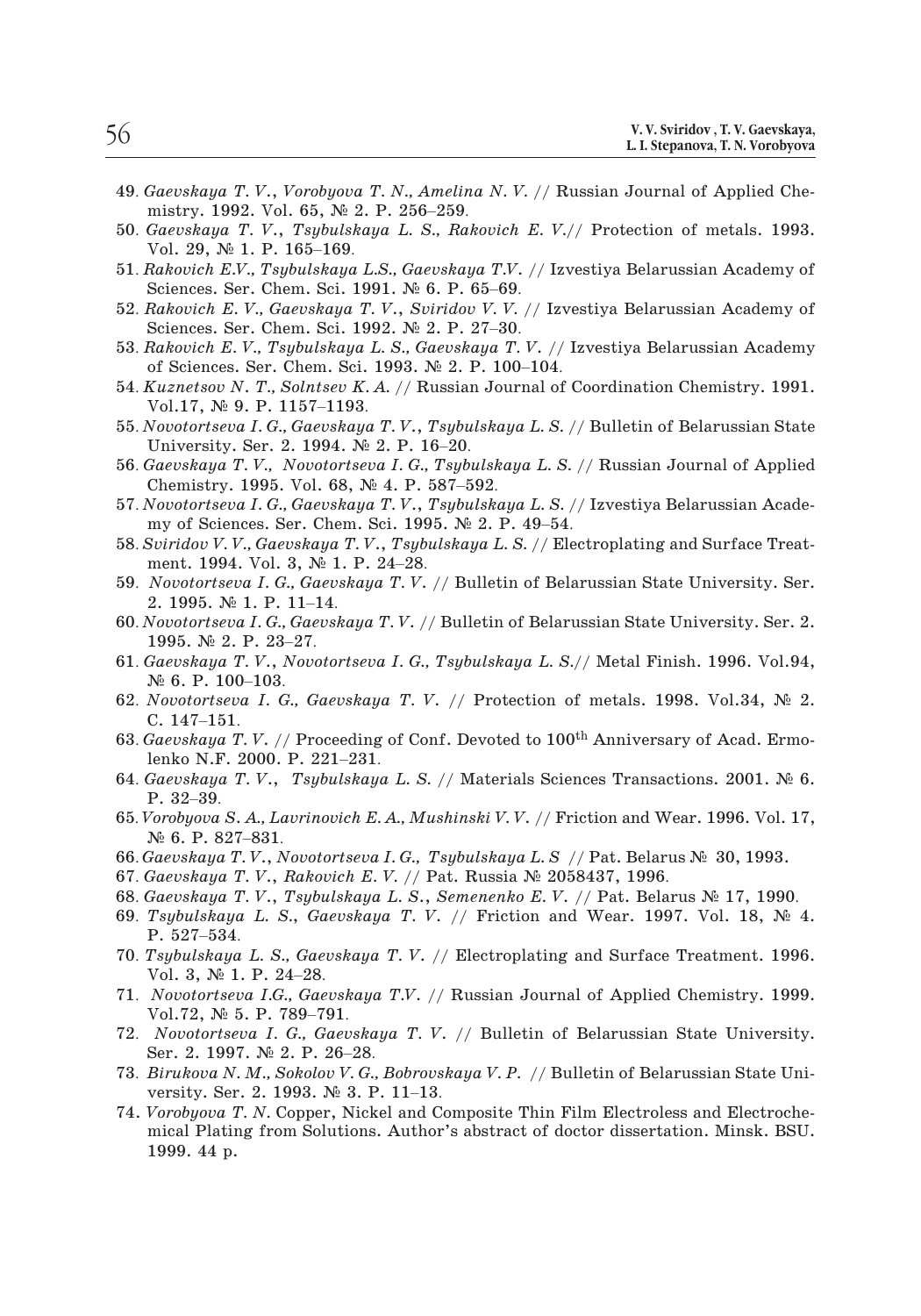- <sup>49</sup>. *Gaevskaya T. V*., *Vorobyova T. N., Amelina N. V.* // Russian Journal of Applied Che-.<br>*Gaevskaya T.V., Vorobyova T.N., Amelin*<br>mistry. 1992. Vol. 65, № 2. P. 256–259. 50. **Gaevskaya, L. I. Stepanova, T. V., Gaevskaya,**<br> **F. Gaevskaya T. V.,** *Vorobyova T. N., Amelina N. V.* **// Russian Journal of Applied Chemistry. 1992. Vol. 65, № 2. P. 256–259.<br>
50.** *Gaevskaya T. V., Tsybulskaya L. S., Gaevskaya T.V., Vorobyov*<br>mistry. 1992. Vol. 65, №<br>*Gaevskaya T.V., Tsybuls.*<br>Vol. 29, № 1. P. 165–169. 49. *Gaevskaya T. V., Vorobyova T. N., Amelina N. V. //* Russian Journal of Applied Chemistry. 1992. Vol. 65, № 2. P. 256–259.<br>50. *Gaevskaya T. V., Tsybulskaya L. S., Rakovich E. V.//* Protection of metals. 1993.<br>51. Rak Gaevskaya T. V., Vorobyova T. N., Amelina N. V<br>mistry. 1992. Vol. 65, № 2. P. 256–259.<br>Gaevskaya T. V., Tsybulskaya L. S., Rakovich<br>Vol. 29, № 1. P. 165–169.<br>Rakovich E.V., Tsybulskaya L.S., Gaevskaya T.V.<br>Sciences. Ser.
- film istry. 1992. Vol. 65, № 2. P. 256–259.<br>
50. *Gaevskaya T. V., Tsybulskaya L. S., Rakovich E. V.*// Protection of metals. 1993.<br>
51. *Rakovich E.V., Tsybulskaya L.S., Gaevskaya T.V.* // Izvestiya Belarussian Academy o Gaevskaya T. V., Tsybulskaya L. S., Rakovich<br>Vol. 29, № 1. P. 165–169.<br>Rakovich E.V., Tsybulskaya L.S., Gaevskaya T.V.<br>Sciences. Ser. Chem. Sci. 1991. № 6. P. 65–69.<br>Rakovich E. V., Gaevskaya T. V., Sviridov V. V.<br>Science
- Vol. 29, № 1. P. 165–169.<br>
51. *Rakovich E.V., Tsybulskaya L.S., Gaevskaya T.V.* // Izvestiya Belarussian Academy of<br>
Sciences. Ser. Chem. Sci. 1991. № 6. P. 65–69.<br>
52. *Rakovich E. V., Gaevskaya T. V., Sviridov V. V.* /
- 
- Rakovich E.V., Tsybulskaya L.S., Gaevskaya T.V. // Iz<br>Sciences. Ser. Chem. Sci. 1991. № 6. P. 65–69.<br>Rakovich E. V., Gaevskaya T. V., Sviridov V. V. // Iz<br>Sciences. Ser. Chem. Sci. 1992. № 2. P. 27–30.<br>Rakovich E. V., Tsy Sciences. Ser. Chem. Sci. 1991. *N*<sup>2</sup> 6. P. 65–69.<br>
52. *Rakovich E. V., Gaevskaya T. V., Sviridov V. V. //* Izvestiya Belarussian Academy of Sciences. Ser. Chem. Sci. 1992. *N*<sup>2</sup> 2. P. 27–30.<br>
53. *Rakovich E. V., Tsybu*
- Rakovich E. V., Gaevskaya 7<br>Sciences. Ser. Chem. Sci. 19<br>Rakovich E. V., Tsybulskaya<br>of Sciences. Ser. Chem. Sci.<br>Kuznetsov N. T., Solntsev K.<br>Vol.17, Nº 9. P. 1157–1193. Sciences. Ser. Chem. Sci. 1992. *N*<sup>2</sup> 2. P. 27–30.<br>
53. *Rakovich E. V., Tsybulskaya L. S., Gaevskaya T. V. // Izvestiya Belarussian Academy<br>
of Sciences. Ser. Chem. Sci. 1993. <i>N*<sup>2</sup> 2. P. 100–104.<br>
54. *Kuznetsov N. T.,* Rakovich E. V., Tsybulskaya L. S., Gaevsk<br>of Sciences. Ser. Chem. Sci. 1993. № 2.<br>Kuznetsov N. T., Solntsev K. A. // Russia<br>Vol.17, № 9. P. 1157–1193.<br>Novotortseva I. G., Gaevskaya T. V., Tsybu<br>University. Ser. 2. 1994. № of Sciences. Ser. Chem. Sci. 1993. № 2. P. 100–104.<br>54. *Kuznetsov N. T., Solntsev K. A.* // Russian Journal of Coordination Chemistry. 1991.<br>7. Vol.17, № 9. P. 1157–1193.<br>55. *Novotortseva I. G., Gaevskaya T. V.*, *Tsyb* Kuznetsov N. T., Solntsev K. A. // Russian Jo<br>Vol.17, № 9. P. 1157–1193.<br>Vovotortseva I. G., Gaevskaya T. V., Tsybulsk<br>University. Ser. 2. 1994. № 2. P. 16–20.<br>Gaevskaya T. V., Novotortseva I. G., Tsybulsl<br>Chemistry. 1995
- Vol.17, № 9. P. 1157–1193.<br>55. *Novotortseva I. G., Gaevskaya T. V.*, *Tsybulskaya L. S.* // Bulletin of Belarussian State<br>University. Ser. 2. 1994. № 2. P. 16–20.<br>56. *Gaevskaya T. V.*, *Novotortseva I. G., Tsybulskaya L* Vovotortseva I. G., Gaevskaya T. V., Tsybulskaya L. S. /<br>University. Ser. 2. 1994. № 2. P. 16–20.<br>Gaevskaya T. V., Novotortseva I. G., Tsybulskaya L. S.<br>Chemistry. 1995. Vol. 68, № 4. P. 587–592.<br>Vovotortseva I. G., Gaevs
- University. Ser. 2. 1994. № 2. P. 16–20.<br>56. *Gaevskaya T. V., Novotortseva I. G., Tsybulskaya L. S.* // Russian Journal of Applied<br>Chemistry. 1995. Vol. 68, № 4. P. 587–592.<br>57. *Novotortseva I. G., Gaevskaya T. V.*, *Ts*
- Gaevskaya T. V., Novotortseva I. G.,<br>Chemistry. 1995. Vol. 68, Nº 4. P.<br>Vovotortseva I. G., Gaevskaya T. V.,<br>my of Sciences. Ser. Chem. Sci. 199<br>Sviridov V. V., Gaevskaya T. V., Tsyb<br>ment. 1994. Vol. 3, Nº 1. P. 24–28. Vovotortseva I. G., Gaevs<br>my of Sciences. Ser. Che<br>Sviridov V. V., Gaevskaya<br>ment. 1994. Vol. 3, № 1<br>Novotortseva I. G., Gaev<br>2. 1995. № 1. P. 11–14.
- Chemistry. 1995. Vol. 68, № 4. P. 587–592.<br>
57. *Novotortseva I. G., Gaevskaya T. V., Tsybulskaya L. S.* // Izvestiya Belarussian Academy of Sciences. Ser. Chem. Sci. 1995. № 2. P. 49–54.<br>
58. *Suiridov V. V., Gaevskaya T* my of Sciences. Ser. Chem. Sci. 1995. № 2. P. 49–54.<br>58. *Sviridov V. V., Gaevskaya T. V.*, *Tsybulskaya L. S.* // Electroplating and Surface Treat-<br>ment. 1994. Vol. 3, № 1. P. 24–28.<br>59. *Novotortseva I. G., Gaevskaya T.*
- 2. 1995. № 1. P. 11-14.
- Sviridov V. V., Gaevska<br>ment. 1994. Vol. 3, N<br>Novotortseva I. G., Ga<br>2. 1995. № 1. P. 11–<br>Vovotortseva I. G., Gae<br>1995. № 2. P. 23–27. ment. 1994. Vol. 3, № 1. P. 24–28.<br>
59. *Novotortseva I. G., Gaevskaya T. V.* // Bulletin of Belarussian State University. Ser.<br>
2. 1995. № 1. P. 11–14.<br>
60. *Novotortseva I. G., Gaevskaya T. V.* // Bulletin of Belarussia
- 1995.  $\mathbb{N}^2$  2. P. 23–27.<br>61. *Gaevskaya T. V.*, *Novotortseva I. G., Tsybulskaya L. S.*// Metal Finish. 1996. Vol.94,<br> $\mathbb{N}^2$  6. P. 100–103.<br>62. *Novotortseva I. G., Gaevskaya T. V.* // Protection of metals. 1998. Gaevskaya T. V., Novotortsevo<br>№ 6. P. 100–103.<br>Novotortseva I. G., Gaevskay<br>C. 147–151.<br>Gaevskaya T. V. // Proceeding<br>lenko N.F. 2000. P. 221–231.
- 62. *Novotortseva I. G., Gaevskaya T. V. //* Protection of metals. 1998. Vol.34, No 2. Nº 6. P. 100–103.<br>Novotortseva I. G<br>C. 147–151. 6. P. 100–103.<br>
62. *Novotortseva I. G., Gaevskaya T. V.* // Protection of metals. 1998. Vol.34, № 2.<br>
C. 147–151.<br>
63. *Gaevskaya T. V.* // Proceeding of Conf. Devoted to 100<sup>th</sup> Anniversary of Acad. Ermolenko N.F. 2000. Novotorts<br>C. 147–1:<br>Gaevskayd<br>lenko N.F<br>Gaevskayd<br>P. 32–39.
- 
- 63. *Gaevskaya T.V. //* Proceeding of Conf. Devoted to 100<sup>th</sup> Anniversary of Acad. Ermolenko N.F. 2000. P. 221–231.<br>64. *Gaevskaya T.V.*, *Tsybulskaya L. S. //* Materials Sciences Transactions. 2001. № 6.<br>65. *Vorobyova Gaevskaya T.V. |*<br>|enko N.F. 2000.<br>*Gaevskaya T.V.,*<br>P. 32–39.<br>*Yorobyova S.A.,Lo*.<br>№ 6. P. 827–831. lenko N.F. 2000. P. 221–231.<br>
64. *Gaevskaya T. V.*, *Tsybulskaya L. S. //* Materials Sciences Transactions. 2001. N<br>
P. 32–39.<br>
65. *Vorobyova S. A., Lavrinovich E. A., Mushinski V. V. //* Friction and Wear. 1996. Vol.<br> 64. *Gaevskaya T. V.*, *Tsybulskaya L. S. //* Materials Sciences Transa<br>
P. 32–39.<br>
65. *Vorobyova S. A., Lavrinovich E. A., Mushinski V. V. //* Friction and W<br>
№ 6. P. 827–831.<br>
66. *Gaevskaya T. V.*, *Novotortseva I. G.*
- F. 32–39.<br>
65. *Vorobyova S. A., Lavrinovich E. A., Mushinski V. V.* // Friction and Wear. 1996. Vol. 1<br>
№ 6. P. 827–831.<br>
66. *Gaevskaya T. V., Novotortseva I. G., Tsybulskaya L. S* // Pat. Belarus № 30, 1993.<br>
67. *Gaev* 65. *Vorobyova S. A., Lavrinovich E. A., Mushinski V. V. // Friction and Wear.* 1996. Vol. 17,<br>
№ 6. P. 827–831.<br>
66. *Gaevskaya T. V., Novotortseva I. G., Tsybulskaya L. S* // Pat. Belarus № 30, 1993.<br>
67. *Gaevskaya T.*
- 
- 
- 
- Nº 6. P. 827<br>*Gaevskaya T*<br>*Gaevskaya T*<br>*Gaevskaya T*<br>*Tsybulskayc*<br>P. 527–534. 66. *Gaevskaya T. V.*, *Novotortseva I. G., Tsybulskaya L. S* // Pat. Belarus № 30, 1993.<br>67. *Gaevskaya T. V.*, *Rakovich E. V.* // Pat. Russia № 2058437, 1996.<br>68. *Gaevskaya T. V.*, *Tsybulskaya L. S., Semenenko E. V.* Gaevskaya T.V., Rakow<br>Gaevskaya T.V., Tsybi<br>Tsybulskaya L. S., Ga<br>P. 527–534.<br>Tsybulskaya L. S., Gae<br>Vol. 3, Nº 1. P. 24–28. Tsybulskaya L. S., Gaev.<br>P. 527–534.<br>Tsybulskaya L. S., Gaevsk<br>Vol. 3, № 1. P. 24–28.<br>Novotortseva I.G., Gaevsl<br>Vol.72, № 5. P. 789–791.
- 1990. 68. *Gaevskaya T. V.*, Tsybulskaya L. S., *Genenenko E. V.* // Pat. Belarus № 17, 1990.<br>
69. Tsybulskaya L. S., *Gaevskaya T. V.* // Friction and Wear. 1997. Vol. 18, № 4.<br>
70. Tsybulskaya L. S., *Gaevskaya T. V.* P. 527–534.<br>
70. *Tsybulskaya L. S., Gaevskaya T. V. //* Electroplating and Surface Treatment. 1996.<br>
Vol. 3, № 1. P. 24–28.<br>
71. *Novotortseva I.G., Gaevskaya T.V. //* Russian Journal of Applied Chemistry. 1999.<br>
72. *No*
- Tsybulskaya L. S., Gaevskaya<br>Vol. 3, № 1. P. 24–28.<br>Novotortseva I.G., Gaevskaya<br>Vol.72, № 5. P. 789–791.<br>Novotortseva I. G., Gaevska<br>Ser. 2. 1997. № 2. P. 26–28. *Novotortseva I.G., Gaevskaya T.V.* //<br>Vol.72,  $N_{\geq}$  5. P. 789–791.<br>*Novotortseva I. G., Gaevskaya T. V*<br>Ser. 2. 1997.  $N_{\geq}$  2. P. 26–28.<br>*Birukova N. M., Sokolov V. G., Bobrovs*<br>versity. Ser. 2. 1993.  $N_{\geq}$  3. P
- Vol. 3, № 1. P. 24–28.<br>
71. *Novotortseva I.G., Gaevskaya T.V.* // Russian Journal of Applied Chemistry. 1999.<br>
72. *Novotortseva I. G., Gaevskaya T. V.* // Bulletin of Belarussian State University.<br>
Ser. 2. 1997. № 2. P.
- 
- 74. *Vorobyova T. N.* Copper, Nickel and Composite Thin Film Electroless and Electrochemical Plating from Solutions. Author's abstract of doctor dissertation. Minsk. BSU. 1999. 44 p.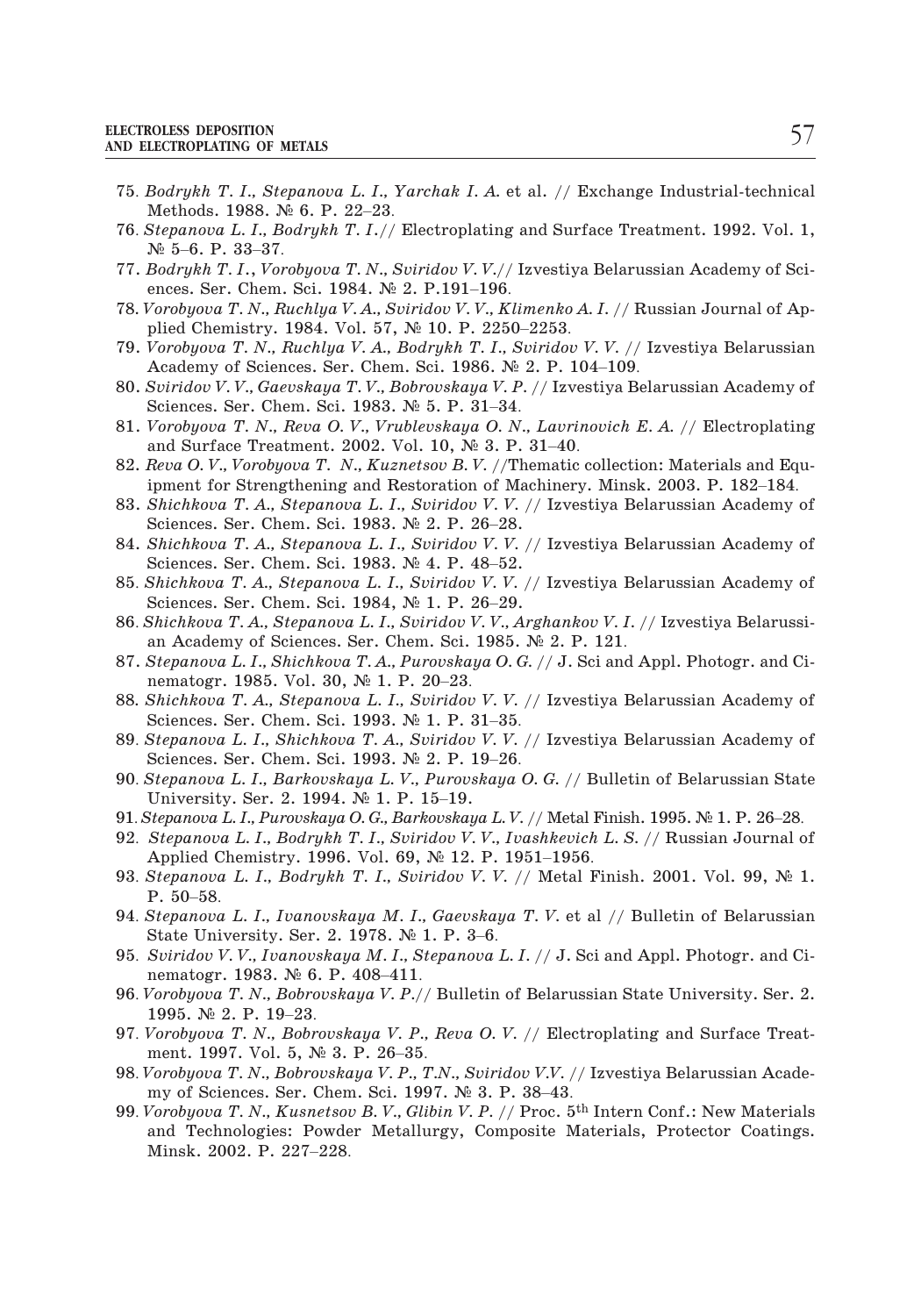- <sup>75</sup>. *Bodrykh T. I., Stepanova L. I., Yarchak I. A.* et al. // Exchange Industrial-technical ROLESS DEPOSITION<br>LECTROPLATING OF METALS<br>Bodrykh T. I., Stepanova L. I.,<br>Methods. 1988. Nº 6. P. 22–23. TRECTROLESS DEPOSITION<br> **TELECTROPLATING OF METALS**<br> **75.** *Bodrykh T. I., Stepanova L. I., Yarchak I. A.* et al. // Exchange Industrial-technical<br>
Methods. 1988. № 6. P. 22–23.<br> **76.** *Stepanova L. I., Bodrykh T. I.*// E LECTROPLATING OF N<br>Bodrykh T. I., Ste<br>Methods. 1988. N<br>Stepanova L. I., B<br>Nº 5–6. P. 33–37. Bodrykh T. I., Stepanova L. I., Yarchak I. A. €<br>Methods. 1988. № 6. P. 22–23.<br>Stepanova L. I., Bodrykh T. I.// Electroplating<br>№ 5–6. P. 33–37.<br>Bodrykh T. I., Vorobyova T. N., Sviridov V. V.//<br>ences. Ser. Chem. Sci. 1984.
- Stepanova L. I., Bodrykh T. I.// Electroplating and Su<br>Nº 5–6. P. 33–37.<br>Bodrykh T. I., Vorobyova T. N., Sviridov V. V.// Izvesti<br>ences. Ser. Chem. Sci. 1984. Nº 2. P.191–196.<br>Vorobyova T. N., Ruchlya V. A., Sviridov V. V.
- 77. *Bodrykh T. I*., *Vorobyova T. N., Sviridov V. V.//* Izvestiya Belarussian Academy of Sci-Bodrykh T. I., Vorobyova T. N., Sviridov V. V.// Izvestiya Belaru<br>ences. Ser. Chem. Sci. 1984. Nº 2. P.191–196.<br>Vorobyova T. N., Ruchlya V. A., Sviridov V. V., Klimenko A. I. // I<br>plied Chemistry. 1984. Vol. 57, Nº 10. P.
- 78*. Vorobyova T. N., Ruchlya V. A., Sviridov V. V., Klimenko A. I. //* Russian Journal of Ap-
- 79. *Vorobyova T. N., Ruchlya V. A., Bodrykh T. I., Sviridov V. V. //* Izvestiya Belarussian
- 80. *Sviridov V. V., Gaevskaya T. V., Bobrovskaya V. P.* // Izvestiya Belarussian Academy of Sciences. Ser. Chem. Sci. 1983. № 5. P. 31–34.<br>81. *Vorobyova T. N., Reva O. V., Vrublevskaya O. N., Lavrinovich E. A.* // Elect Vorobyova T. N., Ruchlya V. A., Sviridov V. V., Kli<br>plied Chemistry. 1984. Vol. 57, № 10. P. 2250<br>Vorobyova T. N., Ruchlya V. A., Bodrykh T. I., S<br>Academy of Sciences. Ser. Chem. Sci. 1986. №<br>Sviridov V. V., Gaevskaya T. Vorobyova T. N., Ruchlya V. A., Bodrykh T. I., Sviridov<br>Academy of Sciences. Ser. Chem. Sci. 1986. Nº 2. P. 1<br>Sviridov V. V., Gaevskaya T. V., Bobrovskaya V. P. // Izve<br>Sciences. Ser. Chem. Sci. 1983. Nº 5. P. 31–34.<br>Vorob
- 81. *Vorobyova T. N., Reva O. V., Vrublevskaya O. N., Lavrinovich E. A. //* Electroplating
- and Surface Treatment. 2002. Vol. 10,  $\mathbb{N}^2$  3. P. 31–40.<br>Reva O. V., Vorobyova T. N., Kuznetsov B. V. //Thematic collection: Materials and Eq<br>ipment for Strengthening and Restoration of Machinery. Minsk. 2003. P. 182
- 82. *Reva O. V., Vorobyova T. N., Kuznetsov B. V.* //Thematic collection: Materials and Equipment for Strengthening and Restoration of Machinery. Minsk. 2003. P. 182–184.<br>83. *Shichkova T. A., Stepanova L. I., Sviridov V.* 83. *Shichkova T. A., Stepanova L. I., Sviridov V. V.* // Izvestiya Belarussian Academy of
- 84. *Shichkova T. A., Stepanova L. I., Sviridov V. V.* // Izvestiya Belarussian Academy of ipment for Strengthening and Restoration of Machinery. Minsk. 2003. P. 182–184.<br>
83. *Shichkova T. A., Stepanova L. I., Sviridov V. V.* // Izvestiya Belarussian Academy of<br>
Sciences. Ser. Chem. Sci. 1983. № 2. P. 26–28.<br> Shichkova T. A., Stepanova L. I., Sviridov V. V.<br>Sciences. Ser. Chem. Sci. 1983. Nº 2. P. 26–28.<br>Shichkova T. A., Stepanova L. I., Sviridov V. V.<br>Sciences. Ser. Chem. Sci. 1983. Nº 4. P. 48–52.<br>Shichkova T. A., Stepanova L Sciences. Ser. Chem. Sci. 1983. № 2. P. 26–28.<br>
84. *Shichkova T. A., Stepanova L. I., Sviridov V. V.* // Izvestiya Belarussian Academy of<br>
Sciences. Ser. Chem. Sci. 1983. № 4. P. 48–52.<br>
85. *Shichkova T. A., Stepanova L* Shichkova T. A., Stepanova L. I., Sviridov V. V. // Izvestiya 1<br>Sciences. Ser. Chem. Sci. 1983. Nº 4. P. 48–52.<br>Shichkova T. A., Stepanova L. I., Sviridov V. V. // Izvestiya 1<br>Sciences. Ser. Chem. Sci. 1984, Nº 1. P. 26–29
- Shichkova T. A., Stepanova L. I., Sviridov<br>Sciences. Ser. Chem. Sci. 1984, Nº 1. P.<br>Shichkova T. A., Stepanova L. I., Sviridov<br>an Academy of Sciences. Ser. Chem. Sci.<br>Stepanova L. I., Shichkova T. A., Purovska<br>nematogr. 19
- 
- 87. *Stepanova L. I., Shichkova T. A., Purovskaya O. G.* // J. Sci and Appl. Photogr. and Ci-Sciences. Ser. Chem. Sci. 1984,  $\mathbb{N}^{\circ}$  1. P. 26–29.<br>
86. Shichkova T. A., Stepanova L. I., Sviridov V. V., Arghankov V. I. // Izvestiya Belarussian Academy of Sciences. Ser. Chem. Sci. 1985.  $\mathbb{N}^{\circ}$  2. P. 121.<br> Stepanova L. I., Shichkova T. A., Purovskaya O. Comenatogr. 1985. Vol. 30, Nº 1. P. 20–23.<br>Shichkova T. A., Stepanova L. I., Sviridov V. V.<br>Sciences. Ser. Chem. Sci. 1993. Nº 1. P. 31–35.<br>Stepanova L. I., Shichkova T. A.,
- 88*. Shichkova T. A., Stepanova L. I., Sviridov V. V.* // Izvestiya Belarussian Academy of an Academy of Sciences. Ser. Chem. Sci. 1985. № 2. P. 121.<br>87. *Stepanova L. I., Shichkova T. A., Purovskaya O. G.* // J. Sci and Appl. Photogr. and Cinematogr. 1985. Vol. 30, № 1. P. 20–23.<br>88. *Shichkova T. A., Stepanov* nematogr. 1985. Vol. 30, № 1. P. 20–23.<br>
88. *Shichkova T. A., Stepanova L. I., Sviridov V. V.* // Izvestiya Belarussian Academy of Sciences. Ser. Chem. Sci. 1993. № 1. P. 31–35.<br>
89. *Stepanova L. I., Shichkova T. A., Sv* Shichkova T. A., Stepanova L. I., Sviridov<br>Sciences. Ser. Chem. Sci. 1993. Nº 1. P.:<br>Stepanova L. I., Shichkova T. A., Sviridov<br>Sciences. Ser. Chem. Sci. 1993. Nº 2. P.<br>Stepanova L. I., Barkovskaya L. V., Purov.<br>University
- 
- Sciences. Ser. Chem. Sci. 1993. № 1. P. 31–35.<br>
89. *Stepanova L. I., Shichkova T. A., Sviridov V. V.* // Izvestiya Belarussian Academy of Sciences. Ser. Chem. Sci. 1993. № 2. P. 19–26.<br>
90. *Stepanova L. I., Barkovskaya* 89. *Stepanova L. I., Shichkova T. A., Sviridov V. V.* // Izvestiya Belarussian Academy of<br>Sciences. Ser. Chem. Sci. 1993. № 2. P. 19–26.<br>90. *Stepanova L. I., Barkovskaya L. V., Purovskaya O. G.* // Bulletin of Belarussi Sciences. Ser. Chem. Sci. 1993. Ne 2. P. 19–26.<br>Stepanova L. I., Barkovskaya L. V., Purovskaya O. G. // E<br>University. Ser. 2. 1994. Ne 1. P. 15–19.<br>Stepanova L. I., Purovskaya O. G., Barkovskaya L. V. // Metal<br>Stepanova L. 90. *Stepanova L. I., Barkovskaya L. V., Purovskaya O. G.* // Bulletin of Belarussian State<br>University. Ser. 2. 1994. № 1. P. 15–19.<br>91. *Stepanova L. I., Purovskaya O. G., Barkovskaya L. V.* // Metal Finish. 1995. № 1.
- 
- Universit<br>Stepanova<br>Stepanova<br>Applied C<br>Stepanova<br>P. 50–58. 91. *Stepanova L. I., Purovskaya O. G., Barkovskaya L. V.* // Metal Finish. 1995. *N*<sup>2</sup> 1. P. 26–28.<br>92. *Stepanova L. I., Bodrykh T. I., Sviridov V. V., Ivashkevich L. S.* // Russian Journal of Applied Chemistry. 1996. Stepanova L. I., Bodrykh T. I., Sviridov V. V.,<br>Applied Chemistry. 1996. Vol. 69, Nº 12. P.<br>Stepanova L. I., Bodrykh T. I., Sviridov V. V<br>P. 50–58.<br>Stepanova L. I., Ivanovskaya M. I., Gaevska<br>State University. Ser. 2. 1978
- Stepanova L. I., Bodrykh T. I., Svi<br>P. 50–58.<br>Stepanova L. I., Ivanovskaya M. I.<br>State University. Ser. 2. 1978. No<br>Sviridov V. V., Ivanovskaya M. I., S<br>nematogr. 1983. No 6. P. 408–411.
- Applied Chemistry. 1996. Vol. 69, № 12. P. 1951–1956.<br>
93. *Stepanova L. I., Bodrykh T. I., Sviridov V. V.* // Metal Finish. 2001. Vol. 99, № 1.<br>
94. *Stepanova L. I., Ivanovskaya M. I., Gaevskaya T. V.* et al // Bulletin 94. *Stepanova L. I., Ivanovskaya M. I., Gaevskaya T. V.* et al // Bulletin of Belarussian State University. Ser. 2. 1978. № 1. P. 3–6.<br>95. *Sviridov V. V., Ivanovskaya M. I., Stepanova L. I.* // J. Sci and Appl. Photogr.
- 
- nematogr. 1983. № 6. P. 408–411.<br>Vorobyova T. N., Bobrovskaya V. P./<br>1995. № 2. P. 19–23. State University. Ser. 2. 1978. № 1. P. 3–6.<br>
95. *Sviridov V. V., Ivanovskaya M. I., Stepanova L. I.* // J. Sci and Appl. Photogr. and Cinematogr. 1983. № 6. P. 408–411.<br>
96. *Vorobyova T. N., Bobrovskaya V. P.*// Bullet Sviridov V. V., Ivanovskaya M. I., St<br>nematogr. 1983. № 6. P. 408–411.<br>Vorobyova T. N., Bobrovskaya V. P./<br>1995. № 2. P. 19–23.<br>Vorobyova T. N., Bobrovskaya V. P.,<br>ment. 1997. Vol. 5, № 3. P. 26–35. 98. *Vorobyova T. N., Bobrovskaya V. P.*// Bulletin of Belarussian State University. Ser. 2.<br>
1995. № 2. P. 19–23.<br>
97. *Vorobyova T. N., Bobrovskaya V. P., Reva O. V. // Electroplating and Surface Treat*-<br>
1997. Vol. 5, Vorobyova T. N., Bobrovskaya V. P.// Bulletin of Belart<br>1995. № 2. P. 19–23.<br>Vorobyova T. N., Bobrovskaya V. P., Reva O. V. // Element. 1997. Vol. 5, № 3. P. 26–35.<br>Vorobyova T. N., Bobrovskaya V. P., T.N., Sviridov V.V.
- 1995. № 2. P. 19–23.<br>
97. *Vorobyova T. N., Bobrovskaya V. P., Reva O. V.* // Electroplating and Surface Treat-<br>
ment. 1997. Vol. 5, № 3. P. 26–35.<br>
98. *Vorobyova T. N., Bobrovskaya V. P., T.N., Sviridov V.V.* // Izvest
- 
- and Technologies: Powder Metallurgy, Composite Materials, Protector Coatings. ment. 1997. Vol. 5,  $\mathbb{N}^2$  3. P. 26–35.<br>
98. Vorobyova T. N., Bobrovskaya V. P., T.N., Sviridov V.V. // Izvestiya Belarussian Academy of Sciences. Ser. Chem. Sci. 1997.  $\mathbb{N}^2$  3. P. 38–43.<br>
99. Vorobyova T. N., Ku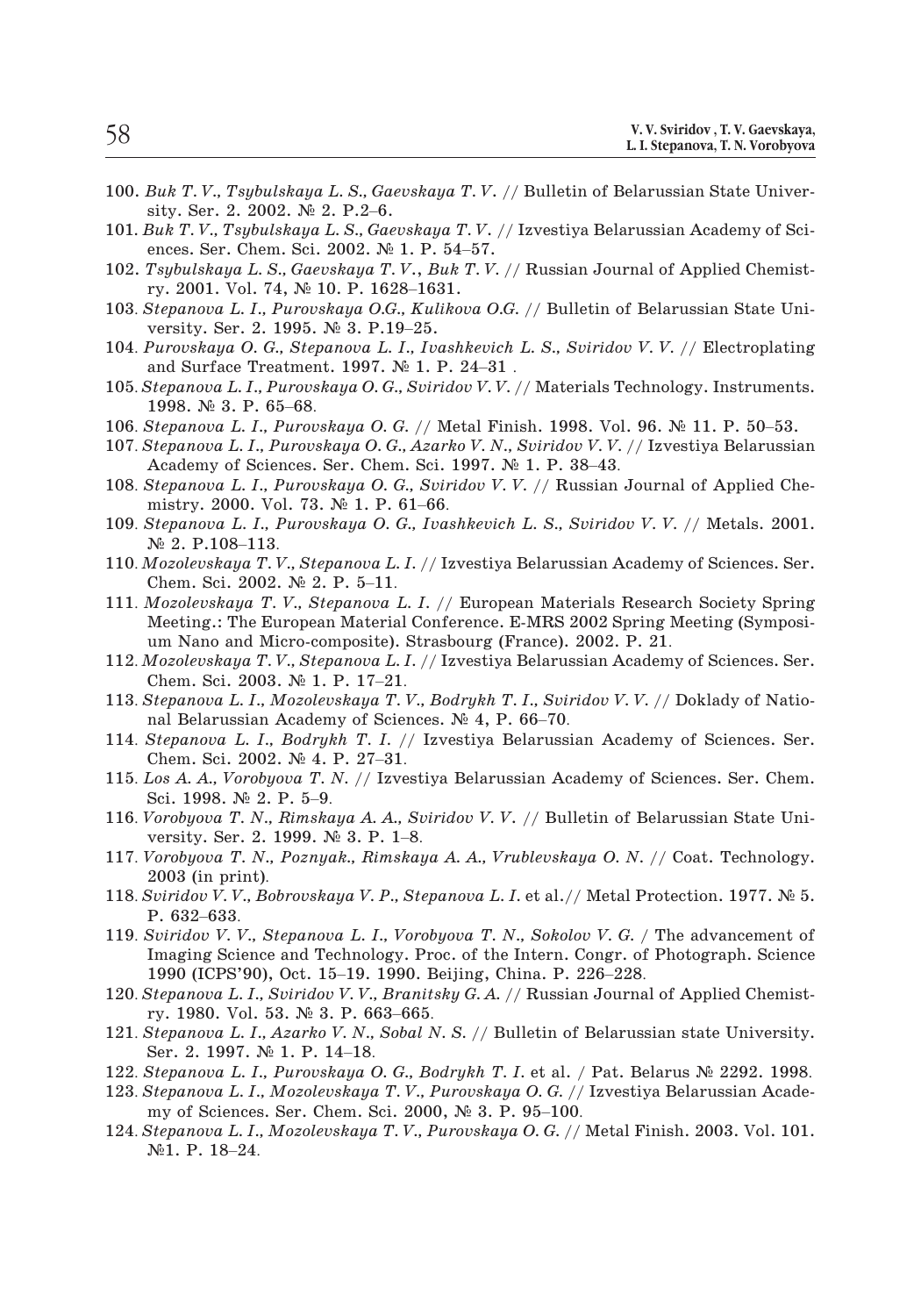- 100. *Buk T. V., Tsybulskaya L. S., Gaevskaya T. V*. // Bulletin of Belarussian State Univer-*Buk T.V., Tsybulskaya L.S., Ga*<br>sity. Ser. 2. 2002. № 2. P.2–6. Buk T.V., Tsybulskaya L. S., Gaevskaya T.V.<br>sity. Ser. 2. 2002. № 2. P.2–6.<br>Buk T.V., Tsybulskaya L. S., Gaevskaya T.V.<br>ences. Ser. Chem. Sci. 2002. № 1. P. 54–57. Buk T.V., Tsybulskaya L.S., Gaevskaya<br>sity. Ser. 2. 2002. № 2. P.2–6.<br>Buk T.V., Tsybulskaya L.S., Gaevskaya T<br>ences. Ser. Chem. Sci. 2002. № 1. P. 54<br>Tsybulskaya L.S., Gaevskaya T.V., Buk<br>ry. 2001. Vol. 74, № 10. P. 1628–
- 101*. Buk T. V., Tsybulskaya L. S., Gaevskaya T. V*. // Izvestiya Belarussian Academy of Scisity. Ser. 2. 2002. № 2. P.2–6.<br>
101. *Buk T. V., Tsybulskaya L. S., Gaevskaya T. V.* // Izvestiya Belarussian Academy of Sciences. Ser. Chem. Sci. 2002. № 1. P. 54–57.<br>
102. *Tsybulskaya L. S., Gaevskaya T. V., Buk T. V* Buk T.V., Tsybulskaya L.S., Gaevskay<br>ences. Ser. Chem. Sci. 2002. № 1. P.<br>Tsybulskaya L.S., Gaevskaya T.V., B<br>ry. 2001. Vol. 74, № 10. P. 1628–16.<br>Stepanova L. I., Purovskaya O.G., Kul<br>versity. Ser. 2. 1995. № 3. P.19–25.
- 102. *Tsybulskaya L. S., Gaevskaya T. V*., *Buk T. V.* // Russian Journal of Applied Chemist-
- ences. Ser. Chem. Sci. 2002. № 1. P. 54–57.<br>
102. *Tsybulskaya L. S., Gaevskaya T. V., Buk T. V.* // Russian Journal of Applied Chemistry. 2001. Vol. 74, № 10. P. 1628–1631.<br>
103. *Stepanova L. I., Purovskaya O.G., Kuliko*
- *Tsybulskaya L. S., Gaevskaya T. V., Buk T. V. //*<br>ry. 2001. Vol. 74, № 10. P. 1628–1631.<br>*Stepanova L. I., Purovskaya O.G., Kulikova O.G.*<br>versity. Ser. 2. 1995. № 3. P.19–25.<br>*Purovskaya O. G., Stepanova L. I., Ivashkev* ry. 2001. Vol. 74, № 10. P. 1628–1631.<br>
103. *Stepanova L. I., Purovskaya O.G., Kulikova O.G.* // Bulletin of Belarussian State University. Ser. 2. 1995. № 3. P.19–25.<br>
104. *Purovskaya O. G., Stepanova L. I., Ivashkevich* Stepanova L. I., Purov<br>versity. Ser. 2. 1995.<br>Purovskaya O. G., Ste<sub>l</sub><br>and Surface Treatmen<br>Stepanova L. I., Purovs<br>1998. Nº 3. P. 65–68. **104. Purovskaya O. G., Stepanova L. I., Ivashkevich L. S., Sviridov V. V. // Electroplatii**<br>
and Surface Treatment. 1997. № 1. P. 24–31.<br> **105. Stepanova L. I., Purovskaya O. G., Sviridov V. V.** // Materials Technology. 104. *Purovskaya O. G., Stepanova L. I., Ivashkevich L. S., Sviridov V. V.* // Electroplating<br>and Surface Treatment. 1997. № 1. P. 24–31.<br>105. *Stepanova L. I., Purovskaya O. G., Sviridov V. V.* // Materials Technology. I
- 
- 
- and Surface Treatment. 1997. № 1. P. 24–31.<br>Stepanova L. I., Purovskaya O. G., Sviridov V. V. // Materials 1<br>1998. № 3. P. 65–68.<br>Stepanova L. I., Purovskaya O. G. // Metal Finish. 1998. Vo<br>Stepanova L. I., Purovskaya O. 105. *Stepanova L. I., Purovskaya O. G., Sviridov V. V.* // Materials Technology. Instruments.<br>1998. № 3. P. 65–68.<br>106. *Stepanova L. I., Purovskaya O. G.* // Metal Finish. 1998. Vol. 96. № 11. P. 50–53.<br>107. *Stepanova* 1998. Ne 3. P. 65–68.<br>Stepanova L. I., Purovskaya O. G. // M<br>Stepanova L. I., Purovskaya O. G., Azar.<br>Academy of Sciences. Ser. Chem. Sci.<br>Stepanova L. I., Purovskaya O. G., Svin<br>mistry. 2000. Vol. 73. Ne 1. P. 61–66. 106. *Stepanova L. I., Purovskaya O. G.* // Metal Finish. 1998. Vol. 96. № 11. P. 50–53.<br>107. *Stepanova L. I., Purovskaya O. G., Azarko V. N., Sviridov V. V.* // Izvestiya Belarussian<br>Academy of Sciences. Ser. Chem. Sci. Stepanova L. I., P<br>Academy of Scie:<br>Stepanova L. I., I<br>mistry. 2000. Vc<br>Stepanova L. I., I<br>№ 2. P.108–113.
- 
- Academy of Sciences. Ser. Chem. Sci. 1997. № 1. P. 38–43.<br>
108. *Stepanova L. I., Purovskaya O. G., Sviridov V. V.* // Russian Journal of Applied Chemistry. 2000. Vol. 73. № 1. P. 61–66.<br>
109. *Stepanova L. I., Purovskaya* Stepanova L. I., Purovskaya O. (<br>mistry. 2000. Vol. 73. № 1. P.<br>Stepanova L. I., Purovskaya O.<br>№ 2. P.108–113.<br>Mozolevskaya T. V., Stepanova L.<br>Chem. Sci. 2002. № 2. P. 5–11.
- mistry. 2000. Vol. 73. № 1. P. 61–66.<br>
109. *Stepanova L. I., Purovskaya O. G., Ivashkevich L. S., Sviridov V. V.* // Metals. 2001.<br>
10. *Mozolevskaya T. V., Stepanova L. I.* // Izvestiya Belarussian Academy of Sciences.
- Meeting.: The European Material Conference. E-MRS 2002 Spring Meeting (Symposi-Ne 2. P.108–113.<br>Mozolevskaya T. V., Stepanova L. I. // Izvestiya Belarussian Academ<br>Chem. Sci. 2002. № 2. P. 5–11.<br>Mozolevskaya T. V., Stepanova L. I. // European Materials Resear<br>Meeting.: The European Material Conferen 110. *Mozolevskaya T. V., Stepanova L. I.* // Izvestiya Belarussian Academy of Sciences. Ser.<br>Chem. Sci. 2002. Nº 2. P. 5–11.<br>111. *Mozolevskaya T. V., Stepanova L. I.* // European Materials Research Society Spring<br>Meeting Chem. Sci. 2002. № 2. P. 5–11.<br>Mozolevskaya T. V., Stepanova L<br>Meeting.: The European Material<br>um Nano and Micro-composite).<br>Mozolevskaya T. V., Stepanova L. Chem. Sci. 2003. № 1. P. 17–21. 111. *Mozolevskaya T. V., Stepanova L. I.* // European Materials Research Society Spring Meeting.: The European Material Conference. E-MRS 2002 Spring Meeting (Symposium Nano and Micro-composite). Strasbourg (France). 2002
- um Nano and Micro-composite). Strasbourg (France). 2002. P. 21.<br>112. Mozolevskaya T. V., Stepanova L. I. // Izvestiya Belarussian Academy of Sciences. Ser.<br>Chem. Sci. 2003. № 1. P. 17–21.<br>113. Stepanova L. I., Mozolevska um Nano and Micro-composite). Strasbourg (France). 2002. P. 21.<br>
112. *Mozolevskaya T. V., Stepanova L. I.* // Izvestiya Belarussian Academy of Sciences. Ser.<br>
Chem. Sci. 2003. № 1. P. 17–21.<br>
113. *Stepanova L. I., Mozol*
- 
- Mozolevskaya T. V., Stepanova L. J.<br>Chem. Sci. 2003. № 1. P. 17–21.<br>Stepanova L. I., Mozolevskaya T.<br>nal Belarussian Academy of Scie<br>Stepanova L. I., Bodrykh T. I. /<br>Chem. Sci. 2002. № 4. P. 27–31. Chem. Sci. 2003. № 1. P. 17–21.<br>
113. *Stepanova L. I., Mozolevskaya T. V., Bodrykh T. I., Sviridov V. V.* // Doklady of National Belarussian Academy of Sciences. № 4, P. 66–70.<br>
114. *Stepanova L. I., Bodrykh T. I.* // I Stepanova L. I., Mozolev<br>nal Belarussian Academ<br>Stepanova L. I., Bodryl<br>Chem. Sci. 2002. № 4.<br>Los A. A., Vorobyova T. .<br>Sci. 1998. № 2. P. 5–9.
- nal Belarussian Academy of Sciences. № 4, P. 66–70.<br>
114. *Stepanova L. I., Bodrykh T. I.* // Izvestiya Belarussian Academy of Sciences. Ser.<br>
Chem. Sci. 2002. № 4. P. 27–31.<br>
115. *Los A. A., Vorobyova T. N.* // Izvestiy Stepanova L. I., Bodrykh T. I. //<br>Chem. Sci. 2002. № 4. P. 27–31.<br>Los A. A., Vorobyova T. N. // Izvest<br>Sci. 1998. № 2. P. 5–9.<br>Vorobyova T. N., Rimskaya A. A., St<br>versity. Ser. 2. 1999. № 3. P. 1–8. Chem. Sci. 2002. № 4. P. 27–31.<br>
115. *Los A. A., Vorobyova T. N.* // Izvestiya Belarussian Academy of Sciences. Ser. Chem.<br>
Sci. 1998. № 2. P. 5–9.<br>
116. *Vorobyova T. N., Rimskaya A. A., Sviridov V. V.* // Bulletin of B Los A. A., Vorobi<br>Sci. 1998. № 2.<br>Vorobyova T. N.<br>versity. Ser. 2.<br>Vorobyova T. N.<br>2003 (in print).
- Vorobyova T<br>versity. Ser<br>Vorobyova T<br>2003 (in pri<br>Sviridov V. V<br>P. 632–633.
- Sci. 1998. № 2. P. 5–9.<br>
116. *Vorobyova T. N., Rimskaya A. A., Sviridov V. V.* // Bulletin of Belarussian State University. Ser. 2. 1999. № 3. P. 1–8.<br>
117. *Vorobyova T. N., Poznyak., Rimskaya A. A., Vrublevskaya O. N.* versity. Ser. 2. 1999. № 3. P. 1–8.<br>117. *Vorobyova T. N., Poznyak., Rimskaya A. A., Vrublevskaya O. N. //* Coat. Technology.<br>2003 (in print).<br>118. *Sviridov V. V., Bobrovskaya V. P., Stepanova L. I.* et al.// Metal Prote
- 
- Imaging Science and Technology. Proc. of the Intern. Congr. of Photograph. Science 2003 (in print).<br>
Sviridov V.V., Bobrovskaya V.P., Stepanova L.I. et al.// Metal P<br>
P. 632–633.<br>
Sviridov V.V., Stepanova L.I., Vorobyova T.N., Sokolov V.G. /<br>
Imaging Science and Technology. Proc. of the Intern. Congr. of 118. *Sviridov V. V., Bobrovskaya V. P., Stepanova L. I.* et al.// Metal Protection. 1977. № 5.<br>
P. 632–633.<br>
119. *Sviridov V. V., Stepanova L. I., Vorobyova T. N., Sokolov V. G.* / The advancement of Imaging Science and P. 632–633.<br>Sviridov V. V., Stepanova L. I., Vorol<br>Imaging Science and Technology. Pr<br>1990 (ICPS'90), Oct. 15–19. 1990. I<br>Stepanova L. I., Sviridov V. V., Branit<br>ry. 1980. Vol. 53. № 3. P. 663–665. 119. *Sviridov V. V., Stepanova L. I., Vorobyova T. N., Sokolov V. G.* / The advancement of Imaging Science and Technology. Proc. of the Intern. Congr. of Photograph. Science 1990 (ICPS'90), Oct. 15–19. 1990. Beijing, Chi Imaging Science and Technol<br>1990 (ICPS'90), Oct. 15–19.<br>*Stepanova L. I., Sviridov V. V.*,<br>ry. 1980. Vol. 53. № 3. P. 6<br>*Stepanova L. I., Azarko V. N.*,<br>Ser. 2. 1997. № 1. P. 14–18.
- 1990 (ICPS'90), Oct. 15–19. 1990. Beijing, China. P. 226–228.<br>120. *Stepanova L. I., Sviridov V. V., Branitsky G. A.* // Russian Journal of Applied Chemist-<br>ry. 1980. Vol. 53. № 3. P. 663–665.<br>121. *Stepanova L. I., Azark* 120. *Stepanova L. I., Sviridov V. V., Branitsky G. A.* // Russian Journal of Applied Chemistry. 1980. Vol. 53. № 3. P. 663–665.<br>121. *Stepanova L. I., Azarko V. N., Sobal N. S.* // Bulletin of Belarussian state Universit
- ry. 1980. Vol. 53. № 3. P. 663–665.<br>Stepanova L. I., Azarko V. N., Sobal N. S. // Bulletin of<br>Ser. 2. 1997. № 1. P. 14–18.<br>Stepanova L. I., Purovskaya O. G., Bodrykh T. I. et al. /<br>Stepanova L. I., Mozolevskaya T. V., Pur 121. *Stepanova L. I., Azarko V. N., Sobal N. S.* // Bulletin of Belarussian state University.<br>
Ser. 2. 1997. № 1. P. 14–18.<br>
122. *Stepanova L. I., Purovskaya O. G., Bodrykh T. I.* et al. / Pat. Belarus № 2292. 1998.<br>
12
- 
- Ser. 2. 1997. № 1. P. 14–18.<br>
122. Stepanova L. I., Purovskaya O. G., Bodrykh T. I. et al. / Pat. Belarus № 2292. 1998.<br>
123. Stepanova L. I., Mozolevskaya T. V., Purovskaya O. G. // Izvestiya Belarussian Academy of Scien
-